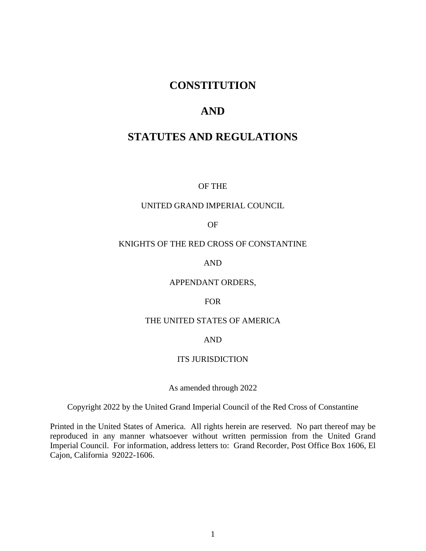# **CONSTITUTION**

# **AND**

# **STATUTES AND REGULATIONS**

OF THE

### UNITED GRAND IMPERIAL COUNCIL

OF

### KNIGHTS OF THE RED CROSS OF CONSTANTINE

AND

#### APPENDANT ORDERS,

#### FOR

#### THE UNITED STATES OF AMERICA

#### AND

#### ITS JURISDICTION

### As amended through 2022

#### Copyright 2022 by the United Grand Imperial Council of the Red Cross of Constantine

Printed in the United States of America. All rights herein are reserved. No part thereof may be reproduced in any manner whatsoever without written permission from the United Grand Imperial Council. For information, address letters to: Grand Recorder, Post Office Box 1606, El Cajon, California 92022-1606.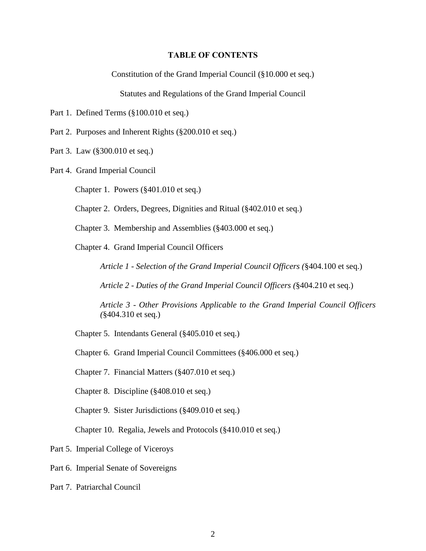#### **TABLE OF CONTENTS**

Constitution of the Grand Imperial Council (§10.000 et seq.)

Statutes and Regulations of the Grand Imperial Council

Part 1. Defined Terms (§100.010 et seq.)

Part 2. Purposes and Inherent Rights (§200.010 et seq.)

Part 3. Law (§300.010 et seq.)

Part 4. Grand Imperial Council

Chapter 1. Powers (§401.010 et seq.)

Chapter 2. Orders, Degrees, Dignities and Ritual (§402.010 et seq.)

Chapter 3. Membership and Assemblies (§403.000 et seq.)

Chapter 4. Grand Imperial Council Officers

*Article 1 - Selection of the Grand Imperial Council Officers (*§404.100 et seq.)

*Article 2 - Duties of the Grand Imperial Council Officers (*§404.210 et seq.)

*Article 3 - Other Provisions Applicable to the Grand Imperial Council Officers (*§404.310 et seq.)

Chapter 5. Intendants General (§405.010 et seq.)

Chapter 6. Grand Imperial Council Committees (§406.000 et seq.)

Chapter 7. Financial Matters (§407.010 et seq.)

Chapter 8. Discipline (§408.010 et seq.)

Chapter 9. Sister Jurisdictions (§409.010 et seq.)

Chapter 10. Regalia, Jewels and Protocols (§410.010 et seq.)

Part 5. Imperial College of Viceroys

Part 6. Imperial Senate of Sovereigns

Part 7. Patriarchal Council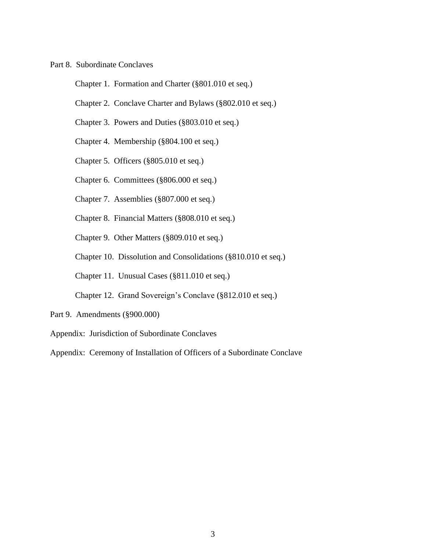#### Part 8. Subordinate Conclaves

Chapter 1. Formation and Charter (§801.010 et seq.)

- Chapter 2. Conclave Charter and Bylaws (§802.010 et seq.)
- Chapter 3. Powers and Duties (§803.010 et seq.)
- Chapter 4. Membership (§804.100 et seq.)
- Chapter 5. Officers (§805.010 et seq.)
- Chapter 6. Committees (§806.000 et seq.)
- Chapter 7. Assemblies (§807.000 et seq.)
- Chapter 8. Financial Matters (§808.010 et seq.)
- Chapter 9. Other Matters (§809.010 et seq.)
- Chapter 10. Dissolution and Consolidations (§810.010 et seq.)
- Chapter 11. Unusual Cases (§811.010 et seq.)
- Chapter 12. Grand Sovereign's Conclave (§812.010 et seq.)
- Part 9. Amendments (§900.000)

Appendix: Jurisdiction of Subordinate Conclaves

Appendix: Ceremony of Installation of Officers of a Subordinate Conclave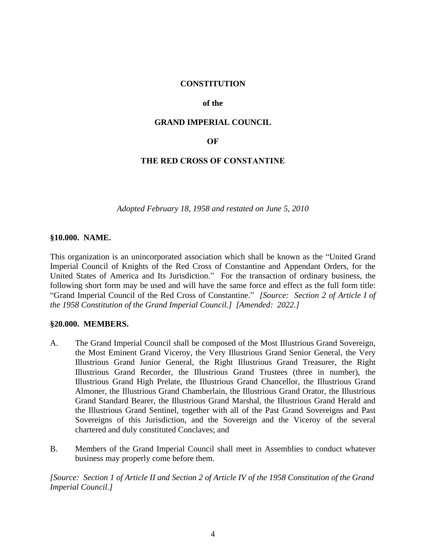### **CONSTITUTION**

#### **of the**

### **GRAND IMPERIAL COUNCIL**

#### **OF**

### **THE RED CROSS OF CONSTANTINE**

*Adopted February 18, 1958 and restated on June 5, 2010*

#### **§10.000. NAME.**

This organization is an unincorporated association which shall be known as the "United Grand Imperial Council of Knights of the Red Cross of Constantine and Appendant Orders, for the United States of America and Its Jurisdiction." For the transaction of ordinary business, the following short form may be used and will have the same force and effect as the full form title: "Grand Imperial Council of the Red Cross of Constantine." *[Source: Section 2 of Article I of the 1958 Constitution of the Grand Imperial Council.] [Amended: 2022.]*

#### **§20.000. MEMBERS.**

- A. The Grand Imperial Council shall be composed of the Most Illustrious Grand Sovereign, the Most Eminent Grand Viceroy, the Very Illustrious Grand Senior General, the Very Illustrious Grand Junior General, the Right Illustrious Grand Treasurer, the Right Illustrious Grand Recorder, the Illustrious Grand Trustees (three in number), the Illustrious Grand High Prelate, the Illustrious Grand Chancellor, the Illustrious Grand Almoner, the Illustrious Grand Chamberlain, the Illustrious Grand Orator, the Illustrious Grand Standard Bearer, the Illustrious Grand Marshal, the Illustrious Grand Herald and the Illustrious Grand Sentinel, together with all of the Past Grand Sovereigns and Past Sovereigns of this Jurisdiction, and the Sovereign and the Viceroy of the several chartered and duly constituted Conclaves; and
- B. Members of the Grand Imperial Council shall meet in Assemblies to conduct whatever business may properly come before them.

*[Source: Section 1 of Article II and Section 2 of Article IV of the 1958 Constitution of the Grand Imperial Council.]*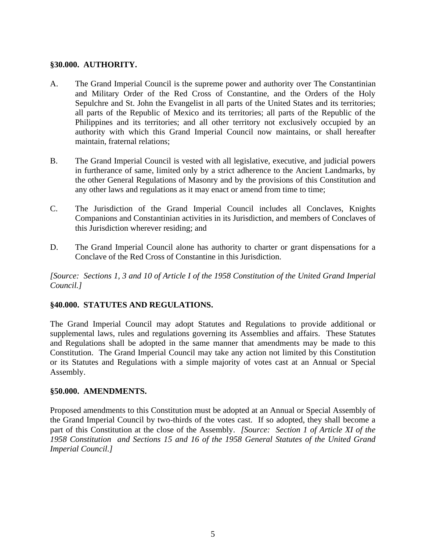#### **§30.000. AUTHORITY.**

- A. The Grand Imperial Council is the supreme power and authority over The Constantinian and Military Order of the Red Cross of Constantine, and the Orders of the Holy Sepulchre and St. John the Evangelist in all parts of the United States and its territories; all parts of the Republic of Mexico and its territories; all parts of the Republic of the Philippines and its territories; and all other territory not exclusively occupied by an authority with which this Grand Imperial Council now maintains, or shall hereafter maintain, fraternal relations;
- B. The Grand Imperial Council is vested with all legislative, executive, and judicial powers in furtherance of same, limited only by a strict adherence to the Ancient Landmarks, by the other General Regulations of Masonry and by the provisions of this Constitution and any other laws and regulations as it may enact or amend from time to time;
- C. The Jurisdiction of the Grand Imperial Council includes all Conclaves, Knights Companions and Constantinian activities in its Jurisdiction, and members of Conclaves of this Jurisdiction wherever residing; and
- D. The Grand Imperial Council alone has authority to charter or grant dispensations for a Conclave of the Red Cross of Constantine in this Jurisdiction.

*[Source: Sections 1, 3 and 10 of Article I of the 1958 Constitution of the United Grand Imperial Council.]*

### **§40.000. STATUTES AND REGULATIONS.**

The Grand Imperial Council may adopt Statutes and Regulations to provide additional or supplemental laws, rules and regulations governing its Assemblies and affairs. These Statutes and Regulations shall be adopted in the same manner that amendments may be made to this Constitution. The Grand Imperial Council may take any action not limited by this Constitution or its Statutes and Regulations with a simple majority of votes cast at an Annual or Special Assembly.

#### **§50.000. AMENDMENTS.**

Proposed amendments to this Constitution must be adopted at an Annual or Special Assembly of the Grand Imperial Council by two-thirds of the votes cast. If so adopted, they shall become a part of this Constitution at the close of the Assembly. *[Source: Section 1 of Article XI of the 1958 Constitution and Sections 15 and 16 of the 1958 General Statutes of the United Grand Imperial Council.]*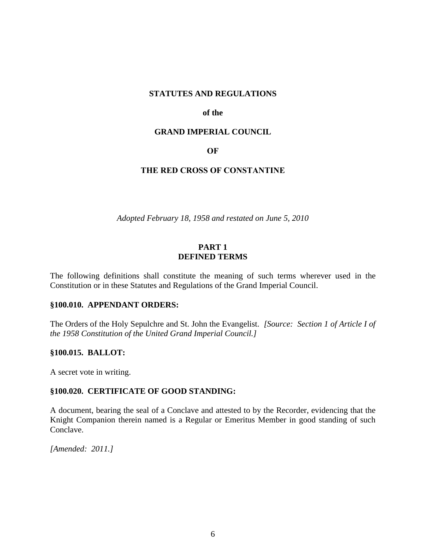#### **STATUTES AND REGULATIONS**

#### **of the**

#### **GRAND IMPERIAL COUNCIL**

#### **OF**

### **THE RED CROSS OF CONSTANTINE**

*Adopted February 18, 1958 and restated on June 5, 2010*

#### **PART 1 DEFINED TERMS**

The following definitions shall constitute the meaning of such terms wherever used in the Constitution or in these Statutes and Regulations of the Grand Imperial Council.

#### **§100.010. APPENDANT ORDERS:**

The Orders of the Holy Sepulchre and St. John the Evangelist. *[Source: Section 1 of Article I of the 1958 Constitution of the United Grand Imperial Council.]*

#### **§100.015. BALLOT:**

A secret vote in writing.

#### **§100.020. CERTIFICATE OF GOOD STANDING:**

A document, bearing the seal of a Conclave and attested to by the Recorder, evidencing that the Knight Companion therein named is a Regular or Emeritus Member in good standing of such Conclave.

*[Amended: 2011.]*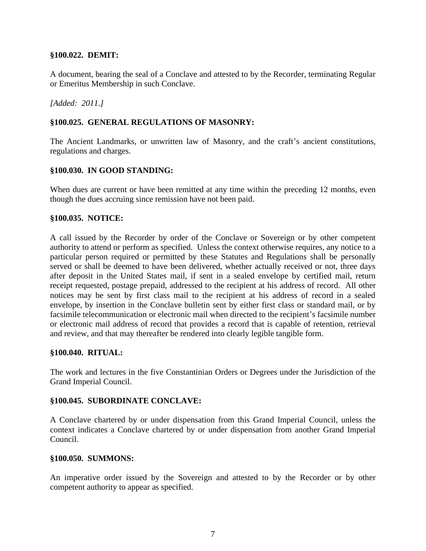### **§100.022. DEMIT:**

A document, bearing the seal of a Conclave and attested to by the Recorder, terminating Regular or Emeritus Membership in such Conclave.

*[Added: 2011.]*

### **§100.025. GENERAL REGULATIONS OF MASONRY:**

The Ancient Landmarks, or unwritten law of Masonry, and the craft's ancient constitutions, regulations and charges.

### **§100.030. IN GOOD STANDING:**

When dues are current or have been remitted at any time within the preceding 12 months, even though the dues accruing since remission have not been paid.

### **§100.035. NOTICE:**

A call issued by the Recorder by order of the Conclave or Sovereign or by other competent authority to attend or perform as specified. Unless the context otherwise requires, any notice to a particular person required or permitted by these Statutes and Regulations shall be personally served or shall be deemed to have been delivered, whether actually received or not, three days after deposit in the United States mail, if sent in a sealed envelope by certified mail, return receipt requested, postage prepaid, addressed to the recipient at his address of record. All other notices may be sent by first class mail to the recipient at his address of record in a sealed envelope, by insertion in the Conclave bulletin sent by either first class or standard mail, or by facsimile telecommunication or electronic mail when directed to the recipient's facsimile number or electronic mail address of record that provides a record that is capable of retention, retrieval and review, and that may thereafter be rendered into clearly legible tangible form.

#### **§100.040. RITUAL:**

The work and lectures in the five Constantinian Orders or Degrees under the Jurisdiction of the Grand Imperial Council.

### **§100.045. SUBORDINATE CONCLAVE:**

A Conclave chartered by or under dispensation from this Grand Imperial Council, unless the context indicates a Conclave chartered by or under dispensation from another Grand Imperial Council.

#### **§100.050. SUMMONS:**

An imperative order issued by the Sovereign and attested to by the Recorder or by other competent authority to appear as specified.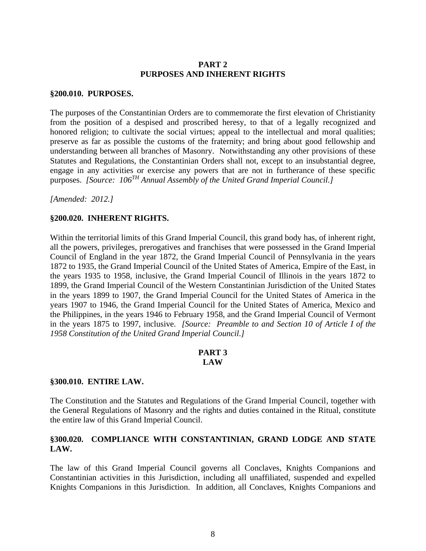### **PART 2 PURPOSES AND INHERENT RIGHTS**

#### **§200.010. PURPOSES.**

The purposes of the Constantinian Orders are to commemorate the first elevation of Christianity from the position of a despised and proscribed heresy, to that of a legally recognized and honored religion; to cultivate the social virtues; appeal to the intellectual and moral qualities; preserve as far as possible the customs of the fraternity; and bring about good fellowship and understanding between all branches of Masonry. Notwithstanding any other provisions of these Statutes and Regulations, the Constantinian Orders shall not, except to an insubstantial degree, engage in any activities or exercise any powers that are not in furtherance of these specific purposes. *[Source: 106TH Annual Assembly of the United Grand Imperial Council.]*

*[Amended: 2012.]*

#### **§200.020. INHERENT RIGHTS.**

Within the territorial limits of this Grand Imperial Council, this grand body has, of inherent right, all the powers, privileges, prerogatives and franchises that were possessed in the Grand Imperial Council of England in the year 1872, the Grand Imperial Council of Pennsylvania in the years 1872 to 1935, the Grand Imperial Council of the United States of America, Empire of the East, in the years 1935 to 1958, inclusive, the Grand Imperial Council of Illinois in the years 1872 to 1899, the Grand Imperial Council of the Western Constantinian Jurisdiction of the United States in the years 1899 to 1907, the Grand Imperial Council for the United States of America in the years 1907 to 1946, the Grand Imperial Council for the United States of America, Mexico and the Philippines, in the years 1946 to February 1958, and the Grand Imperial Council of Vermont in the years 1875 to 1997, inclusive. *[Source: Preamble to and Section 10 of Article I of the 1958 Constitution of the United Grand Imperial Council.]*

#### **PART 3 LAW**

#### **§300.010. ENTIRE LAW.**

The Constitution and the Statutes and Regulations of the Grand Imperial Council, together with the General Regulations of Masonry and the rights and duties contained in the Ritual, constitute the entire law of this Grand Imperial Council.

# **§300.020. COMPLIANCE WITH CONSTANTINIAN, GRAND LODGE AND STATE LAW.**

The law of this Grand Imperial Council governs all Conclaves, Knights Companions and Constantinian activities in this Jurisdiction, including all unaffiliated, suspended and expelled Knights Companions in this Jurisdiction. In addition, all Conclaves, Knights Companions and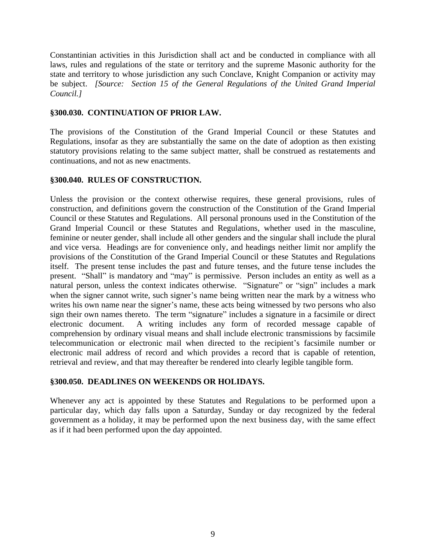Constantinian activities in this Jurisdiction shall act and be conducted in compliance with all laws, rules and regulations of the state or territory and the supreme Masonic authority for the state and territory to whose jurisdiction any such Conclave, Knight Companion or activity may be subject. *[Source: Section 15 of the General Regulations of the United Grand Imperial Council.]*

# **§300.030. CONTINUATION OF PRIOR LAW.**

The provisions of the Constitution of the Grand Imperial Council or these Statutes and Regulations, insofar as they are substantially the same on the date of adoption as then existing statutory provisions relating to the same subject matter, shall be construed as restatements and continuations, and not as new enactments.

# **§300.040. RULES OF CONSTRUCTION.**

Unless the provision or the context otherwise requires, these general provisions, rules of construction, and definitions govern the construction of the Constitution of the Grand Imperial Council or these Statutes and Regulations. All personal pronouns used in the Constitution of the Grand Imperial Council or these Statutes and Regulations, whether used in the masculine, feminine or neuter gender, shall include all other genders and the singular shall include the plural and vice versa. Headings are for convenience only, and headings neither limit nor amplify the provisions of the Constitution of the Grand Imperial Council or these Statutes and Regulations itself. The present tense includes the past and future tenses, and the future tense includes the present. "Shall" is mandatory and "may" is permissive. Person includes an entity as well as a natural person, unless the context indicates otherwise. "Signature" or "sign" includes a mark when the signer cannot write, such signer's name being written near the mark by a witness who writes his own name near the signer's name, these acts being witnessed by two persons who also sign their own names thereto. The term "signature" includes a signature in a facsimile or direct electronic document. A writing includes any form of recorded message capable of comprehension by ordinary visual means and shall include electronic transmissions by facsimile telecommunication or electronic mail when directed to the recipient's facsimile number or electronic mail address of record and which provides a record that is capable of retention, retrieval and review, and that may thereafter be rendered into clearly legible tangible form.

### **§300.050. DEADLINES ON WEEKENDS OR HOLIDAYS.**

Whenever any act is appointed by these Statutes and Regulations to be performed upon a particular day, which day falls upon a Saturday, Sunday or day recognized by the federal government as a holiday, it may be performed upon the next business day, with the same effect as if it had been performed upon the day appointed.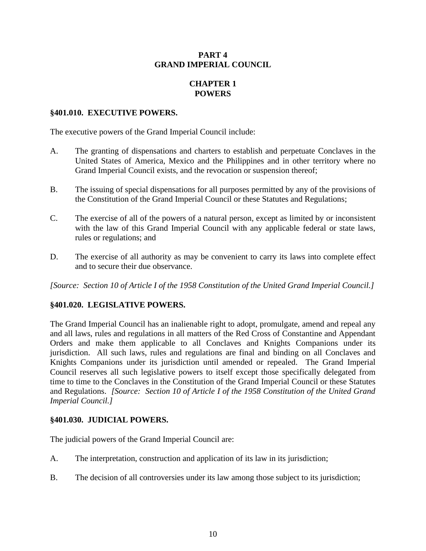### **PART 4 GRAND IMPERIAL COUNCIL**

# **CHAPTER 1 POWERS**

### **§401.010. EXECUTIVE POWERS.**

The executive powers of the Grand Imperial Council include:

- A. The granting of dispensations and charters to establish and perpetuate Conclaves in the United States of America, Mexico and the Philippines and in other territory where no Grand Imperial Council exists, and the revocation or suspension thereof;
- B. The issuing of special dispensations for all purposes permitted by any of the provisions of the Constitution of the Grand Imperial Council or these Statutes and Regulations;
- C. The exercise of all of the powers of a natural person, except as limited by or inconsistent with the law of this Grand Imperial Council with any applicable federal or state laws, rules or regulations; and
- D. The exercise of all authority as may be convenient to carry its laws into complete effect and to secure their due observance.

*[Source: Section 10 of Article I of the 1958 Constitution of the United Grand Imperial Council.]*

### **§401.020. LEGISLATIVE POWERS.**

The Grand Imperial Council has an inalienable right to adopt, promulgate, amend and repeal any and all laws, rules and regulations in all matters of the Red Cross of Constantine and Appendant Orders and make them applicable to all Conclaves and Knights Companions under its jurisdiction. All such laws, rules and regulations are final and binding on all Conclaves and Knights Companions under its jurisdiction until amended or repealed. The Grand Imperial Council reserves all such legislative powers to itself except those specifically delegated from time to time to the Conclaves in the Constitution of the Grand Imperial Council or these Statutes and Regulations. *[Source: Section 10 of Article I of the 1958 Constitution of the United Grand Imperial Council.]*

### **§401.030. JUDICIAL POWERS.**

The judicial powers of the Grand Imperial Council are:

- A. The interpretation, construction and application of its law in its jurisdiction;
- B. The decision of all controversies under its law among those subject to its jurisdiction;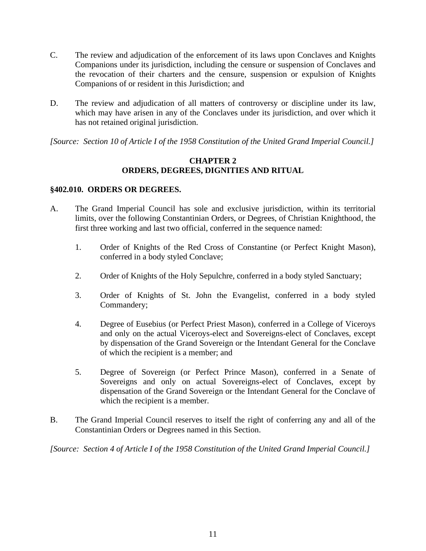- C. The review and adjudication of the enforcement of its laws upon Conclaves and Knights Companions under its jurisdiction, including the censure or suspension of Conclaves and the revocation of their charters and the censure, suspension or expulsion of Knights Companions of or resident in this Jurisdiction; and
- D. The review and adjudication of all matters of controversy or discipline under its law, which may have arisen in any of the Conclaves under its jurisdiction, and over which it has not retained original jurisdiction.

*[Source: Section 10 of Article I of the 1958 Constitution of the United Grand Imperial Council.]* 

# **CHAPTER 2 ORDERS, DEGREES, DIGNITIES AND RITUAL**

#### **§402.010. ORDERS OR DEGREES.**

- A. The Grand Imperial Council has sole and exclusive jurisdiction, within its territorial limits, over the following Constantinian Orders, or Degrees, of Christian Knighthood, the first three working and last two official, conferred in the sequence named:
	- 1. Order of Knights of the Red Cross of Constantine (or Perfect Knight Mason), conferred in a body styled Conclave;
	- 2. Order of Knights of the Holy Sepulchre, conferred in a body styled Sanctuary;
	- 3. Order of Knights of St. John the Evangelist, conferred in a body styled Commandery;
	- 4. Degree of Eusebius (or Perfect Priest Mason), conferred in a College of Viceroys and only on the actual Viceroys-elect and Sovereigns-elect of Conclaves, except by dispensation of the Grand Sovereign or the Intendant General for the Conclave of which the recipient is a member; and
	- 5. Degree of Sovereign (or Perfect Prince Mason), conferred in a Senate of Sovereigns and only on actual Sovereigns-elect of Conclaves, except by dispensation of the Grand Sovereign or the Intendant General for the Conclave of which the recipient is a member.
- B. The Grand Imperial Council reserves to itself the right of conferring any and all of the Constantinian Orders or Degrees named in this Section.

*[Source: Section 4 of Article I of the 1958 Constitution of the United Grand Imperial Council.]*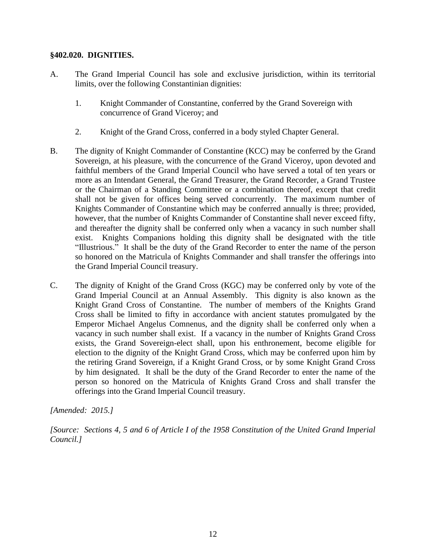### **§402.020. DIGNITIES.**

- A. The Grand Imperial Council has sole and exclusive jurisdiction, within its territorial limits, over the following Constantinian dignities:
	- 1. Knight Commander of Constantine, conferred by the Grand Sovereign with concurrence of Grand Viceroy; and
	- 2. Knight of the Grand Cross, conferred in a body styled Chapter General.
- B. The dignity of Knight Commander of Constantine (KCC) may be conferred by the Grand Sovereign, at his pleasure, with the concurrence of the Grand Viceroy, upon devoted and faithful members of the Grand Imperial Council who have served a total of ten years or more as an Intendant General, the Grand Treasurer, the Grand Recorder, a Grand Trustee or the Chairman of a Standing Committee or a combination thereof, except that credit shall not be given for offices being served concurrently. The maximum number of Knights Commander of Constantine which may be conferred annually is three; provided, however, that the number of Knights Commander of Constantine shall never exceed fifty, and thereafter the dignity shall be conferred only when a vacancy in such number shall exist. Knights Companions holding this dignity shall be designated with the title "Illustrious." It shall be the duty of the Grand Recorder to enter the name of the person so honored on the Matricula of Knights Commander and shall transfer the offerings into the Grand Imperial Council treasury.
- C. The dignity of Knight of the Grand Cross (KGC) may be conferred only by vote of the Grand Imperial Council at an Annual Assembly. This dignity is also known as the Knight Grand Cross of Constantine. The number of members of the Knights Grand Cross shall be limited to fifty in accordance with ancient statutes promulgated by the Emperor Michael Angelus Comnenus, and the dignity shall be conferred only when a vacancy in such number shall exist. If a vacancy in the number of Knights Grand Cross exists, the Grand Sovereign-elect shall, upon his enthronement, become eligible for election to the dignity of the Knight Grand Cross, which may be conferred upon him by the retiring Grand Sovereign, if a Knight Grand Cross, or by some Knight Grand Cross by him designated. It shall be the duty of the Grand Recorder to enter the name of the person so honored on the Matricula of Knights Grand Cross and shall transfer the offerings into the Grand Imperial Council treasury.

*[Amended: 2015.]*

*[Source: Sections 4, 5 and 6 of Article I of the 1958 Constitution of the United Grand Imperial Council.]*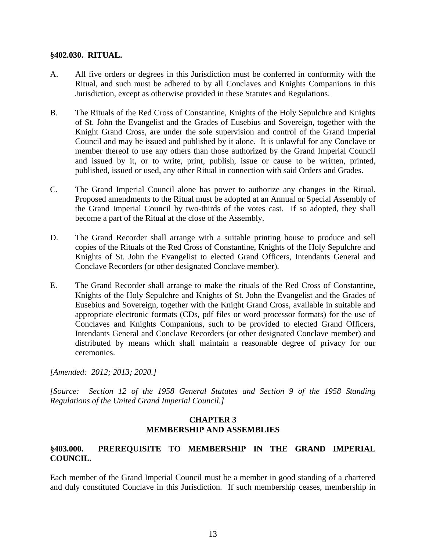### **§402.030. RITUAL.**

- A. All five orders or degrees in this Jurisdiction must be conferred in conformity with the Ritual, and such must be adhered to by all Conclaves and Knights Companions in this Jurisdiction, except as otherwise provided in these Statutes and Regulations.
- B. The Rituals of the Red Cross of Constantine, Knights of the Holy Sepulchre and Knights of St. John the Evangelist and the Grades of Eusebius and Sovereign, together with the Knight Grand Cross, are under the sole supervision and control of the Grand Imperial Council and may be issued and published by it alone. It is unlawful for any Conclave or member thereof to use any others than those authorized by the Grand Imperial Council and issued by it, or to write, print, publish, issue or cause to be written, printed, published, issued or used, any other Ritual in connection with said Orders and Grades.
- C. The Grand Imperial Council alone has power to authorize any changes in the Ritual. Proposed amendments to the Ritual must be adopted at an Annual or Special Assembly of the Grand Imperial Council by two-thirds of the votes cast. If so adopted, they shall become a part of the Ritual at the close of the Assembly.
- D. The Grand Recorder shall arrange with a suitable printing house to produce and sell copies of the Rituals of the Red Cross of Constantine, Knights of the Holy Sepulchre and Knights of St. John the Evangelist to elected Grand Officers, Intendants General and Conclave Recorders (or other designated Conclave member).
- E. The Grand Recorder shall arrange to make the rituals of the Red Cross of Constantine, Knights of the Holy Sepulchre and Knights of St. John the Evangelist and the Grades of Eusebius and Sovereign, together with the Knight Grand Cross, available in suitable and appropriate electronic formats (CDs, pdf files or word processor formats) for the use of Conclaves and Knights Companions, such to be provided to elected Grand Officers, Intendants General and Conclave Recorders (or other designated Conclave member) and distributed by means which shall maintain a reasonable degree of privacy for our ceremonies.

*[Amended: 2012; 2013; 2020.]*

*[Source: Section 12 of the 1958 General Statutes and Section 9 of the 1958 Standing Regulations of the United Grand Imperial Council.]*

# **CHAPTER 3 MEMBERSHIP AND ASSEMBLIES**

# **§403.000. PREREQUISITE TO MEMBERSHIP IN THE GRAND IMPERIAL COUNCIL.**

Each member of the Grand Imperial Council must be a member in good standing of a chartered and duly constituted Conclave in this Jurisdiction. If such membership ceases, membership in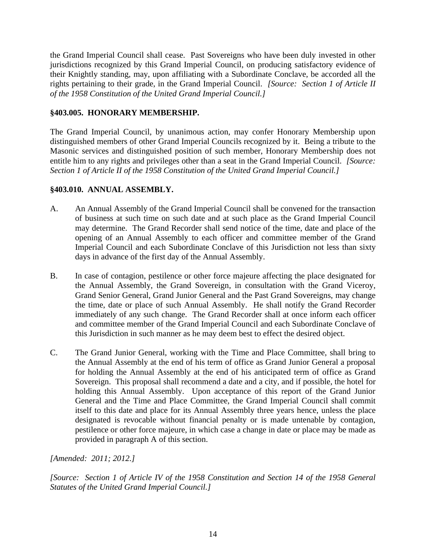the Grand Imperial Council shall cease. Past Sovereigns who have been duly invested in other jurisdictions recognized by this Grand Imperial Council, on producing satisfactory evidence of their Knightly standing, may, upon affiliating with a Subordinate Conclave, be accorded all the rights pertaining to their grade, in the Grand Imperial Council. *[Source: Section 1 of Article II of the 1958 Constitution of the United Grand Imperial Council.]*

# **§403.005. HONORARY MEMBERSHIP.**

The Grand Imperial Council, by unanimous action, may confer Honorary Membership upon distinguished members of other Grand Imperial Councils recognized by it. Being a tribute to the Masonic services and distinguished position of such member, Honorary Membership does not entitle him to any rights and privileges other than a seat in the Grand Imperial Council. *[Source: Section 1 of Article II of the 1958 Constitution of the United Grand Imperial Council.]*

# **§403.010. ANNUAL ASSEMBLY.**

- A. An Annual Assembly of the Grand Imperial Council shall be convened for the transaction of business at such time on such date and at such place as the Grand Imperial Council may determine. The Grand Recorder shall send notice of the time, date and place of the opening of an Annual Assembly to each officer and committee member of the Grand Imperial Council and each Subordinate Conclave of this Jurisdiction not less than sixty days in advance of the first day of the Annual Assembly.
- B. In case of contagion, pestilence or other force majeure affecting the place designated for the Annual Assembly, the Grand Sovereign, in consultation with the Grand Viceroy, Grand Senior General, Grand Junior General and the Past Grand Sovereigns, may change the time, date or place of such Annual Assembly. He shall notify the Grand Recorder immediately of any such change. The Grand Recorder shall at once inform each officer and committee member of the Grand Imperial Council and each Subordinate Conclave of this Jurisdiction in such manner as he may deem best to effect the desired object.
- C. The Grand Junior General, working with the Time and Place Committee, shall bring to the Annual Assembly at the end of his term of office as Grand Junior General a proposal for holding the Annual Assembly at the end of his anticipated term of office as Grand Sovereign. This proposal shall recommend a date and a city, and if possible, the hotel for holding this Annual Assembly. Upon acceptance of this report of the Grand Junior General and the Time and Place Committee, the Grand Imperial Council shall commit itself to this date and place for its Annual Assembly three years hence, unless the place designated is revocable without financial penalty or is made untenable by contagion, pestilence or other force majeure, in which case a change in date or place may be made as provided in paragraph A of this section.

*[Amended: 2011; 2012.]*

*[Source: Section 1 of Article IV of the 1958 Constitution and Section 14 of the 1958 General Statutes of the United Grand Imperial Council.]*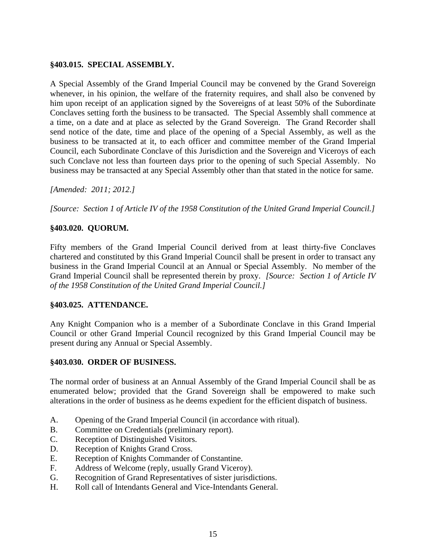### **§403.015. SPECIAL ASSEMBLY.**

A Special Assembly of the Grand Imperial Council may be convened by the Grand Sovereign whenever, in his opinion, the welfare of the fraternity requires, and shall also be convened by him upon receipt of an application signed by the Sovereigns of at least 50% of the Subordinate Conclaves setting forth the business to be transacted. The Special Assembly shall commence at a time, on a date and at place as selected by the Grand Sovereign. The Grand Recorder shall send notice of the date, time and place of the opening of a Special Assembly, as well as the business to be transacted at it, to each officer and committee member of the Grand Imperial Council, each Subordinate Conclave of this Jurisdiction and the Sovereign and Viceroys of each such Conclave not less than fourteen days prior to the opening of such Special Assembly. No business may be transacted at any Special Assembly other than that stated in the notice for same.

*[Amended: 2011; 2012.]*

*[Source: Section 1 of Article IV of the 1958 Constitution of the United Grand Imperial Council.]*

# **§403.020. QUORUM.**

Fifty members of the Grand Imperial Council derived from at least thirty-five Conclaves chartered and constituted by this Grand Imperial Council shall be present in order to transact any business in the Grand Imperial Council at an Annual or Special Assembly. No member of the Grand Imperial Council shall be represented therein by proxy. *[Source: Section 1 of Article IV of the 1958 Constitution of the United Grand Imperial Council.]*

### **§403.025. ATTENDANCE.**

Any Knight Companion who is a member of a Subordinate Conclave in this Grand Imperial Council or other Grand Imperial Council recognized by this Grand Imperial Council may be present during any Annual or Special Assembly.

### **§403.030. ORDER OF BUSINESS.**

The normal order of business at an Annual Assembly of the Grand Imperial Council shall be as enumerated below; provided that the Grand Sovereign shall be empowered to make such alterations in the order of business as he deems expedient for the efficient dispatch of business.

- A. Opening of the Grand Imperial Council (in accordance with ritual).
- B. Committee on Credentials (preliminary report).
- C. Reception of Distinguished Visitors.
- D. Reception of Knights Grand Cross.
- E. Reception of Knights Commander of Constantine.
- F. Address of Welcome (reply, usually Grand Viceroy).
- G. Recognition of Grand Representatives of sister jurisdictions.
- H. Roll call of Intendants General and Vice-Intendants General.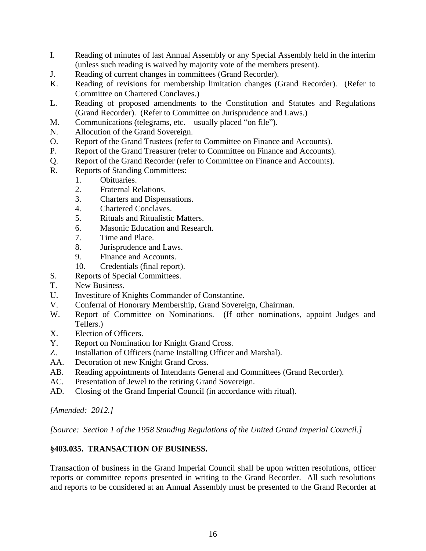- I. Reading of minutes of last Annual Assembly or any Special Assembly held in the interim (unless such reading is waived by majority vote of the members present).
- J. Reading of current changes in committees (Grand Recorder).
- K. Reading of revisions for membership limitation changes (Grand Recorder). (Refer to Committee on Chartered Conclaves.)
- L. Reading of proposed amendments to the Constitution and Statutes and Regulations (Grand Recorder). (Refer to Committee on Jurisprudence and Laws.)
- M. Communications (telegrams, etc.—usually placed "on file").
- N. Allocution of the Grand Sovereign.
- O. Report of the Grand Trustees (refer to Committee on Finance and Accounts).
- P. Report of the Grand Treasurer (refer to Committee on Finance and Accounts).
- Q. Report of the Grand Recorder (refer to Committee on Finance and Accounts).
- R. Reports of Standing Committees:
	- 1. Obituaries.
	- 2. Fraternal Relations.
	- 3. Charters and Dispensations.
	- 4. Chartered Conclaves.
	- 5. Rituals and Ritualistic Matters.
	- 6. Masonic Education and Research.
	- 7. Time and Place.
	- 8. Jurisprudence and Laws.
	- 9. Finance and Accounts.
	- 10. Credentials (final report).
- S. Reports of Special Committees.
- T. New Business.
- U. Investiture of Knights Commander of Constantine.
- V. Conferral of Honorary Membership, Grand Sovereign, Chairman.
- W. Report of Committee on Nominations. (If other nominations, appoint Judges and Tellers.)
- X. Election of Officers.
- Y. Report on Nomination for Knight Grand Cross.
- Z. Installation of Officers (name Installing Officer and Marshal).
- AA. Decoration of new Knight Grand Cross.
- AB. Reading appointments of Intendants General and Committees (Grand Recorder).
- AC. Presentation of Jewel to the retiring Grand Sovereign.
- AD. Closing of the Grand Imperial Council (in accordance with ritual).

*[Amended: 2012.]*

*[Source: Section 1 of the 1958 Standing Regulations of the United Grand Imperial Council.]*

### **§403.035. TRANSACTION OF BUSINESS.**

Transaction of business in the Grand Imperial Council shall be upon written resolutions, officer reports or committee reports presented in writing to the Grand Recorder. All such resolutions and reports to be considered at an Annual Assembly must be presented to the Grand Recorder at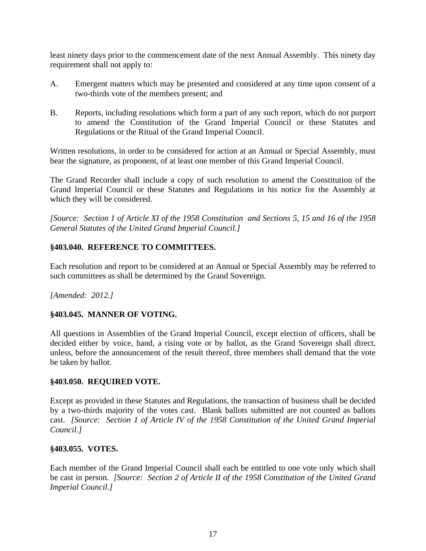least ninety days prior to the commencement date of the next Annual Assembly. This ninety day requirement shall not apply to:

- A. Emergent matters which may be presented and considered at any time upon consent of a two-thirds vote of the members present; and
- B. Reports, including resolutions which form a part of any such report, which do not purport to amend the Constitution of the Grand Imperial Council or these Statutes and Regulations or the Ritual of the Grand Imperial Council.

Written resolutions, in order to be considered for action at an Annual or Special Assembly, must bear the signature, as proponent, of at least one member of this Grand Imperial Council.

The Grand Recorder shall include a copy of such resolution to amend the Constitution of the Grand Imperial Council or these Statutes and Regulations in his notice for the Assembly at which they will be considered.

*[Source: Section 1 of Article XI of the 1958 Constitution and Sections 5, 15 and 16 of the 1958 General Statutes of the United Grand Imperial Council.]* 

# **§403.040. REFERENCE TO COMMITTEES.**

Each resolution and report to be considered at an Annual or Special Assembly may be referred to such committees as shall be determined by the Grand Sovereign.

*[Amended: 2012.]*

# **§403.045. MANNER OF VOTING.**

All questions in Assemblies of the Grand Imperial Council, except election of officers, shall be decided either by voice, hand, a rising vote or by ballot, as the Grand Sovereign shall direct, unless, before the announcement of the result thereof, three members shall demand that the vote be taken by ballot.

### **§403.050. REQUIRED VOTE.**

Except as provided in these Statutes and Regulations, the transaction of business shall be decided by a two-thirds majority of the votes cast. Blank ballots submitted are not counted as ballots cast. *[Source: Section 1 of Article IV of the 1958 Constitution of the United Grand Imperial Council.]*

# **§403.055. VOTES.**

Each member of the Grand Imperial Council shall each be entitled to one vote only which shall be cast in person. *[Source: Section 2 of Article II of the 1958 Constitution of the United Grand Imperial Council.]*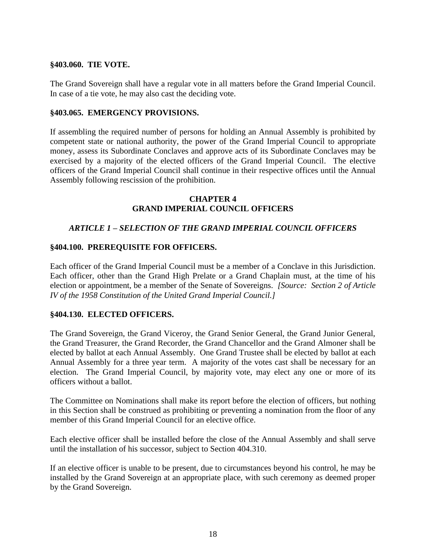### **§403.060. TIE VOTE.**

The Grand Sovereign shall have a regular vote in all matters before the Grand Imperial Council. In case of a tie vote, he may also cast the deciding vote.

### **§403.065. EMERGENCY PROVISIONS.**

If assembling the required number of persons for holding an Annual Assembly is prohibited by competent state or national authority, the power of the Grand Imperial Council to appropriate money, assess its Subordinate Conclaves and approve acts of its Subordinate Conclaves may be exercised by a majority of the elected officers of the Grand Imperial Council. The elective officers of the Grand Imperial Council shall continue in their respective offices until the Annual Assembly following rescission of the prohibition.

#### **CHAPTER 4 GRAND IMPERIAL COUNCIL OFFICERS**

# *ARTICLE 1 – SELECTION OF THE GRAND IMPERIAL COUNCIL OFFICERS*

### **§404.100. PREREQUISITE FOR OFFICERS.**

Each officer of the Grand Imperial Council must be a member of a Conclave in this Jurisdiction. Each officer, other than the Grand High Prelate or a Grand Chaplain must, at the time of his election or appointment, be a member of the Senate of Sovereigns. *[Source: Section 2 of Article IV of the 1958 Constitution of the United Grand Imperial Council.]*

### **§404.130. ELECTED OFFICERS.**

The Grand Sovereign, the Grand Viceroy, the Grand Senior General, the Grand Junior General, the Grand Treasurer, the Grand Recorder, the Grand Chancellor and the Grand Almoner shall be elected by ballot at each Annual Assembly. One Grand Trustee shall be elected by ballot at each Annual Assembly for a three year term. A majority of the votes cast shall be necessary for an election. The Grand Imperial Council, by majority vote, may elect any one or more of its officers without a ballot.

The Committee on Nominations shall make its report before the election of officers, but nothing in this Section shall be construed as prohibiting or preventing a nomination from the floor of any member of this Grand Imperial Council for an elective office.

Each elective officer shall be installed before the close of the Annual Assembly and shall serve until the installation of his successor, subject to Section 404.310.

If an elective officer is unable to be present, due to circumstances beyond his control, he may be installed by the Grand Sovereign at an appropriate place, with such ceremony as deemed proper by the Grand Sovereign.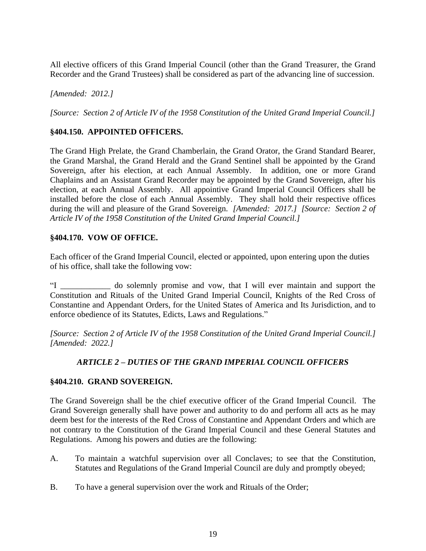All elective officers of this Grand Imperial Council (other than the Grand Treasurer, the Grand Recorder and the Grand Trustees) shall be considered as part of the advancing line of succession.

*[Amended: 2012.]*

*[Source: Section 2 of Article IV of the 1958 Constitution of the United Grand Imperial Council.]*

# **§404.150. APPOINTED OFFICERS.**

The Grand High Prelate, the Grand Chamberlain, the Grand Orator, the Grand Standard Bearer, the Grand Marshal, the Grand Herald and the Grand Sentinel shall be appointed by the Grand Sovereign, after his election, at each Annual Assembly. In addition, one or more Grand Chaplains and an Assistant Grand Recorder may be appointed by the Grand Sovereign, after his election, at each Annual Assembly. All appointive Grand Imperial Council Officers shall be installed before the close of each Annual Assembly. They shall hold their respective offices during the will and pleasure of the Grand Sovereign. *[Amended: 2017.] [Source: Section 2 of Article IV of the 1958 Constitution of the United Grand Imperial Council.]*

### **§404.170. VOW OF OFFICE.**

Each officer of the Grand Imperial Council, elected or appointed, upon entering upon the duties of his office, shall take the following vow:

"I \_\_\_\_\_\_\_\_\_\_\_\_ do solemnly promise and vow, that I will ever maintain and support the Constitution and Rituals of the United Grand Imperial Council, Knights of the Red Cross of Constantine and Appendant Orders, for the United States of America and Its Jurisdiction, and to enforce obedience of its Statutes, Edicts, Laws and Regulations."

*[Source: Section 2 of Article IV of the 1958 Constitution of the United Grand Imperial Council.] [Amended: 2022.]*

### *ARTICLE 2 – DUTIES OF THE GRAND IMPERIAL COUNCIL OFFICERS*

#### **§404.210. GRAND SOVEREIGN.**

The Grand Sovereign shall be the chief executive officer of the Grand Imperial Council. The Grand Sovereign generally shall have power and authority to do and perform all acts as he may deem best for the interests of the Red Cross of Constantine and Appendant Orders and which are not contrary to the Constitution of the Grand Imperial Council and these General Statutes and Regulations. Among his powers and duties are the following:

- A. To maintain a watchful supervision over all Conclaves; to see that the Constitution, Statutes and Regulations of the Grand Imperial Council are duly and promptly obeyed;
- B. To have a general supervision over the work and Rituals of the Order;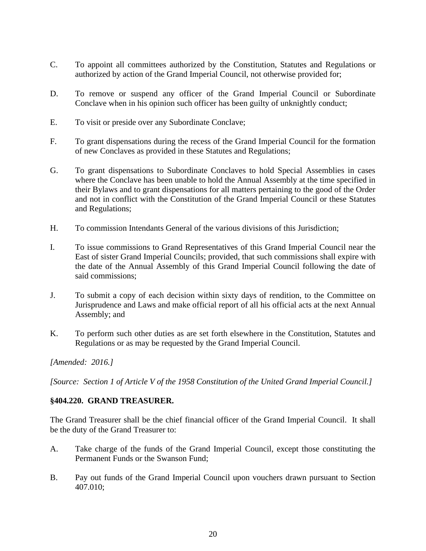- C. To appoint all committees authorized by the Constitution, Statutes and Regulations or authorized by action of the Grand Imperial Council, not otherwise provided for;
- D. To remove or suspend any officer of the Grand Imperial Council or Subordinate Conclave when in his opinion such officer has been guilty of unknightly conduct;
- E. To visit or preside over any Subordinate Conclave;
- F. To grant dispensations during the recess of the Grand Imperial Council for the formation of new Conclaves as provided in these Statutes and Regulations;
- G. To grant dispensations to Subordinate Conclaves to hold Special Assemblies in cases where the Conclave has been unable to hold the Annual Assembly at the time specified in their Bylaws and to grant dispensations for all matters pertaining to the good of the Order and not in conflict with the Constitution of the Grand Imperial Council or these Statutes and Regulations;
- H. To commission Intendants General of the various divisions of this Jurisdiction;
- I. To issue commissions to Grand Representatives of this Grand Imperial Council near the East of sister Grand Imperial Councils; provided, that such commissions shall expire with the date of the Annual Assembly of this Grand Imperial Council following the date of said commissions;
- J. To submit a copy of each decision within sixty days of rendition, to the Committee on Jurisprudence and Laws and make official report of all his official acts at the next Annual Assembly; and
- K. To perform such other duties as are set forth elsewhere in the Constitution, Statutes and Regulations or as may be requested by the Grand Imperial Council.

*[Amended: 2016.]*

*[Source: Section 1 of Article V of the 1958 Constitution of the United Grand Imperial Council.]*

### **§404.220. GRAND TREASURER.**

The Grand Treasurer shall be the chief financial officer of the Grand Imperial Council. It shall be the duty of the Grand Treasurer to:

- A. Take charge of the funds of the Grand Imperial Council, except those constituting the Permanent Funds or the Swanson Fund;
- B. Pay out funds of the Grand Imperial Council upon vouchers drawn pursuant to Section 407.010;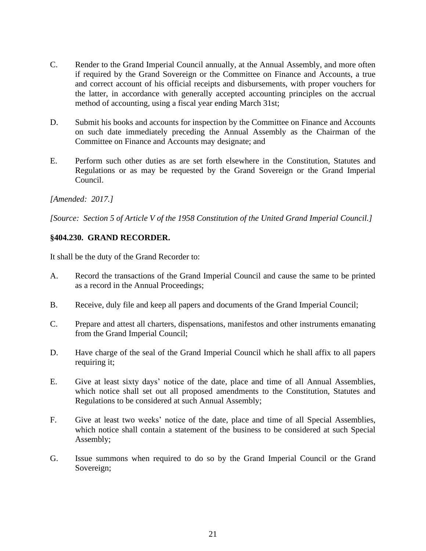- C. Render to the Grand Imperial Council annually, at the Annual Assembly, and more often if required by the Grand Sovereign or the Committee on Finance and Accounts, a true and correct account of his official receipts and disbursements, with proper vouchers for the latter, in accordance with generally accepted accounting principles on the accrual method of accounting, using a fiscal year ending March 31st;
- D. Submit his books and accounts for inspection by the Committee on Finance and Accounts on such date immediately preceding the Annual Assembly as the Chairman of the Committee on Finance and Accounts may designate; and
- E. Perform such other duties as are set forth elsewhere in the Constitution, Statutes and Regulations or as may be requested by the Grand Sovereign or the Grand Imperial Council.

*[Amended: 2017.]*

*[Source: Section 5 of Article V of the 1958 Constitution of the United Grand Imperial Council.]*

# **§404.230. GRAND RECORDER.**

It shall be the duty of the Grand Recorder to:

- A. Record the transactions of the Grand Imperial Council and cause the same to be printed as a record in the Annual Proceedings;
- B. Receive, duly file and keep all papers and documents of the Grand Imperial Council;
- C. Prepare and attest all charters, dispensations, manifestos and other instruments emanating from the Grand Imperial Council;
- D. Have charge of the seal of the Grand Imperial Council which he shall affix to all papers requiring it;
- E. Give at least sixty days' notice of the date, place and time of all Annual Assemblies, which notice shall set out all proposed amendments to the Constitution, Statutes and Regulations to be considered at such Annual Assembly;
- F. Give at least two weeks' notice of the date, place and time of all Special Assemblies, which notice shall contain a statement of the business to be considered at such Special Assembly;
- G. Issue summons when required to do so by the Grand Imperial Council or the Grand Sovereign;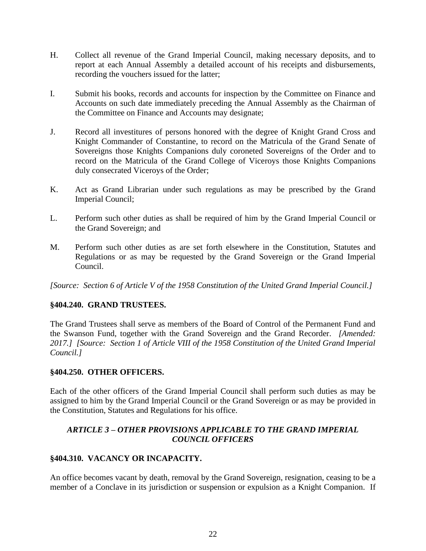- H. Collect all revenue of the Grand Imperial Council, making necessary deposits, and to report at each Annual Assembly a detailed account of his receipts and disbursements, recording the vouchers issued for the latter;
- I. Submit his books, records and accounts for inspection by the Committee on Finance and Accounts on such date immediately preceding the Annual Assembly as the Chairman of the Committee on Finance and Accounts may designate;
- J. Record all investitures of persons honored with the degree of Knight Grand Cross and Knight Commander of Constantine, to record on the Matricula of the Grand Senate of Sovereigns those Knights Companions duly coroneted Sovereigns of the Order and to record on the Matricula of the Grand College of Viceroys those Knights Companions duly consecrated Viceroys of the Order;
- K. Act as Grand Librarian under such regulations as may be prescribed by the Grand Imperial Council;
- L. Perform such other duties as shall be required of him by the Grand Imperial Council or the Grand Sovereign; and
- M. Perform such other duties as are set forth elsewhere in the Constitution, Statutes and Regulations or as may be requested by the Grand Sovereign or the Grand Imperial Council.

*[Source: Section 6 of Article V of the 1958 Constitution of the United Grand Imperial Council.]*

# **§404.240. GRAND TRUSTEES.**

The Grand Trustees shall serve as members of the Board of Control of the Permanent Fund and the Swanson Fund, together with the Grand Sovereign and the Grand Recorder. *[Amended: 2017.] [Source: Section 1 of Article VIII of the 1958 Constitution of the United Grand Imperial Council.]*

### **§404.250. OTHER OFFICERS.**

Each of the other officers of the Grand Imperial Council shall perform such duties as may be assigned to him by the Grand Imperial Council or the Grand Sovereign or as may be provided in the Constitution, Statutes and Regulations for his office.

# *ARTICLE 3 – OTHER PROVISIONS APPLICABLE TO THE GRAND IMPERIAL COUNCIL OFFICERS*

# **§404.310. VACANCY OR INCAPACITY.**

An office becomes vacant by death, removal by the Grand Sovereign, resignation, ceasing to be a member of a Conclave in its jurisdiction or suspension or expulsion as a Knight Companion. If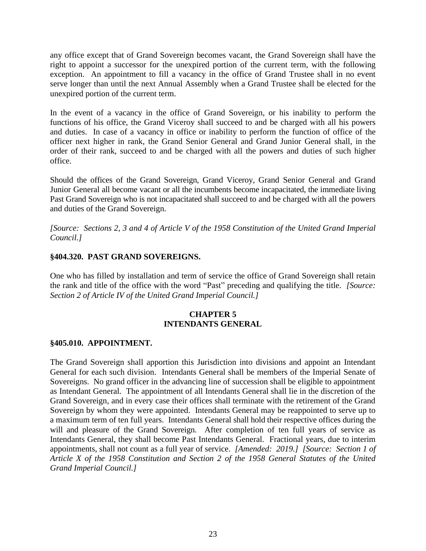any office except that of Grand Sovereign becomes vacant, the Grand Sovereign shall have the right to appoint a successor for the unexpired portion of the current term, with the following exception. An appointment to fill a vacancy in the office of Grand Trustee shall in no event serve longer than until the next Annual Assembly when a Grand Trustee shall be elected for the unexpired portion of the current term.

In the event of a vacancy in the office of Grand Sovereign, or his inability to perform the functions of his office, the Grand Viceroy shall succeed to and be charged with all his powers and duties. In case of a vacancy in office or inability to perform the function of office of the officer next higher in rank, the Grand Senior General and Grand Junior General shall, in the order of their rank, succeed to and be charged with all the powers and duties of such higher office.

Should the offices of the Grand Sovereign, Grand Viceroy, Grand Senior General and Grand Junior General all become vacant or all the incumbents become incapacitated, the immediate living Past Grand Sovereign who is not incapacitated shall succeed to and be charged with all the powers and duties of the Grand Sovereign.

*[Source: Sections 2, 3 and 4 of Article V of the 1958 Constitution of the United Grand Imperial Council.]*

# **§404.320. PAST GRAND SOVEREIGNS.**

One who has filled by installation and term of service the office of Grand Sovereign shall retain the rank and title of the office with the word "Past" preceding and qualifying the title. *[Source: Section 2 of Article IV of the United Grand Imperial Council.]*

# **CHAPTER 5 INTENDANTS GENERAL**

### **§405.010. APPOINTMENT.**

The Grand Sovereign shall apportion this Jurisdiction into divisions and appoint an Intendant General for each such division. Intendants General shall be members of the Imperial Senate of Sovereigns. No grand officer in the advancing line of succession shall be eligible to appointment as Intendant General. The appointment of all Intendants General shall lie in the discretion of the Grand Sovereign, and in every case their offices shall terminate with the retirement of the Grand Sovereign by whom they were appointed. Intendants General may be reappointed to serve up to a maximum term of ten full years. Intendants General shall hold their respective offices during the will and pleasure of the Grand Sovereign. After completion of ten full years of service as Intendants General, they shall become Past Intendants General. Fractional years, due to interim appointments, shall not count as a full year of service. *[Amended: 2019.] [Source: Section 1 of Article X of the 1958 Constitution and Section 2 of the 1958 General Statutes of the United Grand Imperial Council.]*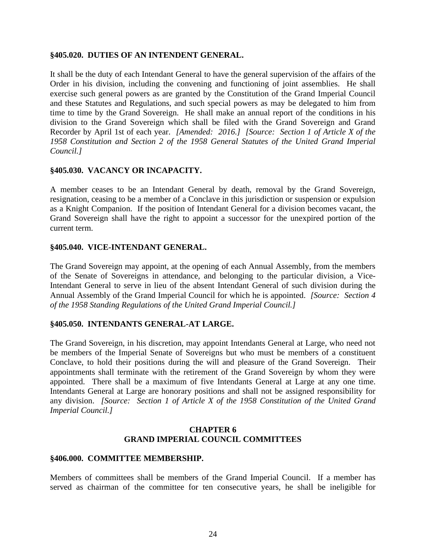### **§405.020. DUTIES OF AN INTENDENT GENERAL.**

It shall be the duty of each Intendant General to have the general supervision of the affairs of the Order in his division, including the convening and functioning of joint assemblies. He shall exercise such general powers as are granted by the Constitution of the Grand Imperial Council and these Statutes and Regulations, and such special powers as may be delegated to him from time to time by the Grand Sovereign. He shall make an annual report of the conditions in his division to the Grand Sovereign which shall be filed with the Grand Sovereign and Grand Recorder by April 1st of each year. *[Amended: 2016.] [Source: Section 1 of Article X of the 1958 Constitution and Section 2 of the 1958 General Statutes of the United Grand Imperial Council.]*

# **§405.030. VACANCY OR INCAPACITY.**

A member ceases to be an Intendant General by death, removal by the Grand Sovereign, resignation, ceasing to be a member of a Conclave in this jurisdiction or suspension or expulsion as a Knight Companion. If the position of Intendant General for a division becomes vacant, the Grand Sovereign shall have the right to appoint a successor for the unexpired portion of the current term.

### **§405.040. VICE-INTENDANT GENERAL.**

The Grand Sovereign may appoint, at the opening of each Annual Assembly, from the members of the Senate of Sovereigns in attendance, and belonging to the particular division, a Vice-Intendant General to serve in lieu of the absent Intendant General of such division during the Annual Assembly of the Grand Imperial Council for which he is appointed. *[Source: Section 4 of the 1958 Standing Regulations of the United Grand Imperial Council.]*

#### **§405.050. INTENDANTS GENERAL-AT LARGE.**

The Grand Sovereign, in his discretion, may appoint Intendants General at Large, who need not be members of the Imperial Senate of Sovereigns but who must be members of a constituent Conclave, to hold their positions during the will and pleasure of the Grand Sovereign. Their appointments shall terminate with the retirement of the Grand Sovereign by whom they were appointed. There shall be a maximum of five Intendants General at Large at any one time. Intendants General at Large are honorary positions and shall not be assigned responsibility for any division. *[Source: Section 1 of Article X of the 1958 Constitution of the United Grand Imperial Council.]*

### **CHAPTER 6 GRAND IMPERIAL COUNCIL COMMITTEES**

#### **§406.000. COMMITTEE MEMBERSHIP.**

Members of committees shall be members of the Grand Imperial Council. If a member has served as chairman of the committee for ten consecutive years, he shall be ineligible for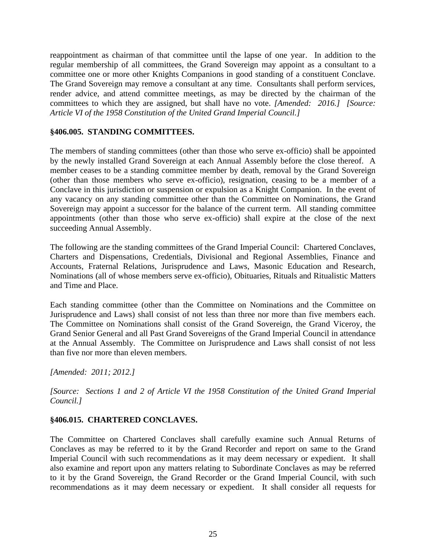reappointment as chairman of that committee until the lapse of one year. In addition to the regular membership of all committees, the Grand Sovereign may appoint as a consultant to a committee one or more other Knights Companions in good standing of a constituent Conclave. The Grand Sovereign may remove a consultant at any time. Consultants shall perform services, render advice, and attend committee meetings, as may be directed by the chairman of the committees to which they are assigned, but shall have no vote. *[Amended: 2016.] [Source: Article VI of the 1958 Constitution of the United Grand Imperial Council.]*

# **§406.005. STANDING COMMITTEES.**

The members of standing committees (other than those who serve ex-officio) shall be appointed by the newly installed Grand Sovereign at each Annual Assembly before the close thereof. A member ceases to be a standing committee member by death, removal by the Grand Sovereign (other than those members who serve ex-officio), resignation, ceasing to be a member of a Conclave in this jurisdiction or suspension or expulsion as a Knight Companion. In the event of any vacancy on any standing committee other than the Committee on Nominations, the Grand Sovereign may appoint a successor for the balance of the current term. All standing committee appointments (other than those who serve ex-officio) shall expire at the close of the next succeeding Annual Assembly.

The following are the standing committees of the Grand Imperial Council: Chartered Conclaves, Charters and Dispensations, Credentials, Divisional and Regional Assemblies, Finance and Accounts, Fraternal Relations, Jurisprudence and Laws, Masonic Education and Research, Nominations (all of whose members serve ex-officio), Obituaries, Rituals and Ritualistic Matters and Time and Place.

Each standing committee (other than the Committee on Nominations and the Committee on Jurisprudence and Laws) shall consist of not less than three nor more than five members each. The Committee on Nominations shall consist of the Grand Sovereign, the Grand Viceroy, the Grand Senior General and all Past Grand Sovereigns of the Grand Imperial Council in attendance at the Annual Assembly. The Committee on Jurisprudence and Laws shall consist of not less than five nor more than eleven members.

*[Amended: 2011; 2012.]*

*[Source: Sections 1 and 2 of Article VI the 1958 Constitution of the United Grand Imperial Council.]*

# **§406.015. CHARTERED CONCLAVES.**

The Committee on Chartered Conclaves shall carefully examine such Annual Returns of Conclaves as may be referred to it by the Grand Recorder and report on same to the Grand Imperial Council with such recommendations as it may deem necessary or expedient. It shall also examine and report upon any matters relating to Subordinate Conclaves as may be referred to it by the Grand Sovereign, the Grand Recorder or the Grand Imperial Council, with such recommendations as it may deem necessary or expedient. It shall consider all requests for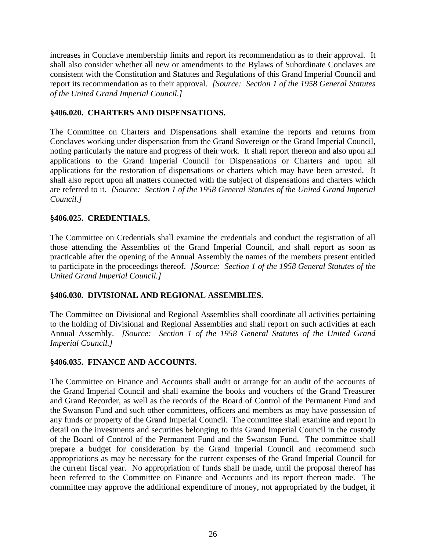increases in Conclave membership limits and report its recommendation as to their approval. It shall also consider whether all new or amendments to the Bylaws of Subordinate Conclaves are consistent with the Constitution and Statutes and Regulations of this Grand Imperial Council and report its recommendation as to their approval. *[Source: Section 1 of the 1958 General Statutes of the United Grand Imperial Council.]*

# **§406.020. CHARTERS AND DISPENSATIONS.**

The Committee on Charters and Dispensations shall examine the reports and returns from Conclaves working under dispensation from the Grand Sovereign or the Grand Imperial Council, noting particularly the nature and progress of their work. It shall report thereon and also upon all applications to the Grand Imperial Council for Dispensations or Charters and upon all applications for the restoration of dispensations or charters which may have been arrested. It shall also report upon all matters connected with the subject of dispensations and charters which are referred to it. *[Source: Section 1 of the 1958 General Statutes of the United Grand Imperial Council.]*

### **§406.025. CREDENTIALS.**

The Committee on Credentials shall examine the credentials and conduct the registration of all those attending the Assemblies of the Grand Imperial Council, and shall report as soon as practicable after the opening of the Annual Assembly the names of the members present entitled to participate in the proceedings thereof. *[Source: Section 1 of the 1958 General Statutes of the United Grand Imperial Council.]*

### **§406.030. DIVISIONAL AND REGIONAL ASSEMBLIES.**

The Committee on Divisional and Regional Assemblies shall coordinate all activities pertaining to the holding of Divisional and Regional Assemblies and shall report on such activities at each Annual Assembly. *[Source: Section 1 of the 1958 General Statutes of the United Grand Imperial Council.]*

# **§406.035. FINANCE AND ACCOUNTS.**

The Committee on Finance and Accounts shall audit or arrange for an audit of the accounts of the Grand Imperial Council and shall examine the books and vouchers of the Grand Treasurer and Grand Recorder, as well as the records of the Board of Control of the Permanent Fund and the Swanson Fund and such other committees, officers and members as may have possession of any funds or property of the Grand Imperial Council. The committee shall examine and report in detail on the investments and securities belonging to this Grand Imperial Council in the custody of the Board of Control of the Permanent Fund and the Swanson Fund. The committee shall prepare a budget for consideration by the Grand Imperial Council and recommend such appropriations as may be necessary for the current expenses of the Grand Imperial Council for the current fiscal year. No appropriation of funds shall be made, until the proposal thereof has been referred to the Committee on Finance and Accounts and its report thereon made. The committee may approve the additional expenditure of money, not appropriated by the budget, if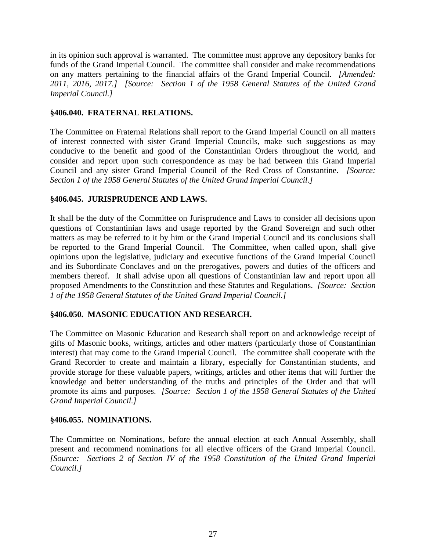in its opinion such approval is warranted. The committee must approve any depository banks for funds of the Grand Imperial Council. The committee shall consider and make recommendations on any matters pertaining to the financial affairs of the Grand Imperial Council. *[Amended: 2011, 2016, 2017.] [Source: Section 1 of the 1958 General Statutes of the United Grand Imperial Council.]*

# **§406.040. FRATERNAL RELATIONS.**

The Committee on Fraternal Relations shall report to the Grand Imperial Council on all matters of interest connected with sister Grand Imperial Councils, make such suggestions as may conducive to the benefit and good of the Constantinian Orders throughout the world, and consider and report upon such correspondence as may be had between this Grand Imperial Council and any sister Grand Imperial Council of the Red Cross of Constantine. *[Source: Section 1 of the 1958 General Statutes of the United Grand Imperial Council.]*

# **§406.045. JURISPRUDENCE AND LAWS.**

It shall be the duty of the Committee on Jurisprudence and Laws to consider all decisions upon questions of Constantinian laws and usage reported by the Grand Sovereign and such other matters as may be referred to it by him or the Grand Imperial Council and its conclusions shall be reported to the Grand Imperial Council. The Committee, when called upon, shall give opinions upon the legislative, judiciary and executive functions of the Grand Imperial Council and its Subordinate Conclaves and on the prerogatives, powers and duties of the officers and members thereof. It shall advise upon all questions of Constantinian law and report upon all proposed Amendments to the Constitution and these Statutes and Regulations. *[Source: Section 1 of the 1958 General Statutes of the United Grand Imperial Council.]*

# **§406.050. MASONIC EDUCATION AND RESEARCH.**

The Committee on Masonic Education and Research shall report on and acknowledge receipt of gifts of Masonic books, writings, articles and other matters (particularly those of Constantinian interest) that may come to the Grand Imperial Council. The committee shall cooperate with the Grand Recorder to create and maintain a library, especially for Constantinian students, and provide storage for these valuable papers, writings, articles and other items that will further the knowledge and better understanding of the truths and principles of the Order and that will promote its aims and purposes. *[Source: Section 1 of the 1958 General Statutes of the United Grand Imperial Council.]*

### **§406.055. NOMINATIONS.**

The Committee on Nominations, before the annual election at each Annual Assembly, shall present and recommend nominations for all elective officers of the Grand Imperial Council. *[Source: Sections 2 of Section IV of the 1958 Constitution of the United Grand Imperial Council.]*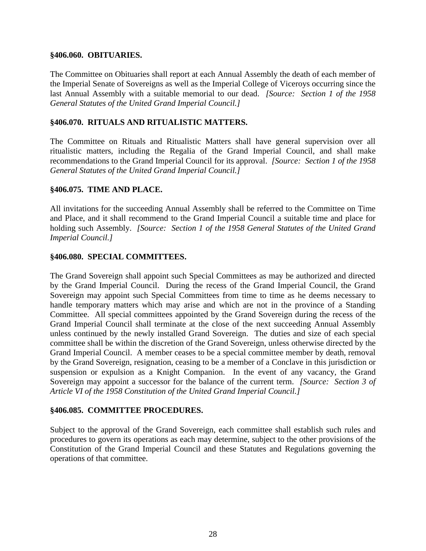#### **§406.060. OBITUARIES.**

The Committee on Obituaries shall report at each Annual Assembly the death of each member of the Imperial Senate of Sovereigns as well as the Imperial College of Viceroys occurring since the last Annual Assembly with a suitable memorial to our dead. *[Source: Section 1 of the 1958 General Statutes of the United Grand Imperial Council.]*

### **§406.070. RITUALS AND RITUALISTIC MATTERS.**

The Committee on Rituals and Ritualistic Matters shall have general supervision over all ritualistic matters, including the Regalia of the Grand Imperial Council, and shall make recommendations to the Grand Imperial Council for its approval. *[Source: Section 1 of the 1958 General Statutes of the United Grand Imperial Council.]*

### **§406.075. TIME AND PLACE.**

All invitations for the succeeding Annual Assembly shall be referred to the Committee on Time and Place, and it shall recommend to the Grand Imperial Council a suitable time and place for holding such Assembly. *[Source: Section 1 of the 1958 General Statutes of the United Grand Imperial Council.]*

### **§406.080. SPECIAL COMMITTEES.**

The Grand Sovereign shall appoint such Special Committees as may be authorized and directed by the Grand Imperial Council. During the recess of the Grand Imperial Council, the Grand Sovereign may appoint such Special Committees from time to time as he deems necessary to handle temporary matters which may arise and which are not in the province of a Standing Committee. All special committees appointed by the Grand Sovereign during the recess of the Grand Imperial Council shall terminate at the close of the next succeeding Annual Assembly unless continued by the newly installed Grand Sovereign. The duties and size of each special committee shall be within the discretion of the Grand Sovereign, unless otherwise directed by the Grand Imperial Council. A member ceases to be a special committee member by death, removal by the Grand Sovereign, resignation, ceasing to be a member of a Conclave in this jurisdiction or suspension or expulsion as a Knight Companion. In the event of any vacancy, the Grand Sovereign may appoint a successor for the balance of the current term. *[Source: Section 3 of Article VI of the 1958 Constitution of the United Grand Imperial Council.]*

### **§406.085. COMMITTEE PROCEDURES.**

Subject to the approval of the Grand Sovereign, each committee shall establish such rules and procedures to govern its operations as each may determine, subject to the other provisions of the Constitution of the Grand Imperial Council and these Statutes and Regulations governing the operations of that committee.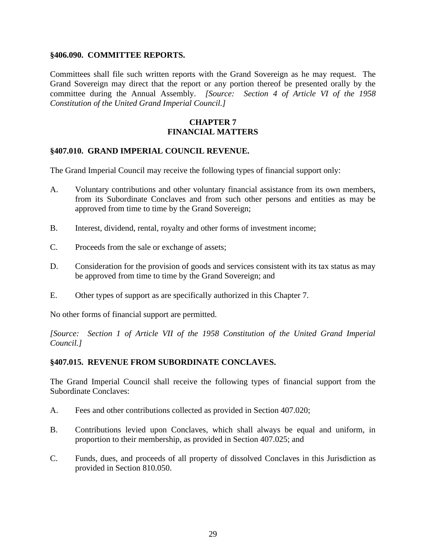#### **§406.090. COMMITTEE REPORTS.**

Committees shall file such written reports with the Grand Sovereign as he may request. The Grand Sovereign may direct that the report or any portion thereof be presented orally by the committee during the Annual Assembly. *[Source: Section 4 of Article VI of the 1958 Constitution of the United Grand Imperial Council.]*

# **CHAPTER 7 FINANCIAL MATTERS**

# **§407.010. GRAND IMPERIAL COUNCIL REVENUE.**

The Grand Imperial Council may receive the following types of financial support only:

- A. Voluntary contributions and other voluntary financial assistance from its own members, from its Subordinate Conclaves and from such other persons and entities as may be approved from time to time by the Grand Sovereign;
- B. Interest, dividend, rental, royalty and other forms of investment income;
- C. Proceeds from the sale or exchange of assets;
- D. Consideration for the provision of goods and services consistent with its tax status as may be approved from time to time by the Grand Sovereign; and
- E. Other types of support as are specifically authorized in this Chapter 7.

No other forms of financial support are permitted.

*[Source: Section 1 of Article VII of the 1958 Constitution of the United Grand Imperial Council.]*

### **§407.015. REVENUE FROM SUBORDINATE CONCLAVES.**

The Grand Imperial Council shall receive the following types of financial support from the Subordinate Conclaves:

- A. Fees and other contributions collected as provided in Section 407.020;
- B. Contributions levied upon Conclaves, which shall always be equal and uniform, in proportion to their membership, as provided in Section 407.025; and
- C. Funds, dues, and proceeds of all property of dissolved Conclaves in this Jurisdiction as provided in Section 810.050.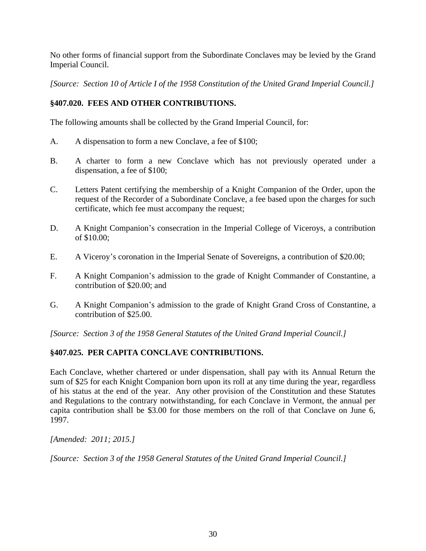No other forms of financial support from the Subordinate Conclaves may be levied by the Grand Imperial Council.

*[Source: Section 10 of Article I of the 1958 Constitution of the United Grand Imperial Council.]*

# **§407.020. FEES AND OTHER CONTRIBUTIONS.**

The following amounts shall be collected by the Grand Imperial Council, for:

- A. A dispensation to form a new Conclave, a fee of \$100;
- B. A charter to form a new Conclave which has not previously operated under a dispensation, a fee of \$100;
- C. Letters Patent certifying the membership of a Knight Companion of the Order, upon the request of the Recorder of a Subordinate Conclave, a fee based upon the charges for such certificate, which fee must accompany the request;
- D. A Knight Companion's consecration in the Imperial College of Viceroys, a contribution of \$10.00;
- E. A Viceroy's coronation in the Imperial Senate of Sovereigns, a contribution of \$20.00;
- F. A Knight Companion's admission to the grade of Knight Commander of Constantine, a contribution of \$20.00; and
- G. A Knight Companion's admission to the grade of Knight Grand Cross of Constantine, a contribution of \$25.00.

*[Source: Section 3 of the 1958 General Statutes of the United Grand Imperial Council.]*

# **§407.025. PER CAPITA CONCLAVE CONTRIBUTIONS.**

Each Conclave, whether chartered or under dispensation, shall pay with its Annual Return the sum of \$25 for each Knight Companion born upon its roll at any time during the year, regardless of his status at the end of the year. Any other provision of the Constitution and these Statutes and Regulations to the contrary notwithstanding, for each Conclave in Vermont, the annual per capita contribution shall be \$3.00 for those members on the roll of that Conclave on June 6, 1997.

*[Amended: 2011; 2015.]*

*[Source: Section 3 of the 1958 General Statutes of the United Grand Imperial Council.]*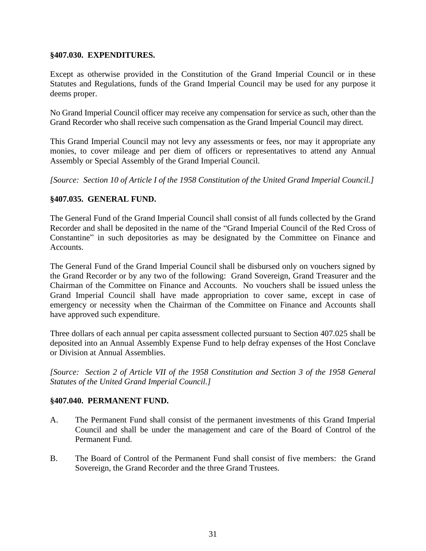### **§407.030. EXPENDITURES.**

Except as otherwise provided in the Constitution of the Grand Imperial Council or in these Statutes and Regulations, funds of the Grand Imperial Council may be used for any purpose it deems proper.

No Grand Imperial Council officer may receive any compensation for service as such, other than the Grand Recorder who shall receive such compensation as the Grand Imperial Council may direct.

This Grand Imperial Council may not levy any assessments or fees, nor may it appropriate any monies, to cover mileage and per diem of officers or representatives to attend any Annual Assembly or Special Assembly of the Grand Imperial Council.

*[Source: Section 10 of Article I of the 1958 Constitution of the United Grand Imperial Council.]*

# **§407.035. GENERAL FUND.**

The General Fund of the Grand Imperial Council shall consist of all funds collected by the Grand Recorder and shall be deposited in the name of the "Grand Imperial Council of the Red Cross of Constantine" in such depositories as may be designated by the Committee on Finance and Accounts.

The General Fund of the Grand Imperial Council shall be disbursed only on vouchers signed by the Grand Recorder or by any two of the following: Grand Sovereign, Grand Treasurer and the Chairman of the Committee on Finance and Accounts. No vouchers shall be issued unless the Grand Imperial Council shall have made appropriation to cover same, except in case of emergency or necessity when the Chairman of the Committee on Finance and Accounts shall have approved such expenditure.

Three dollars of each annual per capita assessment collected pursuant to Section 407.025 shall be deposited into an Annual Assembly Expense Fund to help defray expenses of the Host Conclave or Division at Annual Assemblies.

*[Source: Section 2 of Article VII of the 1958 Constitution and Section 3 of the 1958 General Statutes of the United Grand Imperial Council.]*

### **§407.040. PERMANENT FUND.**

- A. The Permanent Fund shall consist of the permanent investments of this Grand Imperial Council and shall be under the management and care of the Board of Control of the Permanent Fund.
- B. The Board of Control of the Permanent Fund shall consist of five members: the Grand Sovereign, the Grand Recorder and the three Grand Trustees.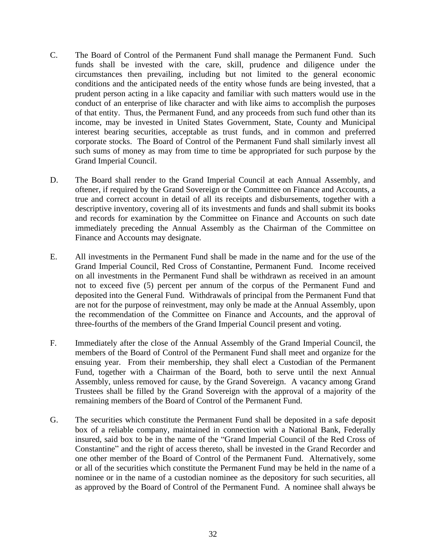- C. The Board of Control of the Permanent Fund shall manage the Permanent Fund. Such funds shall be invested with the care, skill, prudence and diligence under the circumstances then prevailing, including but not limited to the general economic conditions and the anticipated needs of the entity whose funds are being invested, that a prudent person acting in a like capacity and familiar with such matters would use in the conduct of an enterprise of like character and with like aims to accomplish the purposes of that entity. Thus, the Permanent Fund, and any proceeds from such fund other than its income, may be invested in United States Government, State, County and Municipal interest bearing securities, acceptable as trust funds, and in common and preferred corporate stocks. The Board of Control of the Permanent Fund shall similarly invest all such sums of money as may from time to time be appropriated for such purpose by the Grand Imperial Council.
- D. The Board shall render to the Grand Imperial Council at each Annual Assembly, and oftener, if required by the Grand Sovereign or the Committee on Finance and Accounts, a true and correct account in detail of all its receipts and disbursements, together with a descriptive inventory, covering all of its investments and funds and shall submit its books and records for examination by the Committee on Finance and Accounts on such date immediately preceding the Annual Assembly as the Chairman of the Committee on Finance and Accounts may designate.
- E. All investments in the Permanent Fund shall be made in the name and for the use of the Grand Imperial Council, Red Cross of Constantine, Permanent Fund. Income received on all investments in the Permanent Fund shall be withdrawn as received in an amount not to exceed five (5) percent per annum of the corpus of the Permanent Fund and deposited into the General Fund. Withdrawals of principal from the Permanent Fund that are not for the purpose of reinvestment, may only be made at the Annual Assembly, upon the recommendation of the Committee on Finance and Accounts, and the approval of three-fourths of the members of the Grand Imperial Council present and voting.
- F. Immediately after the close of the Annual Assembly of the Grand Imperial Council, the members of the Board of Control of the Permanent Fund shall meet and organize for the ensuing year. From their membership, they shall elect a Custodian of the Permanent Fund, together with a Chairman of the Board, both to serve until the next Annual Assembly, unless removed for cause, by the Grand Sovereign. A vacancy among Grand Trustees shall be filled by the Grand Sovereign with the approval of a majority of the remaining members of the Board of Control of the Permanent Fund.
- G. The securities which constitute the Permanent Fund shall be deposited in a safe deposit box of a reliable company, maintained in connection with a National Bank, Federally insured, said box to be in the name of the "Grand Imperial Council of the Red Cross of Constantine" and the right of access thereto, shall be invested in the Grand Recorder and one other member of the Board of Control of the Permanent Fund. Alternatively, some or all of the securities which constitute the Permanent Fund may be held in the name of a nominee or in the name of a custodian nominee as the depository for such securities, all as approved by the Board of Control of the Permanent Fund. A nominee shall always be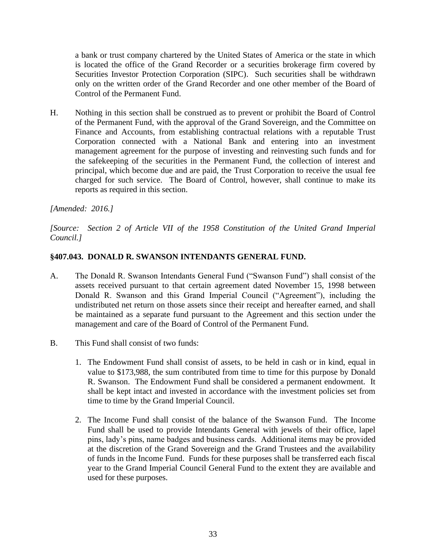a bank or trust company chartered by the United States of America or the state in which is located the office of the Grand Recorder or a securities brokerage firm covered by Securities Investor Protection Corporation (SIPC). Such securities shall be withdrawn only on the written order of the Grand Recorder and one other member of the Board of Control of the Permanent Fund.

H. Nothing in this section shall be construed as to prevent or prohibit the Board of Control of the Permanent Fund, with the approval of the Grand Sovereign, and the Committee on Finance and Accounts, from establishing contractual relations with a reputable Trust Corporation connected with a National Bank and entering into an investment management agreement for the purpose of investing and reinvesting such funds and for the safekeeping of the securities in the Permanent Fund, the collection of interest and principal, which become due and are paid, the Trust Corporation to receive the usual fee charged for such service. The Board of Control, however, shall continue to make its reports as required in this section.

# *[Amended: 2016.]*

*[Source: Section 2 of Article VII of the 1958 Constitution of the United Grand Imperial Council.]*

# **§407.043. DONALD R. SWANSON INTENDANTS GENERAL FUND.**

- A. The Donald R. Swanson Intendants General Fund ("Swanson Fund") shall consist of the assets received pursuant to that certain agreement dated November 15, 1998 between Donald R. Swanson and this Grand Imperial Council ("Agreement"), including the undistributed net return on those assets since their receipt and hereafter earned, and shall be maintained as a separate fund pursuant to the Agreement and this section under the management and care of the Board of Control of the Permanent Fund.
- B. This Fund shall consist of two funds:
	- 1. The Endowment Fund shall consist of assets, to be held in cash or in kind, equal in value to \$173,988, the sum contributed from time to time for this purpose by Donald R. Swanson. The Endowment Fund shall be considered a permanent endowment. It shall be kept intact and invested in accordance with the investment policies set from time to time by the Grand Imperial Council.
	- 2. The Income Fund shall consist of the balance of the Swanson Fund. The Income Fund shall be used to provide Intendants General with jewels of their office, lapel pins, lady's pins, name badges and business cards. Additional items may be provided at the discretion of the Grand Sovereign and the Grand Trustees and the availability of funds in the Income Fund. Funds for these purposes shall be transferred each fiscal year to the Grand Imperial Council General Fund to the extent they are available and used for these purposes.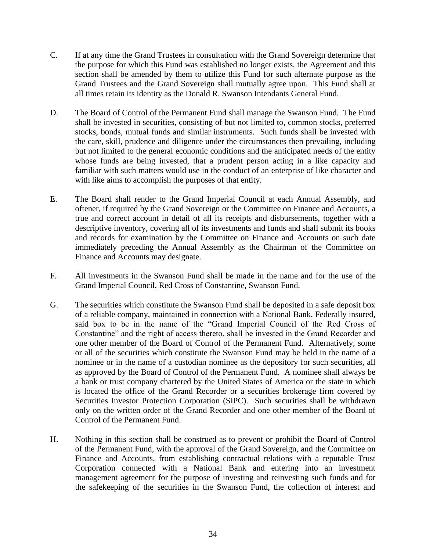- C. If at any time the Grand Trustees in consultation with the Grand Sovereign determine that the purpose for which this Fund was established no longer exists, the Agreement and this section shall be amended by them to utilize this Fund for such alternate purpose as the Grand Trustees and the Grand Sovereign shall mutually agree upon. This Fund shall at all times retain its identity as the Donald R. Swanson Intendants General Fund.
- D. The Board of Control of the Permanent Fund shall manage the Swanson Fund. The Fund shall be invested in securities, consisting of but not limited to, common stocks, preferred stocks, bonds, mutual funds and similar instruments. Such funds shall be invested with the care, skill, prudence and diligence under the circumstances then prevailing, including but not limited to the general economic conditions and the anticipated needs of the entity whose funds are being invested, that a prudent person acting in a like capacity and familiar with such matters would use in the conduct of an enterprise of like character and with like aims to accomplish the purposes of that entity.
- E. The Board shall render to the Grand Imperial Council at each Annual Assembly, and oftener, if required by the Grand Sovereign or the Committee on Finance and Accounts, a true and correct account in detail of all its receipts and disbursements, together with a descriptive inventory, covering all of its investments and funds and shall submit its books and records for examination by the Committee on Finance and Accounts on such date immediately preceding the Annual Assembly as the Chairman of the Committee on Finance and Accounts may designate.
- F. All investments in the Swanson Fund shall be made in the name and for the use of the Grand Imperial Council, Red Cross of Constantine, Swanson Fund.
- G. The securities which constitute the Swanson Fund shall be deposited in a safe deposit box of a reliable company, maintained in connection with a National Bank, Federally insured, said box to be in the name of the "Grand Imperial Council of the Red Cross of Constantine" and the right of access thereto, shall be invested in the Grand Recorder and one other member of the Board of Control of the Permanent Fund. Alternatively, some or all of the securities which constitute the Swanson Fund may be held in the name of a nominee or in the name of a custodian nominee as the depository for such securities, all as approved by the Board of Control of the Permanent Fund. A nominee shall always be a bank or trust company chartered by the United States of America or the state in which is located the office of the Grand Recorder or a securities brokerage firm covered by Securities Investor Protection Corporation (SIPC). Such securities shall be withdrawn only on the written order of the Grand Recorder and one other member of the Board of Control of the Permanent Fund.
- H. Nothing in this section shall be construed as to prevent or prohibit the Board of Control of the Permanent Fund, with the approval of the Grand Sovereign, and the Committee on Finance and Accounts, from establishing contractual relations with a reputable Trust Corporation connected with a National Bank and entering into an investment management agreement for the purpose of investing and reinvesting such funds and for the safekeeping of the securities in the Swanson Fund, the collection of interest and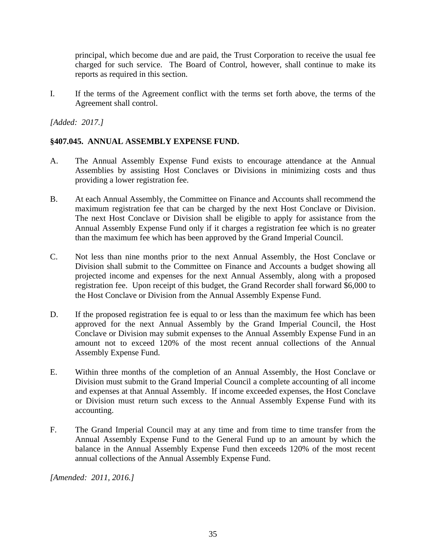principal, which become due and are paid, the Trust Corporation to receive the usual fee charged for such service. The Board of Control, however, shall continue to make its reports as required in this section.

I. If the terms of the Agreement conflict with the terms set forth above, the terms of the Agreement shall control.

*[Added: 2017.]*

# **§407.045. ANNUAL ASSEMBLY EXPENSE FUND.**

- A. The Annual Assembly Expense Fund exists to encourage attendance at the Annual Assemblies by assisting Host Conclaves or Divisions in minimizing costs and thus providing a lower registration fee.
- B. At each Annual Assembly, the Committee on Finance and Accounts shall recommend the maximum registration fee that can be charged by the next Host Conclave or Division. The next Host Conclave or Division shall be eligible to apply for assistance from the Annual Assembly Expense Fund only if it charges a registration fee which is no greater than the maximum fee which has been approved by the Grand Imperial Council.
- C. Not less than nine months prior to the next Annual Assembly, the Host Conclave or Division shall submit to the Committee on Finance and Accounts a budget showing all projected income and expenses for the next Annual Assembly, along with a proposed registration fee. Upon receipt of this budget, the Grand Recorder shall forward \$6,000 to the Host Conclave or Division from the Annual Assembly Expense Fund.
- D. If the proposed registration fee is equal to or less than the maximum fee which has been approved for the next Annual Assembly by the Grand Imperial Council, the Host Conclave or Division may submit expenses to the Annual Assembly Expense Fund in an amount not to exceed 120% of the most recent annual collections of the Annual Assembly Expense Fund.
- E. Within three months of the completion of an Annual Assembly, the Host Conclave or Division must submit to the Grand Imperial Council a complete accounting of all income and expenses at that Annual Assembly. If income exceeded expenses, the Host Conclave or Division must return such excess to the Annual Assembly Expense Fund with its accounting.
- F. The Grand Imperial Council may at any time and from time to time transfer from the Annual Assembly Expense Fund to the General Fund up to an amount by which the balance in the Annual Assembly Expense Fund then exceeds 120% of the most recent annual collections of the Annual Assembly Expense Fund.

*[Amended: 2011, 2016.]*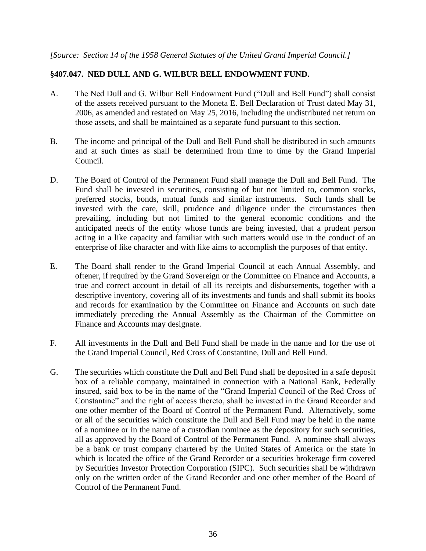# **§407.047. NED DULL AND G. WILBUR BELL ENDOWMENT FUND.**

- A. The Ned Dull and G. Wilbur Bell Endowment Fund ("Dull and Bell Fund") shall consist of the assets received pursuant to the Moneta E. Bell Declaration of Trust dated May 31, 2006, as amended and restated on May 25, 2016, including the undistributed net return on those assets, and shall be maintained as a separate fund pursuant to this section.
- B. The income and principal of the Dull and Bell Fund shall be distributed in such amounts and at such times as shall be determined from time to time by the Grand Imperial Council.
- D. The Board of Control of the Permanent Fund shall manage the Dull and Bell Fund. The Fund shall be invested in securities, consisting of but not limited to, common stocks, preferred stocks, bonds, mutual funds and similar instruments. Such funds shall be invested with the care, skill, prudence and diligence under the circumstances then prevailing, including but not limited to the general economic conditions and the anticipated needs of the entity whose funds are being invested, that a prudent person acting in a like capacity and familiar with such matters would use in the conduct of an enterprise of like character and with like aims to accomplish the purposes of that entity.
- E. The Board shall render to the Grand Imperial Council at each Annual Assembly, and oftener, if required by the Grand Sovereign or the Committee on Finance and Accounts, a true and correct account in detail of all its receipts and disbursements, together with a descriptive inventory, covering all of its investments and funds and shall submit its books and records for examination by the Committee on Finance and Accounts on such date immediately preceding the Annual Assembly as the Chairman of the Committee on Finance and Accounts may designate.
- F. All investments in the Dull and Bell Fund shall be made in the name and for the use of the Grand Imperial Council, Red Cross of Constantine, Dull and Bell Fund.
- G. The securities which constitute the Dull and Bell Fund shall be deposited in a safe deposit box of a reliable company, maintained in connection with a National Bank, Federally insured, said box to be in the name of the "Grand Imperial Council of the Red Cross of Constantine" and the right of access thereto, shall be invested in the Grand Recorder and one other member of the Board of Control of the Permanent Fund. Alternatively, some or all of the securities which constitute the Dull and Bell Fund may be held in the name of a nominee or in the name of a custodian nominee as the depository for such securities, all as approved by the Board of Control of the Permanent Fund. A nominee shall always be a bank or trust company chartered by the United States of America or the state in which is located the office of the Grand Recorder or a securities brokerage firm covered by Securities Investor Protection Corporation (SIPC). Such securities shall be withdrawn only on the written order of the Grand Recorder and one other member of the Board of Control of the Permanent Fund.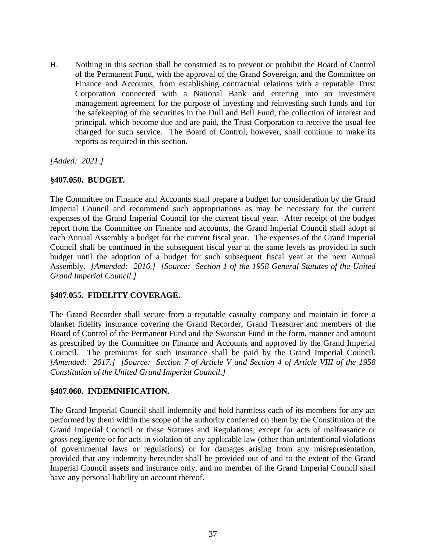H. Nothing in this section shall be construed as to prevent or prohibit the Board of Control of the Permanent Fund, with the approval of the Grand Sovereign, and the Committee on Finance and Accounts, from establishing contractual relations with a reputable Trust Corporation connected with a National Bank and entering into an investment management agreement for the purpose of investing and reinvesting such funds and for the safekeeping of the securities in the Dull and Bell Fund, the collection of interest and principal, which become due and are paid, the Trust Corporation to receive the usual fee charged for such service. The Board of Control, however, shall continue to make its reports as required in this section.

*[Added: 2021.]*

## **§407.050. BUDGET.**

The Committee on Finance and Accounts shall prepare a budget for consideration by the Grand Imperial Council and recommend such appropriations as may be necessary for the current expenses of the Grand Imperial Council for the current fiscal year. After receipt of the budget report from the Committee on Finance and accounts, the Grand Imperial Council shall adopt at each Annual Assembly a budget for the current fiscal year. The expenses of the Grand Imperial Council shall be continued in the subsequent fiscal year at the same levels as provided in such budget until the adoption of a budget for such subsequent fiscal year at the next Annual Assembly. *[Amended: 2016.] [Source: Section 1 of the 1958 General Statutes of the United Grand Imperial Council.]*

### **§407.055. FIDELITY COVERAGE.**

The Grand Recorder shall secure from a reputable casualty company and maintain in force a blanket fidelity insurance covering the Grand Recorder, Grand Treasurer and members of the Board of Control of the Permanent Fund and the Swanson Fund in the form, manner and amount as prescribed by the Committee on Finance and Accounts and approved by the Grand Imperial Council. The premiums for such insurance shall be paid by the Grand Imperial Council. *[Amended: 2017.] [Source: Section 7 of Article V and Section 4 of Article VIII of the 1958 Constitution of the United Grand Imperial Council.]*

### **§407.060. INDEMNIFICATION.**

The Grand Imperial Council shall indemnify and hold harmless each of its members for any act performed by them within the scope of the authority conferred on them by the Constitution of the Grand Imperial Council or these Statutes and Regulations, except for acts of malfeasance or gross negligence or for acts in violation of any applicable law (other than unintentional violations of governmental laws or regulations) or for damages arising from any misrepresentation, provided that any indemnity hereunder shall be provided out of and to the extent of the Grand Imperial Council assets and insurance only, and no member of the Grand Imperial Council shall have any personal liability on account thereof.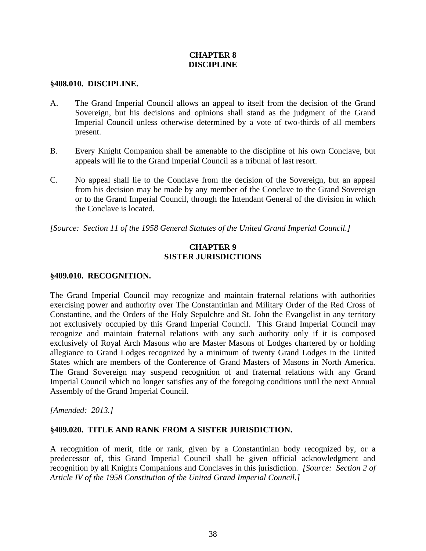## **CHAPTER 8 DISCIPLINE**

#### **§408.010. DISCIPLINE.**

- A. The Grand Imperial Council allows an appeal to itself from the decision of the Grand Sovereign, but his decisions and opinions shall stand as the judgment of the Grand Imperial Council unless otherwise determined by a vote of two-thirds of all members present.
- B. Every Knight Companion shall be amenable to the discipline of his own Conclave, but appeals will lie to the Grand Imperial Council as a tribunal of last resort.
- C. No appeal shall lie to the Conclave from the decision of the Sovereign, but an appeal from his decision may be made by any member of the Conclave to the Grand Sovereign or to the Grand Imperial Council, through the Intendant General of the division in which the Conclave is located.

*[Source: Section 11 of the 1958 General Statutes of the United Grand Imperial Council.]*

## **CHAPTER 9 SISTER JURISDICTIONS**

#### **§409.010. RECOGNITION.**

The Grand Imperial Council may recognize and maintain fraternal relations with authorities exercising power and authority over The Constantinian and Military Order of the Red Cross of Constantine, and the Orders of the Holy Sepulchre and St. John the Evangelist in any territory not exclusively occupied by this Grand Imperial Council. This Grand Imperial Council may recognize and maintain fraternal relations with any such authority only if it is composed exclusively of Royal Arch Masons who are Master Masons of Lodges chartered by or holding allegiance to Grand Lodges recognized by a minimum of twenty Grand Lodges in the United States which are members of the Conference of Grand Masters of Masons in North America. The Grand Sovereign may suspend recognition of and fraternal relations with any Grand Imperial Council which no longer satisfies any of the foregoing conditions until the next Annual Assembly of the Grand Imperial Council.

*[Amended: 2013.]*

#### **§409.020. TITLE AND RANK FROM A SISTER JURISDICTION.**

A recognition of merit, title or rank, given by a Constantinian body recognized by, or a predecessor of, this Grand Imperial Council shall be given official acknowledgment and recognition by all Knights Companions and Conclaves in this jurisdiction. *[Source: Section 2 of Article IV of the 1958 Constitution of the United Grand Imperial Council.]*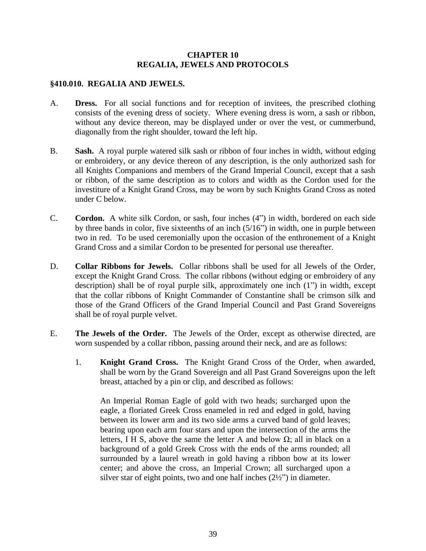## **CHAPTER 10 REGALIA, JEWELS AND PROTOCOLS**

#### **§410.010. REGALIA AND JEWELS.**

- A. **Dress.** For all social functions and for reception of invitees, the prescribed clothing consists of the evening dress of society. Where evening dress is worn, a sash or ribbon, without any device thereon, may be displayed under or over the vest, or cummerbund, diagonally from the right shoulder, toward the left hip.
- B. **Sash.** A royal purple watered silk sash or ribbon of four inches in width, without edging or embroidery, or any device thereon of any description, is the only authorized sash for all Knights Companions and members of the Grand Imperial Council, except that a sash or ribbon, of the same description as to colors and width as the Cordon used for the investiture of a Knight Grand Cross, may be worn by such Knights Grand Cross as noted under C below.
- C. **Cordon.** A white silk Cordon, or sash, four inches (4") in width, bordered on each side by three bands in color, five sixteenths of an inch (5/16") in width, one in purple between two in red. To be used ceremonially upon the occasion of the enthronement of a Knight Grand Cross and a similar Cordon to be presented for personal use thereafter.
- D. **Collar Ribbons for Jewels.** Collar ribbons shall be used for all Jewels of the Order, except the Knight Grand Cross. The collar ribbons (without edging or embroidery of any description) shall be of royal purple silk, approximately one inch (1") in width, except that the collar ribbons of Knight Commander of Constantine shall be crimson silk and those of the Grand Officers of the Grand Imperial Council and Past Grand Sovereigns shall be of royal purple velvet.
- E. **The Jewels of the Order.** The Jewels of the Order, except as otherwise directed, are worn suspended by a collar ribbon, passing around their neck, and are as follows:
	- 1. **Knight Grand Cross.** The Knight Grand Cross of the Order, when awarded, shall be worn by the Grand Sovereign and all Past Grand Sovereigns upon the left breast, attached by a pin or clip, and described as follows:

An Imperial Roman Eagle of gold with two heads; surcharged upon the eagle, a floriated Greek Cross enameled in red and edged in gold, having between its lower arm and its two side arms a curved band of gold leaves; bearing upon each arm four stars and upon the intersection of the arms the letters, I H S, above the same the letter A and below  $\Omega$ ; all in black on a background of a gold Greek Cross with the ends of the arms rounded; all surrounded by a laurel wreath in gold having a ribbon bow at its lower center; and above the cross, an Imperial Crown; all surcharged upon a silver star of eight points, two and one half inches  $(2\frac{1}{2})$  in diameter.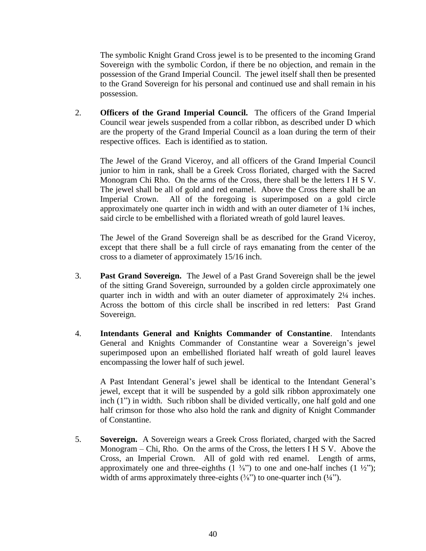The symbolic Knight Grand Cross jewel is to be presented to the incoming Grand Sovereign with the symbolic Cordon, if there be no objection, and remain in the possession of the Grand Imperial Council. The jewel itself shall then be presented to the Grand Sovereign for his personal and continued use and shall remain in his possession.

2. **Officers of the Grand Imperial Council.** The officers of the Grand Imperial Council wear jewels suspended from a collar ribbon, as described under D which are the property of the Grand Imperial Council as a loan during the term of their respective offices. Each is identified as to station.

The Jewel of the Grand Viceroy, and all officers of the Grand Imperial Council junior to him in rank, shall be a Greek Cross floriated, charged with the Sacred Monogram Chi Rho. On the arms of the Cross, there shall be the letters I H S V. The jewel shall be all of gold and red enamel. Above the Cross there shall be an Imperial Crown. All of the foregoing is superimposed on a gold circle approximately one quarter inch in width and with an outer diameter of 1¾ inches, said circle to be embellished with a floriated wreath of gold laurel leaves.

The Jewel of the Grand Sovereign shall be as described for the Grand Viceroy, except that there shall be a full circle of rays emanating from the center of the cross to a diameter of approximately 15/16 inch.

- 3. **Past Grand Sovereign.** The Jewel of a Past Grand Sovereign shall be the jewel of the sitting Grand Sovereign, surrounded by a golden circle approximately one quarter inch in width and with an outer diameter of approximately 2¼ inches. Across the bottom of this circle shall be inscribed in red letters: Past Grand Sovereign.
- 4. **Intendants General and Knights Commander of Constantine**. Intendants General and Knights Commander of Constantine wear a Sovereign's jewel superimposed upon an embellished floriated half wreath of gold laurel leaves encompassing the lower half of such jewel.

A Past Intendant General's jewel shall be identical to the Intendant General's jewel, except that it will be suspended by a gold silk ribbon approximately one inch (1") in width. Such ribbon shall be divided vertically, one half gold and one half crimson for those who also hold the rank and dignity of Knight Commander of Constantine.

5. **Sovereign.** A Sovereign wears a Greek Cross floriated, charged with the Sacred Monogram – Chi, Rho. On the arms of the Cross, the letters I H S V. Above the Cross, an Imperial Crown. All of gold with red enamel. Length of arms, approximately one and three-eighths  $(1 \frac{3}{8})$  to one and one-half inches  $(1 \frac{1}{2})$ ; width of arms approximately three-eights  $(\frac{3}{8})$  to one-quarter inch  $(\frac{1}{4})$ .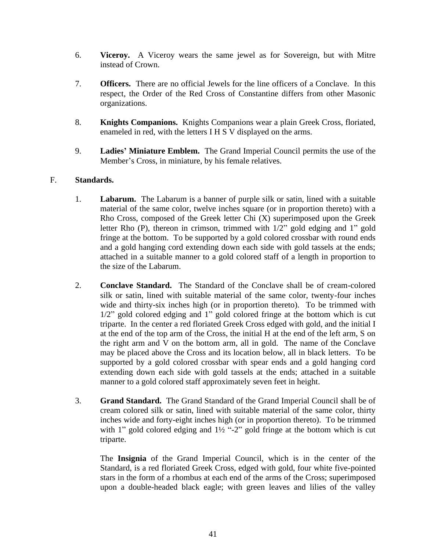- 6. **Viceroy.** A Viceroy wears the same jewel as for Sovereign, but with Mitre instead of Crown.
- 7. **Officers.** There are no official Jewels for the line officers of a Conclave. In this respect, the Order of the Red Cross of Constantine differs from other Masonic organizations.
- 8. **Knights Companions.** Knights Companions wear a plain Greek Cross, floriated, enameled in red, with the letters I H S V displayed on the arms.
- 9. **Ladies' Miniature Emblem.** The Grand Imperial Council permits the use of the Member's Cross, in miniature, by his female relatives.

## F. **Standards.**

- 1. **Labarum.** The Labarum is a banner of purple silk or satin, lined with a suitable material of the same color, twelve inches square (or in proportion thereto) with a Rho Cross, composed of the Greek letter Chi (X) superimposed upon the Greek letter Rho (P), thereon in crimson, trimmed with 1/2" gold edging and 1" gold fringe at the bottom. To be supported by a gold colored crossbar with round ends and a gold hanging cord extending down each side with gold tassels at the ends; attached in a suitable manner to a gold colored staff of a length in proportion to the size of the Labarum.
- 2. **Conclave Standard.** The Standard of the Conclave shall be of cream-colored silk or satin, lined with suitable material of the same color, twenty-four inches wide and thirty-six inches high (or in proportion thereto). To be trimmed with 1/2" gold colored edging and 1" gold colored fringe at the bottom which is cut triparte. In the center a red floriated Greek Cross edged with gold, and the initial I at the end of the top arm of the Cross, the initial H at the end of the left arm, S on the right arm and V on the bottom arm, all in gold. The name of the Conclave may be placed above the Cross and its location below, all in black letters. To be supported by a gold colored crossbar with spear ends and a gold hanging cord extending down each side with gold tassels at the ends; attached in a suitable manner to a gold colored staff approximately seven feet in height.
- 3. **Grand Standard.** The Grand Standard of the Grand Imperial Council shall be of cream colored silk or satin, lined with suitable material of the same color, thirty inches wide and forty-eight inches high (or in proportion thereto). To be trimmed with 1" gold colored edging and  $1\frac{1}{2}$ "-2" gold fringe at the bottom which is cut triparte.

The **Insignia** of the Grand Imperial Council, which is in the center of the Standard, is a red floriated Greek Cross, edged with gold, four white five-pointed stars in the form of a rhombus at each end of the arms of the Cross; superimposed upon a double-headed black eagle; with green leaves and lilies of the valley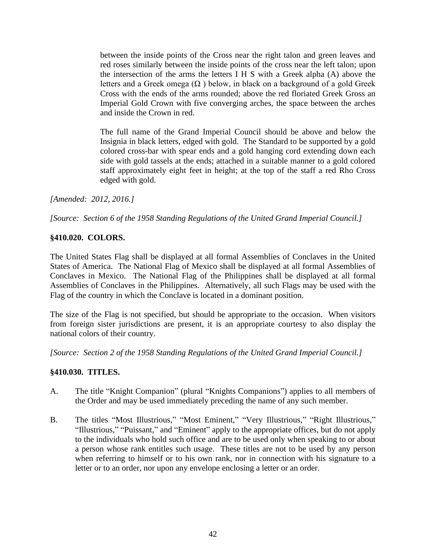between the inside points of the Cross near the right talon and green leaves and red roses similarly between the inside points of the cross near the left talon; upon the intersection of the arms the letters I H S with a Greek alpha (A) above the letters and a Greek omega  $(\Omega)$  below, in black on a background of a gold Greek Cross with the ends of the arms rounded; above the red floriated Greek Gross an Imperial Gold Crown with five converging arches, the space between the arches and inside the Crown in red.

The full name of the Grand Imperial Council should be above and below the Insignia in black letters, edged with gold. The Standard to be supported by a gold colored cross-bar with spear ends and a gold hanging cord extending down each side with gold tassels at the ends; attached in a suitable manner to a gold colored staff approximately eight feet in height; at the top of the staff a red Rho Cross edged with gold.

*[Amended: 2012, 2016.]*

*[Source: Section 6 of the 1958 Standing Regulations of the United Grand Imperial Council.]*

### **§410.020. COLORS.**

The United States Flag shall be displayed at all formal Assemblies of Conclaves in the United States of America. The National Flag of Mexico shall be displayed at all formal Assemblies of Conclaves in Mexico. The National Flag of the Philippines shall be displayed at all formal Assemblies of Conclaves in the Philippines. Alternatively, all such Flags may be used with the Flag of the country in which the Conclave is located in a dominant position.

The size of the Flag is not specified, but should be appropriate to the occasion. When visitors from foreign sister jurisdictions are present, it is an appropriate courtesy to also display the national colors of their country.

*[Source: Section 2 of the 1958 Standing Regulations of the United Grand Imperial Council.]*

### **§410.030. TITLES.**

- A. The title "Knight Companion" (plural "Knights Companions") applies to all members of the Order and may be used immediately preceding the name of any such member.
- B. The titles "Most Illustrious," "Most Eminent," "Very Illustrious," "Right Illustrious," "Illustrious," "Puissant," and "Eminent" apply to the appropriate offices, but do not apply to the individuals who hold such office and are to be used only when speaking to or about a person whose rank entitles such usage. These titles are not to be used by any person when referring to himself or to his own rank, nor in connection with his signature to a letter or to an order, nor upon any envelope enclosing a letter or an order.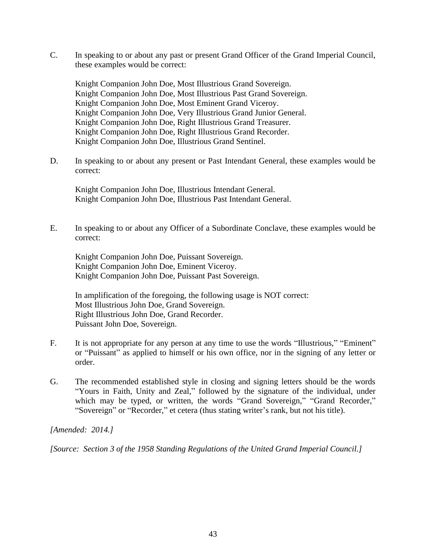C. In speaking to or about any past or present Grand Officer of the Grand Imperial Council, these examples would be correct:

Knight Companion John Doe, Most Illustrious Grand Sovereign. Knight Companion John Doe, Most Illustrious Past Grand Sovereign. Knight Companion John Doe, Most Eminent Grand Viceroy. Knight Companion John Doe, Very Illustrious Grand Junior General. Knight Companion John Doe, Right Illustrious Grand Treasurer. Knight Companion John Doe, Right Illustrious Grand Recorder. Knight Companion John Doe, Illustrious Grand Sentinel.

D. In speaking to or about any present or Past Intendant General, these examples would be correct:

Knight Companion John Doe, Illustrious Intendant General. Knight Companion John Doe, Illustrious Past Intendant General.

E. In speaking to or about any Officer of a Subordinate Conclave, these examples would be correct:

Knight Companion John Doe, Puissant Sovereign. Knight Companion John Doe, Eminent Viceroy. Knight Companion John Doe, Puissant Past Sovereign.

In amplification of the foregoing, the following usage is NOT correct: Most Illustrious John Doe, Grand Sovereign. Right Illustrious John Doe, Grand Recorder. Puissant John Doe, Sovereign.

- F. It is not appropriate for any person at any time to use the words "Illustrious," "Eminent" or "Puissant" as applied to himself or his own office, nor in the signing of any letter or order.
- G. The recommended established style in closing and signing letters should be the words "Yours in Faith, Unity and Zeal," followed by the signature of the individual, under which may be typed, or written, the words "Grand Sovereign," "Grand Recorder," "Sovereign" or "Recorder," et cetera (thus stating writer's rank, but not his title).

*[Amended: 2014.]*

*[Source: Section 3 of the 1958 Standing Regulations of the United Grand Imperial Council.]*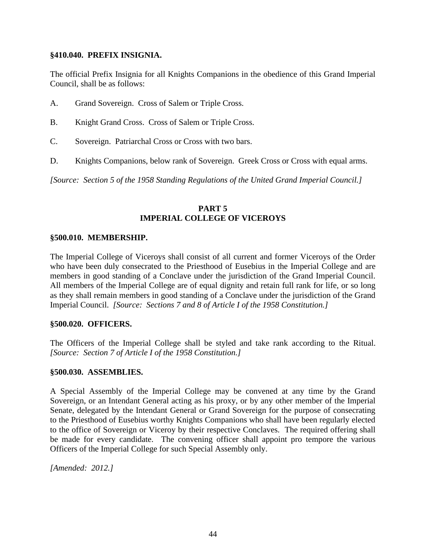#### **§410.040. PREFIX INSIGNIA.**

The official Prefix Insignia for all Knights Companions in the obedience of this Grand Imperial Council, shall be as follows:

- A. Grand Sovereign. Cross of Salem or Triple Cross.
- B. Knight Grand Cross. Cross of Salem or Triple Cross.
- C. Sovereign. Patriarchal Cross or Cross with two bars.
- D. Knights Companions, below rank of Sovereign. Greek Cross or Cross with equal arms.

*[Source: Section 5 of the 1958 Standing Regulations of the United Grand Imperial Council.]*

## **PART 5 IMPERIAL COLLEGE OF VICEROYS**

#### **§500.010. MEMBERSHIP.**

The Imperial College of Viceroys shall consist of all current and former Viceroys of the Order who have been duly consecrated to the Priesthood of Eusebius in the Imperial College and are members in good standing of a Conclave under the jurisdiction of the Grand Imperial Council. All members of the Imperial College are of equal dignity and retain full rank for life, or so long as they shall remain members in good standing of a Conclave under the jurisdiction of the Grand Imperial Council. *[Source: Sections 7 and 8 of Article I of the 1958 Constitution.]*

#### **§500.020. OFFICERS.**

The Officers of the Imperial College shall be styled and take rank according to the Ritual. *[Source: Section 7 of Article I of the 1958 Constitution.]*

#### **§500.030. ASSEMBLIES.**

A Special Assembly of the Imperial College may be convened at any time by the Grand Sovereign, or an Intendant General acting as his proxy, or by any other member of the Imperial Senate, delegated by the Intendant General or Grand Sovereign for the purpose of consecrating to the Priesthood of Eusebius worthy Knights Companions who shall have been regularly elected to the office of Sovereign or Viceroy by their respective Conclaves. The required offering shall be made for every candidate. The convening officer shall appoint pro tempore the various Officers of the Imperial College for such Special Assembly only.

*[Amended: 2012.]*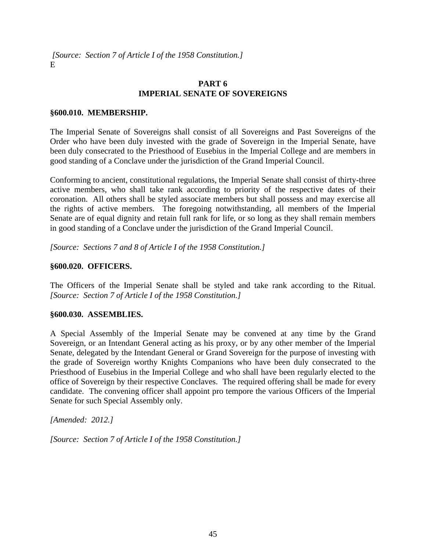*[Source: Section 7 of Article I of the 1958 Constitution.]* E

## **PART 6 IMPERIAL SENATE OF SOVEREIGNS**

#### **§600.010. MEMBERSHIP.**

The Imperial Senate of Sovereigns shall consist of all Sovereigns and Past Sovereigns of the Order who have been duly invested with the grade of Sovereign in the Imperial Senate, have been duly consecrated to the Priesthood of Eusebius in the Imperial College and are members in good standing of a Conclave under the jurisdiction of the Grand Imperial Council.

Conforming to ancient, constitutional regulations, the Imperial Senate shall consist of thirty-three active members, who shall take rank according to priority of the respective dates of their coronation. All others shall be styled associate members but shall possess and may exercise all the rights of active members. The foregoing notwithstanding, all members of the Imperial Senate are of equal dignity and retain full rank for life, or so long as they shall remain members in good standing of a Conclave under the jurisdiction of the Grand Imperial Council.

*[Source: Sections 7 and 8 of Article I of the 1958 Constitution.]*

#### **§600.020. OFFICERS.**

The Officers of the Imperial Senate shall be styled and take rank according to the Ritual. *[Source: Section 7 of Article I of the 1958 Constitution.]*

### **§600.030. ASSEMBLIES.**

A Special Assembly of the Imperial Senate may be convened at any time by the Grand Sovereign, or an Intendant General acting as his proxy, or by any other member of the Imperial Senate, delegated by the Intendant General or Grand Sovereign for the purpose of investing with the grade of Sovereign worthy Knights Companions who have been duly consecrated to the Priesthood of Eusebius in the Imperial College and who shall have been regularly elected to the office of Sovereign by their respective Conclaves. The required offering shall be made for every candidate. The convening officer shall appoint pro tempore the various Officers of the Imperial Senate for such Special Assembly only.

*[Amended: 2012.]*

*[Source: Section 7 of Article I of the 1958 Constitution.]*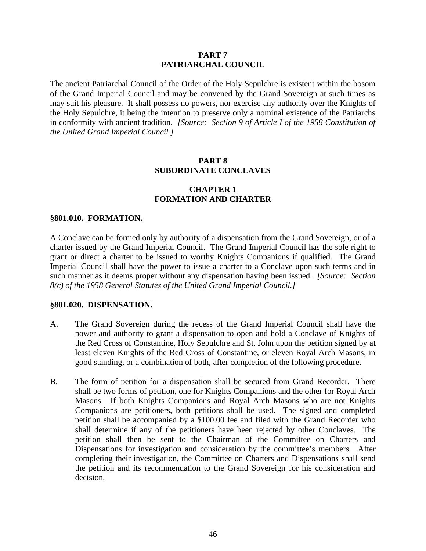#### **PART 7 PATRIARCHAL COUNCIL**

The ancient Patriarchal Council of the Order of the Holy Sepulchre is existent within the bosom of the Grand Imperial Council and may be convened by the Grand Sovereign at such times as may suit his pleasure. It shall possess no powers, nor exercise any authority over the Knights of the Holy Sepulchre, it being the intention to preserve only a nominal existence of the Patriarchs in conformity with ancient tradition. *[Source: Section 9 of Article I of the 1958 Constitution of the United Grand Imperial Council.]*

## **PART 8 SUBORDINATE CONCLAVES**

## **CHAPTER 1 FORMATION AND CHARTER**

#### **§801.010. FORMATION.**

A Conclave can be formed only by authority of a dispensation from the Grand Sovereign, or of a charter issued by the Grand Imperial Council. The Grand Imperial Council has the sole right to grant or direct a charter to be issued to worthy Knights Companions if qualified. The Grand Imperial Council shall have the power to issue a charter to a Conclave upon such terms and in such manner as it deems proper without any dispensation having been issued. *[Source: Section 8(c) of the 1958 General Statutes of the United Grand Imperial Council.]*

#### **§801.020. DISPENSATION.**

- A. The Grand Sovereign during the recess of the Grand Imperial Council shall have the power and authority to grant a dispensation to open and hold a Conclave of Knights of the Red Cross of Constantine, Holy Sepulchre and St. John upon the petition signed by at least eleven Knights of the Red Cross of Constantine, or eleven Royal Arch Masons, in good standing, or a combination of both, after completion of the following procedure.
- B. The form of petition for a dispensation shall be secured from Grand Recorder. There shall be two forms of petition, one for Knights Companions and the other for Royal Arch Masons. If both Knights Companions and Royal Arch Masons who are not Knights Companions are petitioners, both petitions shall be used. The signed and completed petition shall be accompanied by a \$100.00 fee and filed with the Grand Recorder who shall determine if any of the petitioners have been rejected by other Conclaves. The petition shall then be sent to the Chairman of the Committee on Charters and Dispensations for investigation and consideration by the committee's members. After completing their investigation, the Committee on Charters and Dispensations shall send the petition and its recommendation to the Grand Sovereign for his consideration and decision.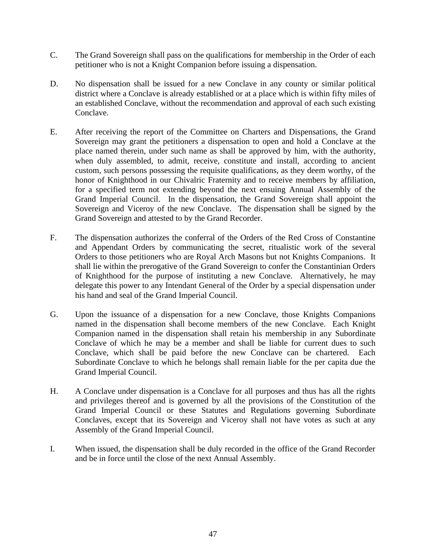- C. The Grand Sovereign shall pass on the qualifications for membership in the Order of each petitioner who is not a Knight Companion before issuing a dispensation.
- D. No dispensation shall be issued for a new Conclave in any county or similar political district where a Conclave is already established or at a place which is within fifty miles of an established Conclave, without the recommendation and approval of each such existing Conclave.
- E. After receiving the report of the Committee on Charters and Dispensations, the Grand Sovereign may grant the petitioners a dispensation to open and hold a Conclave at the place named therein, under such name as shall be approved by him, with the authority, when duly assembled, to admit, receive, constitute and install, according to ancient custom, such persons possessing the requisite qualifications, as they deem worthy, of the honor of Knighthood in our Chivalric Fraternity and to receive members by affiliation, for a specified term not extending beyond the next ensuing Annual Assembly of the Grand Imperial Council. In the dispensation, the Grand Sovereign shall appoint the Sovereign and Viceroy of the new Conclave. The dispensation shall be signed by the Grand Sovereign and attested to by the Grand Recorder.
- F. The dispensation authorizes the conferral of the Orders of the Red Cross of Constantine and Appendant Orders by communicating the secret, ritualistic work of the several Orders to those petitioners who are Royal Arch Masons but not Knights Companions. It shall lie within the prerogative of the Grand Sovereign to confer the Constantinian Orders of Knighthood for the purpose of instituting a new Conclave. Alternatively, he may delegate this power to any Intendant General of the Order by a special dispensation under his hand and seal of the Grand Imperial Council.
- G. Upon the issuance of a dispensation for a new Conclave, those Knights Companions named in the dispensation shall become members of the new Conclave. Each Knight Companion named in the dispensation shall retain his membership in any Subordinate Conclave of which he may be a member and shall be liable for current dues to such Conclave, which shall be paid before the new Conclave can be chartered. Each Subordinate Conclave to which he belongs shall remain liable for the per capita due the Grand Imperial Council.
- H. A Conclave under dispensation is a Conclave for all purposes and thus has all the rights and privileges thereof and is governed by all the provisions of the Constitution of the Grand Imperial Council or these Statutes and Regulations governing Subordinate Conclaves, except that its Sovereign and Viceroy shall not have votes as such at any Assembly of the Grand Imperial Council.
- I. When issued, the dispensation shall be duly recorded in the office of the Grand Recorder and be in force until the close of the next Annual Assembly.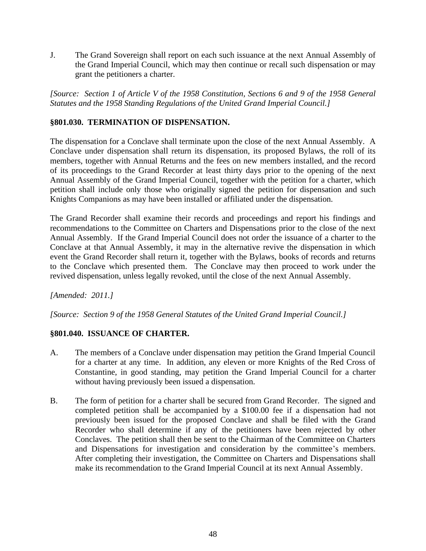J. The Grand Sovereign shall report on each such issuance at the next Annual Assembly of the Grand Imperial Council, which may then continue or recall such dispensation or may grant the petitioners a charter.

*[Source: Section 1 of Article V of the 1958 Constitution, Sections 6 and 9 of the 1958 General Statutes and the 1958 Standing Regulations of the United Grand Imperial Council.]*

## **§801.030. TERMINATION OF DISPENSATION.**

The dispensation for a Conclave shall terminate upon the close of the next Annual Assembly. A Conclave under dispensation shall return its dispensation, its proposed Bylaws, the roll of its members, together with Annual Returns and the fees on new members installed, and the record of its proceedings to the Grand Recorder at least thirty days prior to the opening of the next Annual Assembly of the Grand Imperial Council, together with the petition for a charter, which petition shall include only those who originally signed the petition for dispensation and such Knights Companions as may have been installed or affiliated under the dispensation.

The Grand Recorder shall examine their records and proceedings and report his findings and recommendations to the Committee on Charters and Dispensations prior to the close of the next Annual Assembly. If the Grand Imperial Council does not order the issuance of a charter to the Conclave at that Annual Assembly, it may in the alternative revive the dispensation in which event the Grand Recorder shall return it, together with the Bylaws, books of records and returns to the Conclave which presented them. The Conclave may then proceed to work under the revived dispensation, unless legally revoked, until the close of the next Annual Assembly.

*[Amended: 2011.]*

*[Source: Section 9 of the 1958 General Statutes of the United Grand Imperial Council.]*

### **§801.040. ISSUANCE OF CHARTER.**

- A. The members of a Conclave under dispensation may petition the Grand Imperial Council for a charter at any time. In addition, any eleven or more Knights of the Red Cross of Constantine, in good standing, may petition the Grand Imperial Council for a charter without having previously been issued a dispensation.
- B. The form of petition for a charter shall be secured from Grand Recorder. The signed and completed petition shall be accompanied by a \$100.00 fee if a dispensation had not previously been issued for the proposed Conclave and shall be filed with the Grand Recorder who shall determine if any of the petitioners have been rejected by other Conclaves. The petition shall then be sent to the Chairman of the Committee on Charters and Dispensations for investigation and consideration by the committee's members. After completing their investigation, the Committee on Charters and Dispensations shall make its recommendation to the Grand Imperial Council at its next Annual Assembly.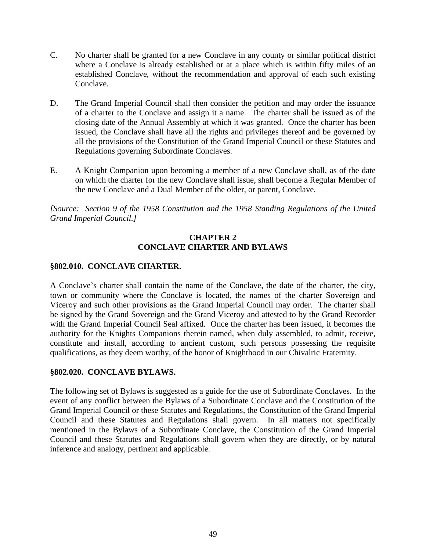- C. No charter shall be granted for a new Conclave in any county or similar political district where a Conclave is already established or at a place which is within fifty miles of an established Conclave, without the recommendation and approval of each such existing Conclave.
- D. The Grand Imperial Council shall then consider the petition and may order the issuance of a charter to the Conclave and assign it a name. The charter shall be issued as of the closing date of the Annual Assembly at which it was granted. Once the charter has been issued, the Conclave shall have all the rights and privileges thereof and be governed by all the provisions of the Constitution of the Grand Imperial Council or these Statutes and Regulations governing Subordinate Conclaves.
- E. A Knight Companion upon becoming a member of a new Conclave shall, as of the date on which the charter for the new Conclave shall issue, shall become a Regular Member of the new Conclave and a Dual Member of the older, or parent, Conclave.

*[Source: Section 9 of the 1958 Constitution and the 1958 Standing Regulations of the United Grand Imperial Council.]*

## **CHAPTER 2 CONCLAVE CHARTER AND BYLAWS**

## **§802.010. CONCLAVE CHARTER.**

A Conclave's charter shall contain the name of the Conclave, the date of the charter, the city, town or community where the Conclave is located, the names of the charter Sovereign and Viceroy and such other provisions as the Grand Imperial Council may order. The charter shall be signed by the Grand Sovereign and the Grand Viceroy and attested to by the Grand Recorder with the Grand Imperial Council Seal affixed. Once the charter has been issued, it becomes the authority for the Knights Companions therein named, when duly assembled, to admit, receive, constitute and install, according to ancient custom, such persons possessing the requisite qualifications, as they deem worthy, of the honor of Knighthood in our Chivalric Fraternity.

### **§802.020. CONCLAVE BYLAWS.**

The following set of Bylaws is suggested as a guide for the use of Subordinate Conclaves. In the event of any conflict between the Bylaws of a Subordinate Conclave and the Constitution of the Grand Imperial Council or these Statutes and Regulations, the Constitution of the Grand Imperial Council and these Statutes and Regulations shall govern. In all matters not specifically mentioned in the Bylaws of a Subordinate Conclave, the Constitution of the Grand Imperial Council and these Statutes and Regulations shall govern when they are directly, or by natural inference and analogy, pertinent and applicable.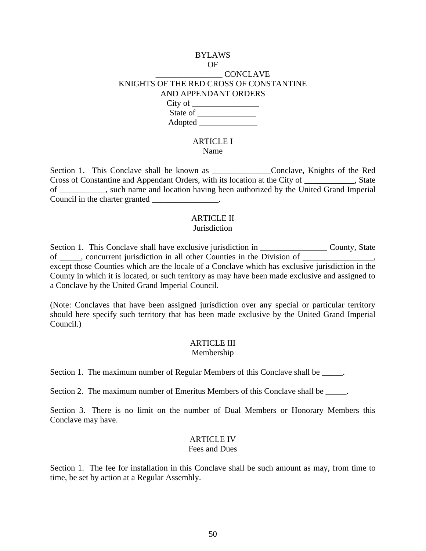## BYLAWS OF \_\_\_\_\_\_\_\_\_\_\_\_\_\_\_\_ CONCLAVE KNIGHTS OF THE RED CROSS OF CONSTANTINE AND APPENDANT ORDERS City of \_\_\_\_\_\_\_\_\_\_\_\_\_\_\_\_ State of  $\frac{1}{\sqrt{1-\frac{1}{2}}}\$ Adopted \_\_\_\_\_\_\_\_\_\_\_\_\_\_

#### ARTICLE I Name

Section 1. This Conclave shall be known as \_\_\_\_\_\_\_\_\_\_\_\_\_\_Conclave, Knights of the Red Cross of Constantine and Appendant Orders, with its location at the City of \_\_\_\_\_\_\_\_\_\_\_\_, State of \_\_\_\_\_\_\_\_\_\_\_, such name and location having been authorized by the United Grand Imperial Council in the charter granted  $\blacksquare$ 

#### ARTICLE II **Jurisdiction**

Section 1. This Conclave shall have exclusive jurisdiction in \_\_\_\_\_\_\_\_\_\_\_\_\_\_\_\_\_\_\_ County, State of concurrent jurisdiction in all other Counties in the Division of except those Counties which are the locale of a Conclave which has exclusive jurisdiction in the County in which it is located, or such territory as may have been made exclusive and assigned to a Conclave by the United Grand Imperial Council.

(Note: Conclaves that have been assigned jurisdiction over any special or particular territory should here specify such territory that has been made exclusive by the United Grand Imperial Council.)

# ARTICLE III

Membership

Section 1. The maximum number of Regular Members of this Conclave shall be  $\qquad \qquad$ .

Section 2. The maximum number of Emeritus Members of this Conclave shall be  $\qquad \qquad$ .

Section 3. There is no limit on the number of Dual Members or Honorary Members this Conclave may have.

## ARTICLE IV

#### Fees and Dues

Section 1. The fee for installation in this Conclave shall be such amount as may, from time to time, be set by action at a Regular Assembly.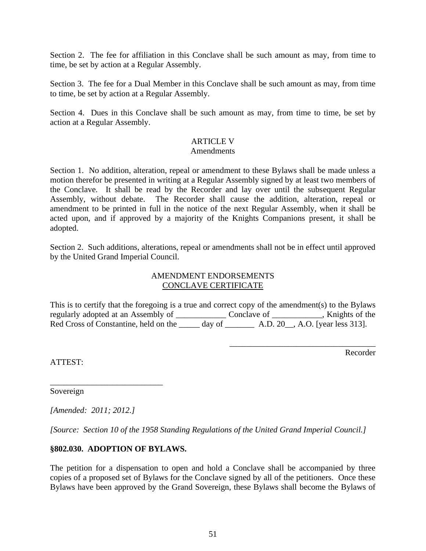Section 2. The fee for affiliation in this Conclave shall be such amount as may, from time to time, be set by action at a Regular Assembly.

Section 3. The fee for a Dual Member in this Conclave shall be such amount as may, from time to time, be set by action at a Regular Assembly.

Section 4. Dues in this Conclave shall be such amount as may, from time to time, be set by action at a Regular Assembly.

## ARTICLE V

#### **Amendments**

Section 1. No addition, alteration, repeal or amendment to these Bylaws shall be made unless a motion therefor be presented in writing at a Regular Assembly signed by at least two members of the Conclave. It shall be read by the Recorder and lay over until the subsequent Regular Assembly, without debate. The Recorder shall cause the addition, alteration, repeal or amendment to be printed in full in the notice of the next Regular Assembly, when it shall be acted upon, and if approved by a majority of the Knights Companions present, it shall be adopted.

Section 2. Such additions, alterations, repeal or amendments shall not be in effect until approved by the United Grand Imperial Council.

## AMENDMENT ENDORSEMENTS CONCLAVE CERTIFICATE

This is to certify that the foregoing is a true and correct copy of the amendment(s) to the Bylaws regularly adopted at an Assembly of \_\_\_\_\_\_\_\_\_\_\_\_\_\_\_\_ Conclave of \_\_\_\_\_\_\_\_\_\_\_, Knights of the Red Cross of Constantine, held on the \_\_\_\_\_ day of \_\_\_\_\_\_\_\_\_ A.D. 20\_\_, A.O. [year less 313].

Recorder

\_\_\_\_\_\_\_\_\_\_\_\_\_\_\_\_\_\_\_\_\_\_\_\_\_\_\_\_\_\_\_\_\_\_\_

ATTEST:

Sovereign

*[Amended: 2011; 2012.]*

\_\_\_\_\_\_\_\_\_\_\_\_\_\_\_\_\_\_\_\_\_\_\_\_\_\_\_

*[Source: Section 10 of the 1958 Standing Regulations of the United Grand Imperial Council.]*

## **§802.030. ADOPTION OF BYLAWS.**

The petition for a dispensation to open and hold a Conclave shall be accompanied by three copies of a proposed set of Bylaws for the Conclave signed by all of the petitioners. Once these Bylaws have been approved by the Grand Sovereign, these Bylaws shall become the Bylaws of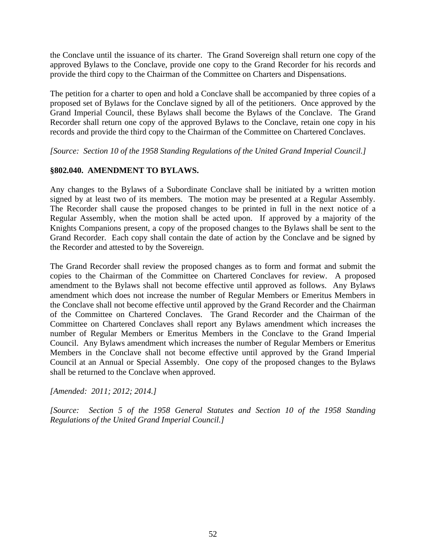the Conclave until the issuance of its charter. The Grand Sovereign shall return one copy of the approved Bylaws to the Conclave, provide one copy to the Grand Recorder for his records and provide the third copy to the Chairman of the Committee on Charters and Dispensations.

The petition for a charter to open and hold a Conclave shall be accompanied by three copies of a proposed set of Bylaws for the Conclave signed by all of the petitioners. Once approved by the Grand Imperial Council, these Bylaws shall become the Bylaws of the Conclave. The Grand Recorder shall return one copy of the approved Bylaws to the Conclave, retain one copy in his records and provide the third copy to the Chairman of the Committee on Chartered Conclaves.

*[Source: Section 10 of the 1958 Standing Regulations of the United Grand Imperial Council.]*

## **§802.040. AMENDMENT TO BYLAWS.**

Any changes to the Bylaws of a Subordinate Conclave shall be initiated by a written motion signed by at least two of its members. The motion may be presented at a Regular Assembly. The Recorder shall cause the proposed changes to be printed in full in the next notice of a Regular Assembly, when the motion shall be acted upon. If approved by a majority of the Knights Companions present, a copy of the proposed changes to the Bylaws shall be sent to the Grand Recorder. Each copy shall contain the date of action by the Conclave and be signed by the Recorder and attested to by the Sovereign.

The Grand Recorder shall review the proposed changes as to form and format and submit the copies to the Chairman of the Committee on Chartered Conclaves for review. A proposed amendment to the Bylaws shall not become effective until approved as follows. Any Bylaws amendment which does not increase the number of Regular Members or Emeritus Members in the Conclave shall not become effective until approved by the Grand Recorder and the Chairman of the Committee on Chartered Conclaves. The Grand Recorder and the Chairman of the Committee on Chartered Conclaves shall report any Bylaws amendment which increases the number of Regular Members or Emeritus Members in the Conclave to the Grand Imperial Council. Any Bylaws amendment which increases the number of Regular Members or Emeritus Members in the Conclave shall not become effective until approved by the Grand Imperial Council at an Annual or Special Assembly. One copy of the proposed changes to the Bylaws shall be returned to the Conclave when approved.

*[Amended: 2011; 2012; 2014.]*

*[Source: Section 5 of the 1958 General Statutes and Section 10 of the 1958 Standing Regulations of the United Grand Imperial Council.]*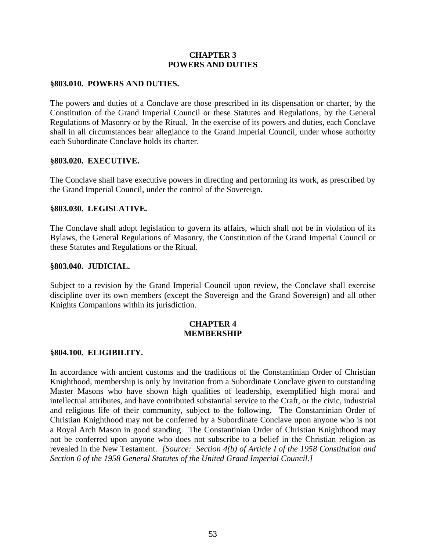## **CHAPTER 3 POWERS AND DUTIES**

#### **§803.010. POWERS AND DUTIES.**

The powers and duties of a Conclave are those prescribed in its dispensation or charter, by the Constitution of the Grand Imperial Council or these Statutes and Regulations, by the General Regulations of Masonry or by the Ritual. In the exercise of its powers and duties, each Conclave shall in all circumstances bear allegiance to the Grand Imperial Council, under whose authority each Subordinate Conclave holds its charter.

#### **§803.020. EXECUTIVE.**

The Conclave shall have executive powers in directing and performing its work, as prescribed by the Grand Imperial Council, under the control of the Sovereign.

#### **§803.030. LEGISLATIVE.**

The Conclave shall adopt legislation to govern its affairs, which shall not be in violation of its Bylaws, the General Regulations of Masonry, the Constitution of the Grand Imperial Council or these Statutes and Regulations or the Ritual.

#### **§803.040. JUDICIAL.**

Subject to a revision by the Grand Imperial Council upon review, the Conclave shall exercise discipline over its own members (except the Sovereign and the Grand Sovereign) and all other Knights Companions within its jurisdiction.

### **CHAPTER 4 MEMBERSHIP**

#### **§804.100. ELIGIBILITY.**

In accordance with ancient customs and the traditions of the Constantinian Order of Christian Knighthood, membership is only by invitation from a Subordinate Conclave given to outstanding Master Masons who have shown high qualities of leadership, exemplified high moral and intellectual attributes, and have contributed substantial service to the Craft, or the civic, industrial and religious life of their community, subject to the following. The Constantinian Order of Christian Knighthood may not be conferred by a Subordinate Conclave upon anyone who is not a Royal Arch Mason in good standing. The Constantinian Order of Christian Knighthood may not be conferred upon anyone who does not subscribe to a belief in the Christian religion as revealed in the New Testament. *[Source: Section 4(b) of Article I of the 1958 Constitution and Section 6 of the 1958 General Statutes of the United Grand Imperial Council.]*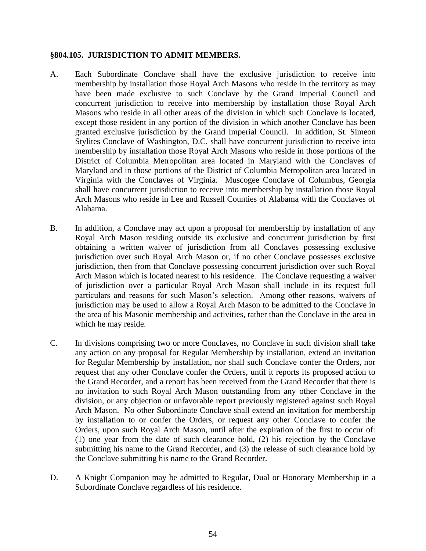#### **§804.105. JURISDICTION TO ADMIT MEMBERS.**

- A. Each Subordinate Conclave shall have the exclusive jurisdiction to receive into membership by installation those Royal Arch Masons who reside in the territory as may have been made exclusive to such Conclave by the Grand Imperial Council and concurrent jurisdiction to receive into membership by installation those Royal Arch Masons who reside in all other areas of the division in which such Conclave is located, except those resident in any portion of the division in which another Conclave has been granted exclusive jurisdiction by the Grand Imperial Council. In addition, St. Simeon Stylites Conclave of Washington, D.C. shall have concurrent jurisdiction to receive into membership by installation those Royal Arch Masons who reside in those portions of the District of Columbia Metropolitan area located in Maryland with the Conclaves of Maryland and in those portions of the District of Columbia Metropolitan area located in Virginia with the Conclaves of Virginia. Muscogee Conclave of Columbus, Georgia shall have concurrent jurisdiction to receive into membership by installation those Royal Arch Masons who reside in Lee and Russell Counties of Alabama with the Conclaves of Alabama.
- B. In addition, a Conclave may act upon a proposal for membership by installation of any Royal Arch Mason residing outside its exclusive and concurrent jurisdiction by first obtaining a written waiver of jurisdiction from all Conclaves possessing exclusive jurisdiction over such Royal Arch Mason or, if no other Conclave possesses exclusive jurisdiction, then from that Conclave possessing concurrent jurisdiction over such Royal Arch Mason which is located nearest to his residence. The Conclave requesting a waiver of jurisdiction over a particular Royal Arch Mason shall include in its request full particulars and reasons for such Mason's selection. Among other reasons, waivers of jurisdiction may be used to allow a Royal Arch Mason to be admitted to the Conclave in the area of his Masonic membership and activities, rather than the Conclave in the area in which he may reside.
- C. In divisions comprising two or more Conclaves, no Conclave in such division shall take any action on any proposal for Regular Membership by installation, extend an invitation for Regular Membership by installation, nor shall such Conclave confer the Orders, nor request that any other Conclave confer the Orders, until it reports its proposed action to the Grand Recorder, and a report has been received from the Grand Recorder that there is no invitation to such Royal Arch Mason outstanding from any other Conclave in the division, or any objection or unfavorable report previously registered against such Royal Arch Mason. No other Subordinate Conclave shall extend an invitation for membership by installation to or confer the Orders, or request any other Conclave to confer the Orders, upon such Royal Arch Mason, until after the expiration of the first to occur of: (1) one year from the date of such clearance hold, (2) his rejection by the Conclave submitting his name to the Grand Recorder, and (3) the release of such clearance hold by the Conclave submitting his name to the Grand Recorder.
- D. A Knight Companion may be admitted to Regular, Dual or Honorary Membership in a Subordinate Conclave regardless of his residence.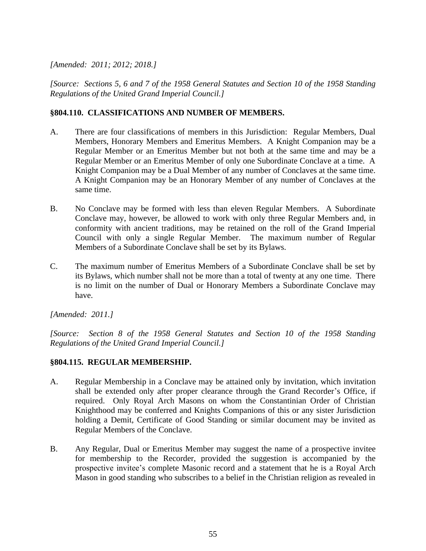## *[Amended: 2011; 2012; 2018.]*

*[Source: Sections 5, 6 and 7 of the 1958 General Statutes and Section 10 of the 1958 Standing Regulations of the United Grand Imperial Council.]*

## **§804.110. CLASSIFICATIONS AND NUMBER OF MEMBERS.**

- A. There are four classifications of members in this Jurisdiction: Regular Members, Dual Members, Honorary Members and Emeritus Members. A Knight Companion may be a Regular Member or an Emeritus Member but not both at the same time and may be a Regular Member or an Emeritus Member of only one Subordinate Conclave at a time. A Knight Companion may be a Dual Member of any number of Conclaves at the same time. A Knight Companion may be an Honorary Member of any number of Conclaves at the same time.
- B. No Conclave may be formed with less than eleven Regular Members. A Subordinate Conclave may, however, be allowed to work with only three Regular Members and, in conformity with ancient traditions, may be retained on the roll of the Grand Imperial Council with only a single Regular Member. The maximum number of Regular Members of a Subordinate Conclave shall be set by its Bylaws.
- C. The maximum number of Emeritus Members of a Subordinate Conclave shall be set by its Bylaws, which number shall not be more than a total of twenty at any one time. There is no limit on the number of Dual or Honorary Members a Subordinate Conclave may have.

*[Amended: 2011.]*

*[Source: Section 8 of the 1958 General Statutes and Section 10 of the 1958 Standing Regulations of the United Grand Imperial Council.]*

## **§804.115. REGULAR MEMBERSHIP.**

- A. Regular Membership in a Conclave may be attained only by invitation, which invitation shall be extended only after proper clearance through the Grand Recorder's Office, if required. Only Royal Arch Masons on whom the Constantinian Order of Christian Knighthood may be conferred and Knights Companions of this or any sister Jurisdiction holding a Demit, Certificate of Good Standing or similar document may be invited as Regular Members of the Conclave.
- B. Any Regular, Dual or Emeritus Member may suggest the name of a prospective invitee for membership to the Recorder, provided the suggestion is accompanied by the prospective invitee's complete Masonic record and a statement that he is a Royal Arch Mason in good standing who subscribes to a belief in the Christian religion as revealed in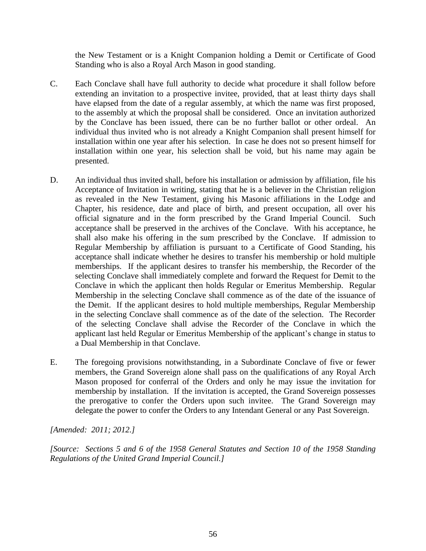the New Testament or is a Knight Companion holding a Demit or Certificate of Good Standing who is also a Royal Arch Mason in good standing.

- C. Each Conclave shall have full authority to decide what procedure it shall follow before extending an invitation to a prospective invitee, provided, that at least thirty days shall have elapsed from the date of a regular assembly, at which the name was first proposed, to the assembly at which the proposal shall be considered. Once an invitation authorized by the Conclave has been issued, there can be no further ballot or other ordeal. An individual thus invited who is not already a Knight Companion shall present himself for installation within one year after his selection. In case he does not so present himself for installation within one year, his selection shall be void, but his name may again be presented.
- D. An individual thus invited shall, before his installation or admission by affiliation, file his Acceptance of Invitation in writing, stating that he is a believer in the Christian religion as revealed in the New Testament, giving his Masonic affiliations in the Lodge and Chapter, his residence, date and place of birth, and present occupation, all over his official signature and in the form prescribed by the Grand Imperial Council. Such acceptance shall be preserved in the archives of the Conclave. With his acceptance, he shall also make his offering in the sum prescribed by the Conclave. If admission to Regular Membership by affiliation is pursuant to a Certificate of Good Standing, his acceptance shall indicate whether he desires to transfer his membership or hold multiple memberships. If the applicant desires to transfer his membership, the Recorder of the selecting Conclave shall immediately complete and forward the Request for Demit to the Conclave in which the applicant then holds Regular or Emeritus Membership. Regular Membership in the selecting Conclave shall commence as of the date of the issuance of the Demit. If the applicant desires to hold multiple memberships, Regular Membership in the selecting Conclave shall commence as of the date of the selection. The Recorder of the selecting Conclave shall advise the Recorder of the Conclave in which the applicant last held Regular or Emeritus Membership of the applicant's change in status to a Dual Membership in that Conclave.
- E. The foregoing provisions notwithstanding, in a Subordinate Conclave of five or fewer members, the Grand Sovereign alone shall pass on the qualifications of any Royal Arch Mason proposed for conferral of the Orders and only he may issue the invitation for membership by installation. If the invitation is accepted, the Grand Sovereign possesses the prerogative to confer the Orders upon such invitee. The Grand Sovereign may delegate the power to confer the Orders to any Intendant General or any Past Sovereign.

*[Amended: 2011; 2012.]*

*[Source: Sections 5 and 6 of the 1958 General Statutes and Section 10 of the 1958 Standing Regulations of the United Grand Imperial Council.]*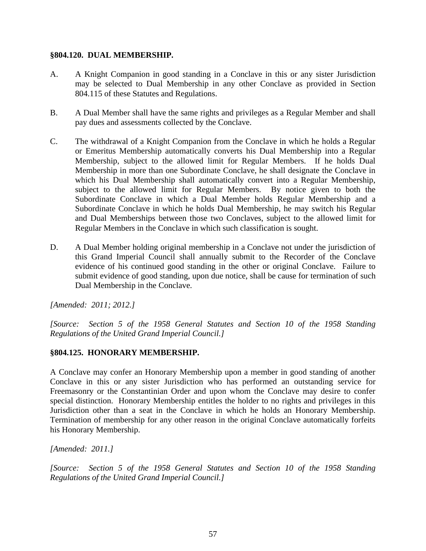#### **§804.120. DUAL MEMBERSHIP.**

- A. A Knight Companion in good standing in a Conclave in this or any sister Jurisdiction may be selected to Dual Membership in any other Conclave as provided in Section 804.115 of these Statutes and Regulations.
- B. A Dual Member shall have the same rights and privileges as a Regular Member and shall pay dues and assessments collected by the Conclave.
- C. The withdrawal of a Knight Companion from the Conclave in which he holds a Regular or Emeritus Membership automatically converts his Dual Membership into a Regular Membership, subject to the allowed limit for Regular Members. If he holds Dual Membership in more than one Subordinate Conclave, he shall designate the Conclave in which his Dual Membership shall automatically convert into a Regular Membership, subject to the allowed limit for Regular Members. By notice given to both the Subordinate Conclave in which a Dual Member holds Regular Membership and a Subordinate Conclave in which he holds Dual Membership, he may switch his Regular and Dual Memberships between those two Conclaves, subject to the allowed limit for Regular Members in the Conclave in which such classification is sought.
- D. A Dual Member holding original membership in a Conclave not under the jurisdiction of this Grand Imperial Council shall annually submit to the Recorder of the Conclave evidence of his continued good standing in the other or original Conclave. Failure to submit evidence of good standing, upon due notice, shall be cause for termination of such Dual Membership in the Conclave.

*[Amended: 2011; 2012.]*

*[Source: Section 5 of the 1958 General Statutes and Section 10 of the 1958 Standing Regulations of the United Grand Imperial Council.]*

## **§804.125. HONORARY MEMBERSHIP.**

A Conclave may confer an Honorary Membership upon a member in good standing of another Conclave in this or any sister Jurisdiction who has performed an outstanding service for Freemasonry or the Constantinian Order and upon whom the Conclave may desire to confer special distinction. Honorary Membership entitles the holder to no rights and privileges in this Jurisdiction other than a seat in the Conclave in which he holds an Honorary Membership. Termination of membership for any other reason in the original Conclave automatically forfeits his Honorary Membership.

*[Amended: 2011.]*

*[Source: Section 5 of the 1958 General Statutes and Section 10 of the 1958 Standing Regulations of the United Grand Imperial Council.]*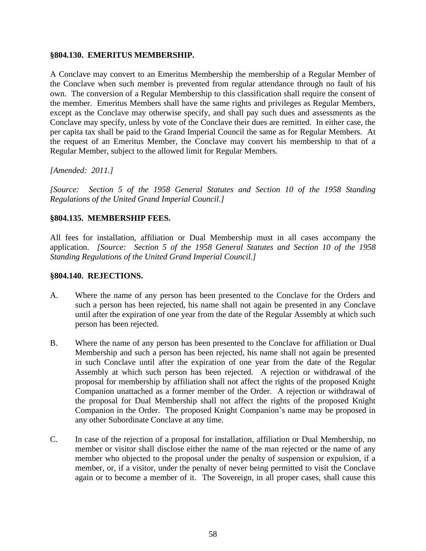#### **§804.130. EMERITUS MEMBERSHIP.**

A Conclave may convert to an Emeritus Membership the membership of a Regular Member of the Conclave when such member is prevented from regular attendance through no fault of his own. The conversion of a Regular Membership to this classification shall require the consent of the member. Emeritus Members shall have the same rights and privileges as Regular Members, except as the Conclave may otherwise specify, and shall pay such dues and assessments as the Conclave may specify, unless by vote of the Conclave their dues are remitted. In either case, the per capita tax shall be paid to the Grand Imperial Council the same as for Regular Members. At the request of an Emeritus Member, the Conclave may convert his membership to that of a Regular Member, subject to the allowed limit for Regular Members.

### *[Amended: 2011.]*

*[Source: Section 5 of the 1958 General Statutes and Section 10 of the 1958 Standing Regulations of the United Grand Imperial Council.]*

## **§804.135. MEMBERSHIP FEES.**

All fees for installation, affiliation or Dual Membership must in all cases accompany the application. *[Source: Section 5 of the 1958 General Statutes and Section 10 of the 1958 Standing Regulations of the United Grand Imperial Council.]*

### **§804.140. REJECTIONS.**

- A. Where the name of any person has been presented to the Conclave for the Orders and such a person has been rejected, his name shall not again be presented in any Conclave until after the expiration of one year from the date of the Regular Assembly at which such person has been rejected.
- B. Where the name of any person has been presented to the Conclave for affiliation or Dual Membership and such a person has been rejected, his name shall not again be presented in such Conclave until after the expiration of one year from the date of the Regular Assembly at which such person has been rejected. A rejection or withdrawal of the proposal for membership by affiliation shall not affect the rights of the proposed Knight Companion unattached as a former member of the Order. A rejection or withdrawal of the proposal for Dual Membership shall not affect the rights of the proposed Knight Companion in the Order. The proposed Knight Companion's name may be proposed in any other Subordinate Conclave at any time.
- C. In case of the rejection of a proposal for installation, affiliation or Dual Membership, no member or visitor shall disclose either the name of the man rejected or the name of any member who objected to the proposal under the penalty of suspension or expulsion, if a member, or, if a visitor, under the penalty of never being permitted to visit the Conclave again or to become a member of it. The Sovereign, in all proper cases, shall cause this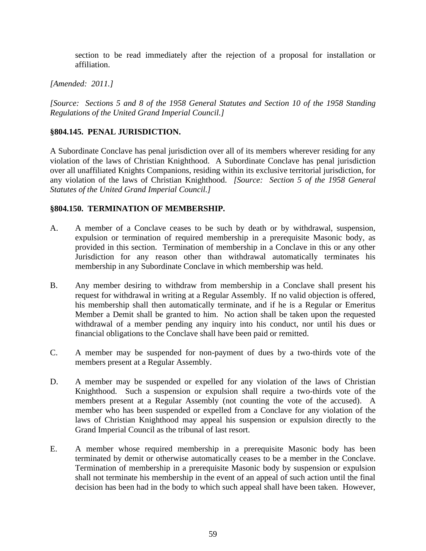section to be read immediately after the rejection of a proposal for installation or affiliation.

## *[Amended: 2011.]*

*[Source: Sections 5 and 8 of the 1958 General Statutes and Section 10 of the 1958 Standing Regulations of the United Grand Imperial Council.]*

## **§804.145. PENAL JURISDICTION.**

A Subordinate Conclave has penal jurisdiction over all of its members wherever residing for any violation of the laws of Christian Knighthood. A Subordinate Conclave has penal jurisdiction over all unaffiliated Knights Companions, residing within its exclusive territorial jurisdiction, for any violation of the laws of Christian Knighthood. *[Source: Section 5 of the 1958 General Statutes of the United Grand Imperial Council.]*

## **§804.150. TERMINATION OF MEMBERSHIP.**

- A. A member of a Conclave ceases to be such by death or by withdrawal, suspension, expulsion or termination of required membership in a prerequisite Masonic body, as provided in this section. Termination of membership in a Conclave in this or any other Jurisdiction for any reason other than withdrawal automatically terminates his membership in any Subordinate Conclave in which membership was held.
- B. Any member desiring to withdraw from membership in a Conclave shall present his request for withdrawal in writing at a Regular Assembly. If no valid objection is offered, his membership shall then automatically terminate, and if he is a Regular or Emeritus Member a Demit shall be granted to him. No action shall be taken upon the requested withdrawal of a member pending any inquiry into his conduct, nor until his dues or financial obligations to the Conclave shall have been paid or remitted.
- C. A member may be suspended for non-payment of dues by a two-thirds vote of the members present at a Regular Assembly.
- D. A member may be suspended or expelled for any violation of the laws of Christian Knighthood. Such a suspension or expulsion shall require a two-thirds vote of the members present at a Regular Assembly (not counting the vote of the accused). A member who has been suspended or expelled from a Conclave for any violation of the laws of Christian Knighthood may appeal his suspension or expulsion directly to the Grand Imperial Council as the tribunal of last resort.
- E. A member whose required membership in a prerequisite Masonic body has been terminated by demit or otherwise automatically ceases to be a member in the Conclave. Termination of membership in a prerequisite Masonic body by suspension or expulsion shall not terminate his membership in the event of an appeal of such action until the final decision has been had in the body to which such appeal shall have been taken. However,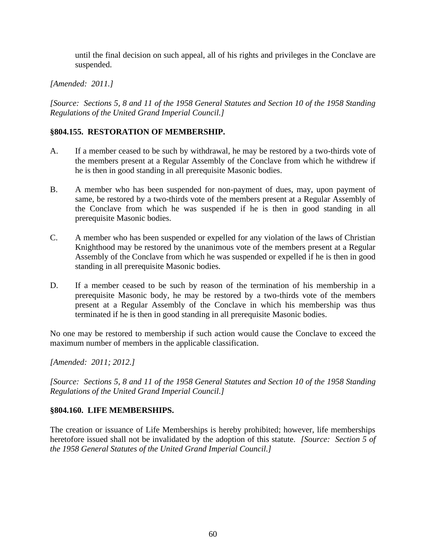until the final decision on such appeal, all of his rights and privileges in the Conclave are suspended.

## *[Amended: 2011.]*

*[Source: Sections 5, 8 and 11 of the 1958 General Statutes and Section 10 of the 1958 Standing Regulations of the United Grand Imperial Council.]*

## **§804.155. RESTORATION OF MEMBERSHIP.**

- A. If a member ceased to be such by withdrawal, he may be restored by a two-thirds vote of the members present at a Regular Assembly of the Conclave from which he withdrew if he is then in good standing in all prerequisite Masonic bodies.
- B. A member who has been suspended for non-payment of dues, may, upon payment of same, be restored by a two-thirds vote of the members present at a Regular Assembly of the Conclave from which he was suspended if he is then in good standing in all prerequisite Masonic bodies.
- C. A member who has been suspended or expelled for any violation of the laws of Christian Knighthood may be restored by the unanimous vote of the members present at a Regular Assembly of the Conclave from which he was suspended or expelled if he is then in good standing in all prerequisite Masonic bodies.
- D. If a member ceased to be such by reason of the termination of his membership in a prerequisite Masonic body, he may be restored by a two-thirds vote of the members present at a Regular Assembly of the Conclave in which his membership was thus terminated if he is then in good standing in all prerequisite Masonic bodies.

No one may be restored to membership if such action would cause the Conclave to exceed the maximum number of members in the applicable classification.

*[Amended: 2011; 2012.]*

*[Source: Sections 5, 8 and 11 of the 1958 General Statutes and Section 10 of the 1958 Standing Regulations of the United Grand Imperial Council.]*

### **§804.160. LIFE MEMBERSHIPS.**

The creation or issuance of Life Memberships is hereby prohibited; however, life memberships heretofore issued shall not be invalidated by the adoption of this statute. *[Source: Section 5 of the 1958 General Statutes of the United Grand Imperial Council.]*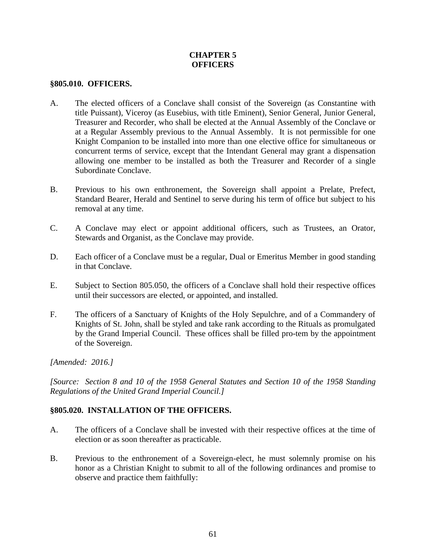## **CHAPTER 5 OFFICERS**

#### **§805.010. OFFICERS.**

- A. The elected officers of a Conclave shall consist of the Sovereign (as Constantine with title Puissant), Viceroy (as Eusebius, with title Eminent), Senior General, Junior General, Treasurer and Recorder, who shall be elected at the Annual Assembly of the Conclave or at a Regular Assembly previous to the Annual Assembly. It is not permissible for one Knight Companion to be installed into more than one elective office for simultaneous or concurrent terms of service, except that the Intendant General may grant a dispensation allowing one member to be installed as both the Treasurer and Recorder of a single Subordinate Conclave.
- B. Previous to his own enthronement, the Sovereign shall appoint a Prelate, Prefect, Standard Bearer, Herald and Sentinel to serve during his term of office but subject to his removal at any time.
- C. A Conclave may elect or appoint additional officers, such as Trustees, an Orator, Stewards and Organist, as the Conclave may provide.
- D. Each officer of a Conclave must be a regular, Dual or Emeritus Member in good standing in that Conclave.
- E. Subject to Section 805.050, the officers of a Conclave shall hold their respective offices until their successors are elected, or appointed, and installed.
- F. The officers of a Sanctuary of Knights of the Holy Sepulchre, and of a Commandery of Knights of St. John, shall be styled and take rank according to the Rituals as promulgated by the Grand Imperial Council. These offices shall be filled pro-tem by the appointment of the Sovereign.

*[Amended: 2016.]*

*[Source: Section 8 and 10 of the 1958 General Statutes and Section 10 of the 1958 Standing Regulations of the United Grand Imperial Council.]*

### **§805.020. INSTALLATION OF THE OFFICERS.**

- A. The officers of a Conclave shall be invested with their respective offices at the time of election or as soon thereafter as practicable.
- B. Previous to the enthronement of a Sovereign-elect, he must solemnly promise on his honor as a Christian Knight to submit to all of the following ordinances and promise to observe and practice them faithfully: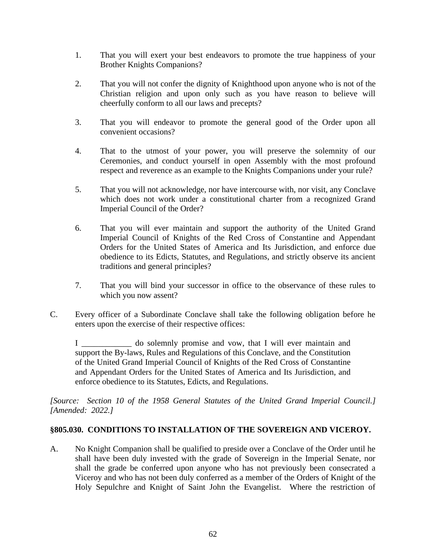- 1. That you will exert your best endeavors to promote the true happiness of your Brother Knights Companions?
- 2. That you will not confer the dignity of Knighthood upon anyone who is not of the Christian religion and upon only such as you have reason to believe will cheerfully conform to all our laws and precepts?
- 3. That you will endeavor to promote the general good of the Order upon all convenient occasions?
- 4. That to the utmost of your power, you will preserve the solemnity of our Ceremonies, and conduct yourself in open Assembly with the most profound respect and reverence as an example to the Knights Companions under your rule?
- 5. That you will not acknowledge, nor have intercourse with, nor visit, any Conclave which does not work under a constitutional charter from a recognized Grand Imperial Council of the Order?
- 6. That you will ever maintain and support the authority of the United Grand Imperial Council of Knights of the Red Cross of Constantine and Appendant Orders for the United States of America and Its Jurisdiction, and enforce due obedience to its Edicts, Statutes, and Regulations, and strictly observe its ancient traditions and general principles?
- 7. That you will bind your successor in office to the observance of these rules to which you now assent?
- C. Every officer of a Subordinate Conclave shall take the following obligation before he enters upon the exercise of their respective offices:

I do solemnly promise and vow, that I will ever maintain and support the By-laws, Rules and Regulations of this Conclave, and the Constitution of the United Grand Imperial Council of Knights of the Red Cross of Constantine and Appendant Orders for the United States of America and Its Jurisdiction, and enforce obedience to its Statutes, Edicts, and Regulations.

*[Source: Section 10 of the 1958 General Statutes of the United Grand Imperial Council.] [Amended: 2022.]*

### **§805.030. CONDITIONS TO INSTALLATION OF THE SOVEREIGN AND VICEROY.**

A. No Knight Companion shall be qualified to preside over a Conclave of the Order until he shall have been duly invested with the grade of Sovereign in the Imperial Senate, nor shall the grade be conferred upon anyone who has not previously been consecrated a Viceroy and who has not been duly conferred as a member of the Orders of Knight of the Holy Sepulchre and Knight of Saint John the Evangelist. Where the restriction of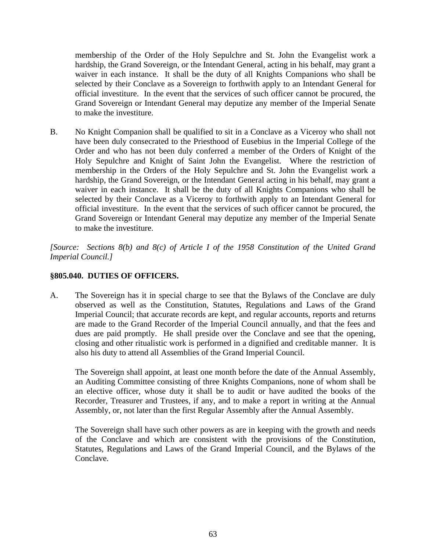membership of the Order of the Holy Sepulchre and St. John the Evangelist work a hardship, the Grand Sovereign, or the Intendant General, acting in his behalf, may grant a waiver in each instance. It shall be the duty of all Knights Companions who shall be selected by their Conclave as a Sovereign to forthwith apply to an Intendant General for official investiture. In the event that the services of such officer cannot be procured, the Grand Sovereign or Intendant General may deputize any member of the Imperial Senate to make the investiture.

B. No Knight Companion shall be qualified to sit in a Conclave as a Viceroy who shall not have been duly consecrated to the Priesthood of Eusebius in the Imperial College of the Order and who has not been duly conferred a member of the Orders of Knight of the Holy Sepulchre and Knight of Saint John the Evangelist. Where the restriction of membership in the Orders of the Holy Sepulchre and St. John the Evangelist work a hardship, the Grand Sovereign, or the Intendant General acting in his behalf, may grant a waiver in each instance. It shall be the duty of all Knights Companions who shall be selected by their Conclave as a Viceroy to forthwith apply to an Intendant General for official investiture. In the event that the services of such officer cannot be procured, the Grand Sovereign or Intendant General may deputize any member of the Imperial Senate to make the investiture.

*[Source: Sections 8(b) and 8(c) of Article I of the 1958 Constitution of the United Grand Imperial Council.]*

## **§805.040. DUTIES OF OFFICERS.**

A. The Sovereign has it in special charge to see that the Bylaws of the Conclave are duly observed as well as the Constitution, Statutes, Regulations and Laws of the Grand Imperial Council; that accurate records are kept, and regular accounts, reports and returns are made to the Grand Recorder of the Imperial Council annually, and that the fees and dues are paid promptly. He shall preside over the Conclave and see that the opening, closing and other ritualistic work is performed in a dignified and creditable manner. It is also his duty to attend all Assemblies of the Grand Imperial Council.

The Sovereign shall appoint, at least one month before the date of the Annual Assembly, an Auditing Committee consisting of three Knights Companions, none of whom shall be an elective officer, whose duty it shall be to audit or have audited the books of the Recorder, Treasurer and Trustees, if any, and to make a report in writing at the Annual Assembly, or, not later than the first Regular Assembly after the Annual Assembly.

The Sovereign shall have such other powers as are in keeping with the growth and needs of the Conclave and which are consistent with the provisions of the Constitution, Statutes, Regulations and Laws of the Grand Imperial Council, and the Bylaws of the Conclave.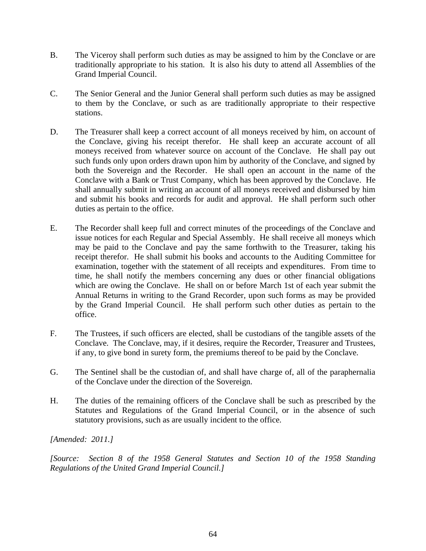- B. The Viceroy shall perform such duties as may be assigned to him by the Conclave or are traditionally appropriate to his station. It is also his duty to attend all Assemblies of the Grand Imperial Council.
- C. The Senior General and the Junior General shall perform such duties as may be assigned to them by the Conclave, or such as are traditionally appropriate to their respective stations.
- D. The Treasurer shall keep a correct account of all moneys received by him, on account of the Conclave, giving his receipt therefor. He shall keep an accurate account of all moneys received from whatever source on account of the Conclave. He shall pay out such funds only upon orders drawn upon him by authority of the Conclave, and signed by both the Sovereign and the Recorder. He shall open an account in the name of the Conclave with a Bank or Trust Company, which has been approved by the Conclave. He shall annually submit in writing an account of all moneys received and disbursed by him and submit his books and records for audit and approval. He shall perform such other duties as pertain to the office.
- E. The Recorder shall keep full and correct minutes of the proceedings of the Conclave and issue notices for each Regular and Special Assembly. He shall receive all moneys which may be paid to the Conclave and pay the same forthwith to the Treasurer, taking his receipt therefor. He shall submit his books and accounts to the Auditing Committee for examination, together with the statement of all receipts and expenditures. From time to time, he shall notify the members concerning any dues or other financial obligations which are owing the Conclave. He shall on or before March 1st of each year submit the Annual Returns in writing to the Grand Recorder, upon such forms as may be provided by the Grand Imperial Council. He shall perform such other duties as pertain to the office.
- F. The Trustees, if such officers are elected, shall be custodians of the tangible assets of the Conclave. The Conclave, may, if it desires, require the Recorder, Treasurer and Trustees, if any, to give bond in surety form, the premiums thereof to be paid by the Conclave.
- G. The Sentinel shall be the custodian of, and shall have charge of, all of the paraphernalia of the Conclave under the direction of the Sovereign.
- H. The duties of the remaining officers of the Conclave shall be such as prescribed by the Statutes and Regulations of the Grand Imperial Council, or in the absence of such statutory provisions, such as are usually incident to the office.

*[Amended: 2011.]*

*[Source: Section 8 of the 1958 General Statutes and Section 10 of the 1958 Standing Regulations of the United Grand Imperial Council.]*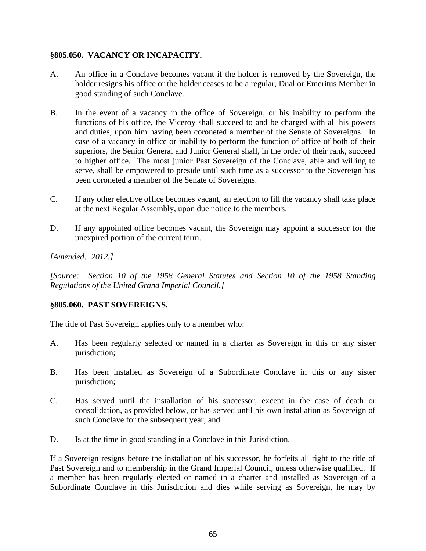## **§805.050. VACANCY OR INCAPACITY.**

- A. An office in a Conclave becomes vacant if the holder is removed by the Sovereign, the holder resigns his office or the holder ceases to be a regular, Dual or Emeritus Member in good standing of such Conclave.
- B. In the event of a vacancy in the office of Sovereign, or his inability to perform the functions of his office, the Viceroy shall succeed to and be charged with all his powers and duties, upon him having been coroneted a member of the Senate of Sovereigns. In case of a vacancy in office or inability to perform the function of office of both of their superiors, the Senior General and Junior General shall, in the order of their rank, succeed to higher office. The most junior Past Sovereign of the Conclave, able and willing to serve, shall be empowered to preside until such time as a successor to the Sovereign has been coroneted a member of the Senate of Sovereigns.
- C. If any other elective office becomes vacant, an election to fill the vacancy shall take place at the next Regular Assembly, upon due notice to the members.
- D. If any appointed office becomes vacant, the Sovereign may appoint a successor for the unexpired portion of the current term.

## *[Amended: 2012.]*

*[Source: Section 10 of the 1958 General Statutes and Section 10 of the 1958 Standing Regulations of the United Grand Imperial Council.]*

### **§805.060. PAST SOVEREIGNS.**

The title of Past Sovereign applies only to a member who:

- A. Has been regularly selected or named in a charter as Sovereign in this or any sister jurisdiction;
- B. Has been installed as Sovereign of a Subordinate Conclave in this or any sister jurisdiction;
- C. Has served until the installation of his successor, except in the case of death or consolidation, as provided below, or has served until his own installation as Sovereign of such Conclave for the subsequent year; and
- D. Is at the time in good standing in a Conclave in this Jurisdiction.

If a Sovereign resigns before the installation of his successor, he forfeits all right to the title of Past Sovereign and to membership in the Grand Imperial Council, unless otherwise qualified. If a member has been regularly elected or named in a charter and installed as Sovereign of a Subordinate Conclave in this Jurisdiction and dies while serving as Sovereign, he may by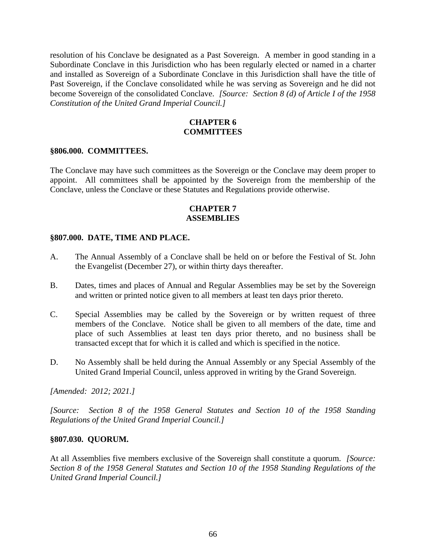resolution of his Conclave be designated as a Past Sovereign. A member in good standing in a Subordinate Conclave in this Jurisdiction who has been regularly elected or named in a charter and installed as Sovereign of a Subordinate Conclave in this Jurisdiction shall have the title of Past Sovereign, if the Conclave consolidated while he was serving as Sovereign and he did not become Sovereign of the consolidated Conclave. *[Source: Section 8 (d) of Article I of the 1958 Constitution of the United Grand Imperial Council.]*

## **CHAPTER 6 COMMITTEES**

#### **§806.000. COMMITTEES.**

The Conclave may have such committees as the Sovereign or the Conclave may deem proper to appoint. All committees shall be appointed by the Sovereign from the membership of the Conclave, unless the Conclave or these Statutes and Regulations provide otherwise.

## **CHAPTER 7 ASSEMBLIES**

#### **§807.000. DATE, TIME AND PLACE.**

- A. The Annual Assembly of a Conclave shall be held on or before the Festival of St. John the Evangelist (December 27), or within thirty days thereafter.
- B. Dates, times and places of Annual and Regular Assemblies may be set by the Sovereign and written or printed notice given to all members at least ten days prior thereto.
- C. Special Assemblies may be called by the Sovereign or by written request of three members of the Conclave. Notice shall be given to all members of the date, time and place of such Assemblies at least ten days prior thereto, and no business shall be transacted except that for which it is called and which is specified in the notice.
- D. No Assembly shall be held during the Annual Assembly or any Special Assembly of the United Grand Imperial Council, unless approved in writing by the Grand Sovereign.

*[Amended: 2012; 2021.]*

*[Source: Section 8 of the 1958 General Statutes and Section 10 of the 1958 Standing Regulations of the United Grand Imperial Council.]*

#### **§807.030. QUORUM.**

At all Assemblies five members exclusive of the Sovereign shall constitute a quorum. *[Source: Section 8 of the 1958 General Statutes and Section 10 of the 1958 Standing Regulations of the United Grand Imperial Council.]*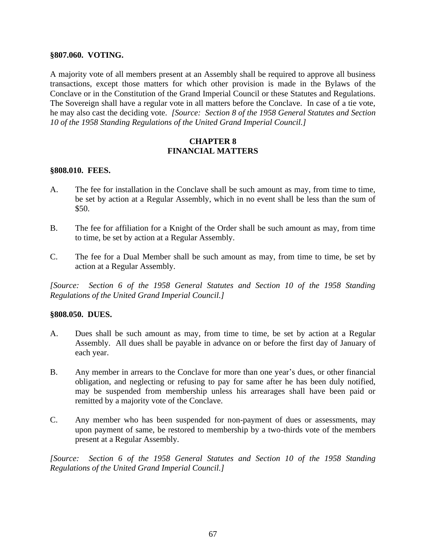#### **§807.060. VOTING.**

A majority vote of all members present at an Assembly shall be required to approve all business transactions, except those matters for which other provision is made in the Bylaws of the Conclave or in the Constitution of the Grand Imperial Council or these Statutes and Regulations. The Sovereign shall have a regular vote in all matters before the Conclave. In case of a tie vote, he may also cast the deciding vote. *[Source: Section 8 of the 1958 General Statutes and Section 10 of the 1958 Standing Regulations of the United Grand Imperial Council.]*

## **CHAPTER 8 FINANCIAL MATTERS**

#### **§808.010. FEES.**

- A. The fee for installation in the Conclave shall be such amount as may, from time to time, be set by action at a Regular Assembly, which in no event shall be less than the sum of \$50.
- B. The fee for affiliation for a Knight of the Order shall be such amount as may, from time to time, be set by action at a Regular Assembly.
- C. The fee for a Dual Member shall be such amount as may, from time to time, be set by action at a Regular Assembly.

*[Source: Section 6 of the 1958 General Statutes and Section 10 of the 1958 Standing Regulations of the United Grand Imperial Council.]*

#### **§808.050. DUES.**

- A. Dues shall be such amount as may, from time to time, be set by action at a Regular Assembly. All dues shall be payable in advance on or before the first day of January of each year.
- B. Any member in arrears to the Conclave for more than one year's dues, or other financial obligation, and neglecting or refusing to pay for same after he has been duly notified, may be suspended from membership unless his arrearages shall have been paid or remitted by a majority vote of the Conclave.
- C. Any member who has been suspended for non-payment of dues or assessments, may upon payment of same, be restored to membership by a two-thirds vote of the members present at a Regular Assembly.

*[Source: Section 6 of the 1958 General Statutes and Section 10 of the 1958 Standing Regulations of the United Grand Imperial Council.]*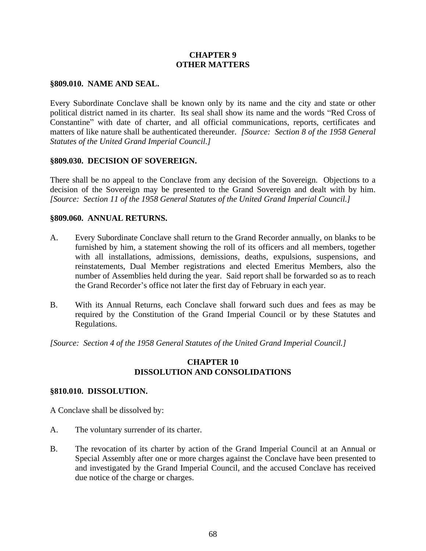## **CHAPTER 9 OTHER MATTERS**

#### **§809.010. NAME AND SEAL.**

Every Subordinate Conclave shall be known only by its name and the city and state or other political district named in its charter. Its seal shall show its name and the words "Red Cross of Constantine" with date of charter, and all official communications, reports, certificates and matters of like nature shall be authenticated thereunder. *[Source: Section 8 of the 1958 General Statutes of the United Grand Imperial Council.]*

#### **§809.030. DECISION OF SOVEREIGN.**

There shall be no appeal to the Conclave from any decision of the Sovereign. Objections to a decision of the Sovereign may be presented to the Grand Sovereign and dealt with by him. *[Source: Section 11 of the 1958 General Statutes of the United Grand Imperial Council.]*

#### **§809.060. ANNUAL RETURNS.**

- A. Every Subordinate Conclave shall return to the Grand Recorder annually, on blanks to be furnished by him, a statement showing the roll of its officers and all members, together with all installations, admissions, demissions, deaths, expulsions, suspensions, and reinstatements, Dual Member registrations and elected Emeritus Members, also the number of Assemblies held during the year. Said report shall be forwarded so as to reach the Grand Recorder's office not later the first day of February in each year.
- B. With its Annual Returns, each Conclave shall forward such dues and fees as may be required by the Constitution of the Grand Imperial Council or by these Statutes and Regulations.

*[Source: Section 4 of the 1958 General Statutes of the United Grand Imperial Council.]*

#### **CHAPTER 10 DISSOLUTION AND CONSOLIDATIONS**

#### **§810.010. DISSOLUTION.**

A Conclave shall be dissolved by:

- A. The voluntary surrender of its charter.
- B. The revocation of its charter by action of the Grand Imperial Council at an Annual or Special Assembly after one or more charges against the Conclave have been presented to and investigated by the Grand Imperial Council, and the accused Conclave has received due notice of the charge or charges.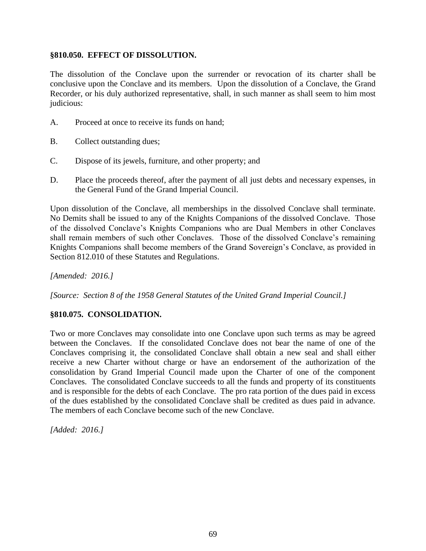## **§810.050. EFFECT OF DISSOLUTION.**

The dissolution of the Conclave upon the surrender or revocation of its charter shall be conclusive upon the Conclave and its members. Upon the dissolution of a Conclave, the Grand Recorder, or his duly authorized representative, shall, in such manner as shall seem to him most judicious:

- A. Proceed at once to receive its funds on hand;
- B. Collect outstanding dues;
- C. Dispose of its jewels, furniture, and other property; and
- D. Place the proceeds thereof, after the payment of all just debts and necessary expenses, in the General Fund of the Grand Imperial Council.

Upon dissolution of the Conclave, all memberships in the dissolved Conclave shall terminate. No Demits shall be issued to any of the Knights Companions of the dissolved Conclave. Those of the dissolved Conclave's Knights Companions who are Dual Members in other Conclaves shall remain members of such other Conclaves. Those of the dissolved Conclave's remaining Knights Companions shall become members of the Grand Sovereign's Conclave, as provided in Section 812.010 of these Statutes and Regulations.

*[Amended: 2016.]*

*[Source: Section 8 of the 1958 General Statutes of the United Grand Imperial Council.]*

## **§810.075. CONSOLIDATION.**

Two or more Conclaves may consolidate into one Conclave upon such terms as may be agreed between the Conclaves. If the consolidated Conclave does not bear the name of one of the Conclaves comprising it, the consolidated Conclave shall obtain a new seal and shall either receive a new Charter without charge or have an endorsement of the authorization of the consolidation by Grand Imperial Council made upon the Charter of one of the component Conclaves. The consolidated Conclave succeeds to all the funds and property of its constituents and is responsible for the debts of each Conclave. The pro rata portion of the dues paid in excess of the dues established by the consolidated Conclave shall be credited as dues paid in advance. The members of each Conclave become such of the new Conclave.

*[Added: 2016.]*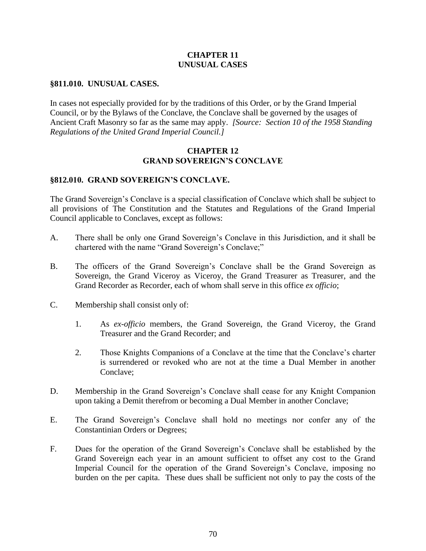### **CHAPTER 11 UNUSUAL CASES**

## **§811.010. UNUSUAL CASES.**

In cases not especially provided for by the traditions of this Order, or by the Grand Imperial Council, or by the Bylaws of the Conclave, the Conclave shall be governed by the usages of Ancient Craft Masonry so far as the same may apply. *[Source: Section 10 of the 1958 Standing Regulations of the United Grand Imperial Council.]*

### **CHAPTER 12 GRAND SOVEREIGN'S CONCLAVE**

## **§812.010. GRAND SOVEREIGN'S CONCLAVE.**

The Grand Sovereign's Conclave is a special classification of Conclave which shall be subject to all provisions of The Constitution and the Statutes and Regulations of the Grand Imperial Council applicable to Conclaves, except as follows:

- A. There shall be only one Grand Sovereign's Conclave in this Jurisdiction, and it shall be chartered with the name "Grand Sovereign's Conclave;"
- B. The officers of the Grand Sovereign's Conclave shall be the Grand Sovereign as Sovereign, the Grand Viceroy as Viceroy, the Grand Treasurer as Treasurer, and the Grand Recorder as Recorder, each of whom shall serve in this office *ex officio*;
- C. Membership shall consist only of:
	- 1. As *ex-officio* members, the Grand Sovereign, the Grand Viceroy, the Grand Treasurer and the Grand Recorder; and
	- 2. Those Knights Companions of a Conclave at the time that the Conclave's charter is surrendered or revoked who are not at the time a Dual Member in another Conclave;
- D. Membership in the Grand Sovereign's Conclave shall cease for any Knight Companion upon taking a Demit therefrom or becoming a Dual Member in another Conclave;
- E. The Grand Sovereign's Conclave shall hold no meetings nor confer any of the Constantinian Orders or Degrees;
- F. Dues for the operation of the Grand Sovereign's Conclave shall be established by the Grand Sovereign each year in an amount sufficient to offset any cost to the Grand Imperial Council for the operation of the Grand Sovereign's Conclave, imposing no burden on the per capita. These dues shall be sufficient not only to pay the costs of the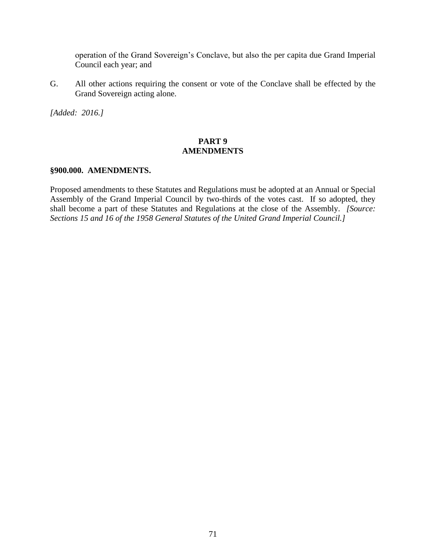operation of the Grand Sovereign's Conclave, but also the per capita due Grand Imperial Council each year; and

G. All other actions requiring the consent or vote of the Conclave shall be effected by the Grand Sovereign acting alone.

*[Added: 2016.]*

## **PART 9 AMENDMENTS**

#### **§900.000. AMENDMENTS.**

Proposed amendments to these Statutes and Regulations must be adopted at an Annual or Special Assembly of the Grand Imperial Council by two-thirds of the votes cast. If so adopted, they shall become a part of these Statutes and Regulations at the close of the Assembly. *[Source: Sections 15 and 16 of the 1958 General Statutes of the United Grand Imperial Council.]*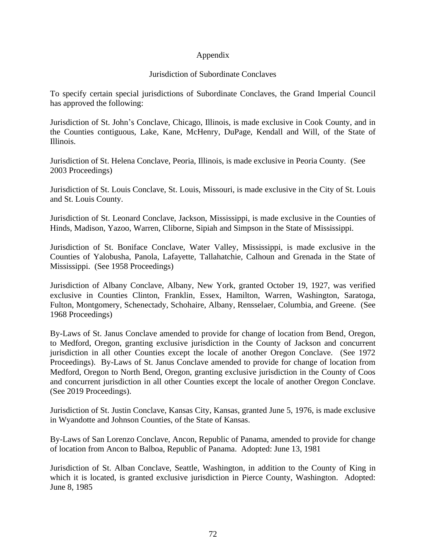## Appendix

## Jurisdiction of Subordinate Conclaves

To specify certain special jurisdictions of Subordinate Conclaves, the Grand Imperial Council has approved the following:

Jurisdiction of St. John's Conclave, Chicago, Illinois, is made exclusive in Cook County, and in the Counties contiguous, Lake, Kane, McHenry, DuPage, Kendall and Will, of the State of Illinois.

Jurisdiction of St. Helena Conclave, Peoria, Illinois, is made exclusive in Peoria County. (See 2003 Proceedings)

Jurisdiction of St. Louis Conclave, St. Louis, Missouri, is made exclusive in the City of St. Louis and St. Louis County.

Jurisdiction of St. Leonard Conclave, Jackson, Mississippi, is made exclusive in the Counties of Hinds, Madison, Yazoo, Warren, Cliborne, Sipiah and Simpson in the State of Mississippi.

Jurisdiction of St. Boniface Conclave, Water Valley, Mississippi, is made exclusive in the Counties of Yalobusha, Panola, Lafayette, Tallahatchie, Calhoun and Grenada in the State of Mississippi. (See 1958 Proceedings)

Jurisdiction of Albany Conclave, Albany, New York, granted October 19, 1927, was verified exclusive in Counties Clinton, Franklin, Essex, Hamilton, Warren, Washington, Saratoga, Fulton, Montgomery, Schenectady, Schohaire, Albany, Rensselaer, Columbia, and Greene. (See 1968 Proceedings)

By-Laws of St. Janus Conclave amended to provide for change of location from Bend, Oregon, to Medford, Oregon, granting exclusive jurisdiction in the County of Jackson and concurrent jurisdiction in all other Counties except the locale of another Oregon Conclave. (See 1972 Proceedings). By-Laws of St. Janus Conclave amended to provide for change of location from Medford, Oregon to North Bend, Oregon, granting exclusive jurisdiction in the County of Coos and concurrent jurisdiction in all other Counties except the locale of another Oregon Conclave. (See 2019 Proceedings).

Jurisdiction of St. Justin Conclave, Kansas City, Kansas, granted June 5, 1976, is made exclusive in Wyandotte and Johnson Counties, of the State of Kansas.

By-Laws of San Lorenzo Conclave, Ancon, Republic of Panama, amended to provide for change of location from Ancon to Balboa, Republic of Panama. Adopted: June 13, 1981

Jurisdiction of St. Alban Conclave, Seattle, Washington, in addition to the County of King in which it is located, is granted exclusive jurisdiction in Pierce County, Washington. Adopted: June 8, 1985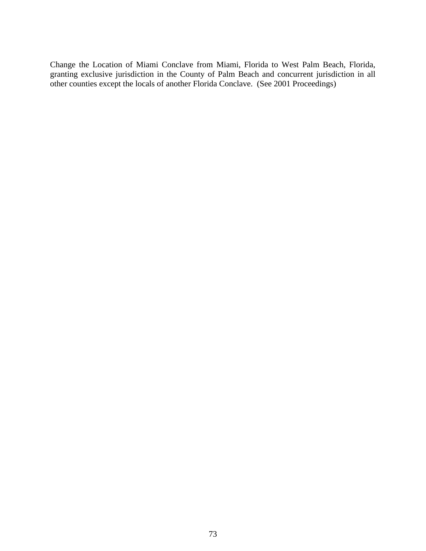Change the Location of Miami Conclave from Miami, Florida to West Palm Beach, Florida, granting exclusive jurisdiction in the County of Palm Beach and concurrent jurisdiction in all other counties except the locals of another Florida Conclave. (See 2001 Proceedings)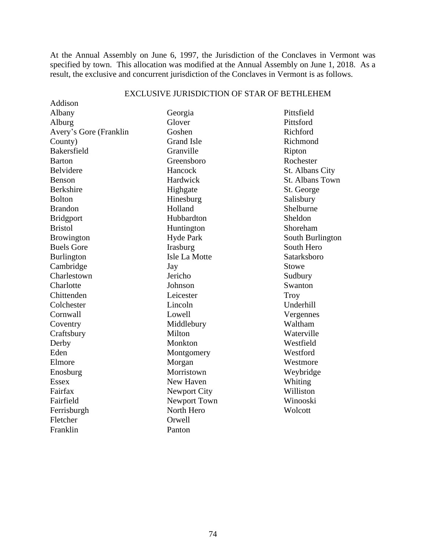At the Annual Assembly on June 6, 1997, the Jurisdiction of the Conclaves in Vermont was specified by town. This allocation was modified at the Annual Assembly on June 1, 2018. As a result, the exclusive and concurrent jurisdiction of the Conclaves in Vermont is as follows.

| Addison                |                   |                  |
|------------------------|-------------------|------------------|
| Albany                 | Georgia           | Pittsfield       |
| Alburg                 | Glover            | Pittsford        |
| Avery's Gore (Franklin | Goshen            | Richford         |
| County)                | <b>Grand Isle</b> | Richmond         |
| Bakersfield            | Granville         | Ripton           |
| <b>Barton</b>          | Greensboro        | Rochester        |
| Belvidere              | Hancock           | St. Albans City  |
| <b>Benson</b>          | Hardwick          | St. Albans Town  |
| <b>Berkshire</b>       | Highgate          | St. George       |
| <b>Bolton</b>          | Hinesburg         | Salisbury        |
| <b>Brandon</b>         | Holland           | Shelburne        |
| <b>Bridgport</b>       | Hubbardton        | Sheldon          |
| <b>Bristol</b>         | Huntington        | Shoreham         |
| Browington             | <b>Hyde Park</b>  | South Burlington |
| <b>Buels Gore</b>      | Irasburg          | South Hero       |
| <b>Burlington</b>      | Isle La Motte     | Satarksboro      |
| Cambridge              | Jay               | <b>Stowe</b>     |
| Charlestown            | Jericho           | Sudbury          |
| Charlotte              | Johnson           | Swanton          |
| Chittenden             | Leicester         | <b>Troy</b>      |
| Colchester             | Lincoln           | Underhill        |
| Cornwall               | Lowell            | Vergennes        |
| Coventry               | Middlebury        | Waltham          |
| Craftsbury             | Milton            | Waterville       |
| Derby                  | Monkton           | Westfield        |
| Eden                   | Montgomery        | Westford         |
| Elmore                 | Morgan            | Westmore         |
| Enosburg               | Morristown        | Weybridge        |
| <b>Essex</b>           | New Haven         | Whiting          |
| Fairfax                | Newport City      | Williston        |
| Fairfield              | Newport Town      | Winooski         |
| Ferrisburgh            | North Hero        | Wolcott          |
| Fletcher               | Orwell            |                  |
| Franklin               | Panton            |                  |

## EXCLUSIVE JURISDICTION OF STAR OF BETHLEHEM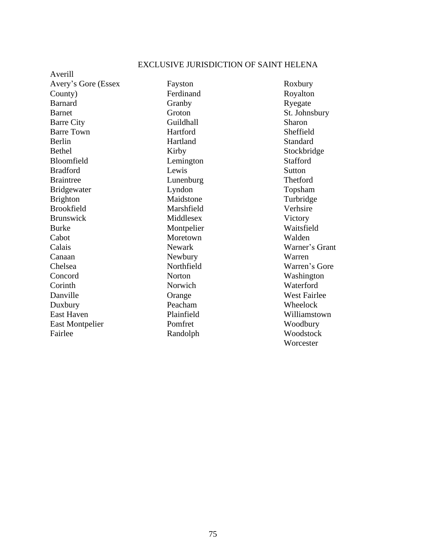## EXCLUSIVE JURISDICTION OF SAINT HELENA

Averill Avery's Gore (Essex County) Barnard Barnet Barre City Barre Town Berlin Bethel Bloomfield Bradford Braintree Bridgewater Brighton Brookfield Brunswick Burke Cabot Calais Canaan Chelsea Concord **Corinth** Danville Duxbury East Haven East Montpelier Fairlee

Fayston Ferdinand Granby Groton Guildhall Hartford Hartland Kirby Lemington Lewis Lunenburg Lyndon Maidstone Marshfield Middlesex Montpelier Moretown Newark Newbury Northfield Norton Norwich Orange Peacham Plainfield Pomfret Randolph

Roxbury Royalton Ryegate St. Johnsbury Sharon Sheffield Standard Stockbridge **Stafford** Sutton Thetford Topsham Turbridge Verhsire Victory Waitsfield Walden Warner's Grant Warren Warren's Gore Washington Waterford West Fairlee Wheelock Williamstown Woodbury Woodstock **Worcester**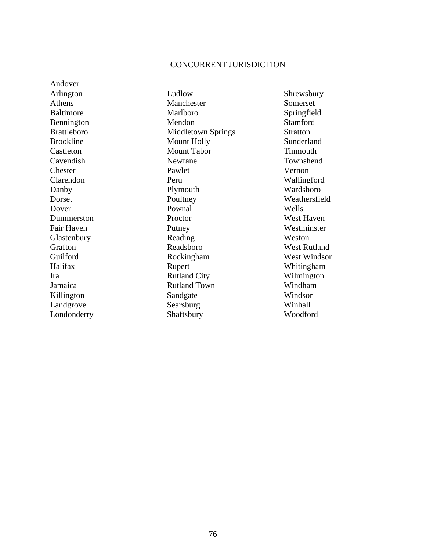## CONCURRENT JURISDICTION

Andover Arlington Athens Baltimore Bennington Brattleboro Brookline Castleton Cavendish **Chester** Clarendon Danby Dorset Dover Dummerston Fair Haven Glastenbury Grafton Guilford Halifax Ira Jamaica Killington Landgrove Londonderry

Ludlow Manchester Marlboro Mendon Middletown Springs Mount Holly Mount Tabor Newfane Pawlet Peru Plymouth Poultney Pownal Proctor Putney Reading Readsboro Rockingham Rupert Rutland City Rutland Town Sandgate Searsburg Shaftsbury

Shrewsbury Somerset Springfield Stamford Stratton Sunderland **Tinmouth** Townshend Vernon Wallingford Wardsboro Weathersfield Wells West Haven **Westminster** Weston West Rutland West Windsor Whitingham Wilmington Windham Windsor Winhall Woodford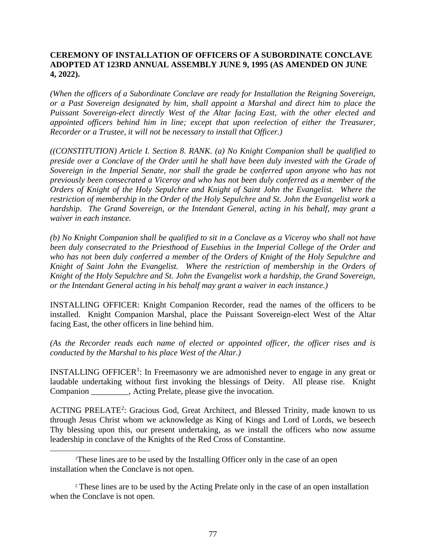## **CEREMONY OF INSTALLATION OF OFFICERS OF A SUBORDINATE CONCLAVE ADOPTED AT 123RD ANNUAL ASSEMBLY JUNE 9, 1995 (AS AMENDED ON JUNE 4, 2022).**

*(When the officers of a Subordinate Conclave are ready for Installation the Reigning Sovereign, or a Past Sovereign designated by him, shall appoint a Marshal and direct him to place the Puissant Sovereign-elect directly West of the Altar facing East, with the other elected and appointed officers behind him in line; except that upon reelection of either the Treasurer, Recorder or a Trustee, it will not be necessary to install that Officer.)*

*((CONSTITUTION) Article I. Section 8. RANK. (a) No Knight Companion shall be qualified to preside over a Conclave of the Order until he shall have been duly invested with the Grade of Sovereign in the Imperial Senate, nor shall the grade be conferred upon anyone who has not previously been consecrated a Viceroy and who has not been duly conferred as a member of the Orders of Knight of the Holy Sepulchre and Knight of Saint John the Evangelist. Where the restriction of membership in the Order of the Holy Sepulchre and St. John the Evangelist work a hardship. The Grand Sovereign, or the Intendant General, acting in his behalf, may grant a waiver in each instance.*

*(b) No Knight Companion shall be qualified to sit in a Conclave as a Viceroy who shall not have been duly consecrated to the Priesthood of Eusebius in the Imperial College of the Order and who has not been duly conferred a member of the Orders of Knight of the Holy Sepulchre and Knight of Saint John the Evangelist. Where the restriction of membership in the Orders of Knight of the Holy Sepulchre and St. John the Evangelist work a hardship, the Grand Sovereign, or the Intendant General acting in his behalf may grant a waiver in each instance.)*

INSTALLING OFFICER: Knight Companion Recorder, read the names of the officers to be installed. Knight Companion Marshal, place the Puissant Sovereign-elect West of the Altar facing East, the other officers in line behind him.

*(As the Recorder reads each name of elected or appointed officer, the officer rises and is conducted by the Marshal to his place West of the Altar.)*

INSTALLING OFFICER<sup>1</sup>: In Freemasonry we are admonished never to engage in any great or laudable undertaking without first invoking the blessings of Deity. All please rise. Knight Companion . Acting Prelate, please give the invocation.

ACTING PRELATE<sup>2</sup>: Gracious God, Great Architect, and Blessed Trinity, made known to us through Jesus Christ whom we acknowledge as King of Kings and Lord of Lords, we beseech Thy blessing upon this, our present undertaking, as we install the officers who now assume leadership in conclave of the Knights of the Red Cross of Constantine.

<sup>1</sup>These lines are to be used by the Installing Officer only in the case of an open installation when the Conclave is not open.

<sup>2</sup> These lines are to be used by the Acting Prelate only in the case of an open installation when the Conclave is not open.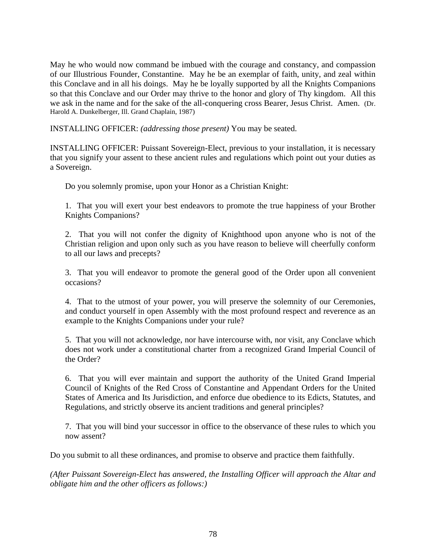May he who would now command be imbued with the courage and constancy, and compassion of our Illustrious Founder, Constantine. May he be an exemplar of faith, unity, and zeal within this Conclave and in all his doings. May he be loyally supported by all the Knights Companions so that this Conclave and our Order may thrive to the honor and glory of Thy kingdom. All this we ask in the name and for the sake of the all-conquering cross Bearer, Jesus Christ. Amen. (Dr. Harold A. Dunkelberger, Ill. Grand Chaplain, 1987)

INSTALLING OFFICER: *(addressing those present)* You may be seated.

INSTALLING OFFICER: Puissant Sovereign-Elect, previous to your installation, it is necessary that you signify your assent to these ancient rules and regulations which point out your duties as a Sovereign.

Do you solemnly promise, upon your Honor as a Christian Knight:

1. That you will exert your best endeavors to promote the true happiness of your Brother Knights Companions?

2. That you will not confer the dignity of Knighthood upon anyone who is not of the Christian religion and upon only such as you have reason to believe will cheerfully conform to all our laws and precepts?

3. That you will endeavor to promote the general good of the Order upon all convenient occasions?

4. That to the utmost of your power, you will preserve the solemnity of our Ceremonies, and conduct yourself in open Assembly with the most profound respect and reverence as an example to the Knights Companions under your rule?

5. That you will not acknowledge, nor have intercourse with, nor visit, any Conclave which does not work under a constitutional charter from a recognized Grand Imperial Council of the Order?

6. That you will ever maintain and support the authority of the United Grand Imperial Council of Knights of the Red Cross of Constantine and Appendant Orders for the United States of America and Its Jurisdiction, and enforce due obedience to its Edicts, Statutes, and Regulations, and strictly observe its ancient traditions and general principles?

7. That you will bind your successor in office to the observance of these rules to which you now assent?

Do you submit to all these ordinances, and promise to observe and practice them faithfully.

*(After Puissant Sovereign-Elect has answered, the Installing Officer will approach the Altar and obligate him and the other officers as follows:)*